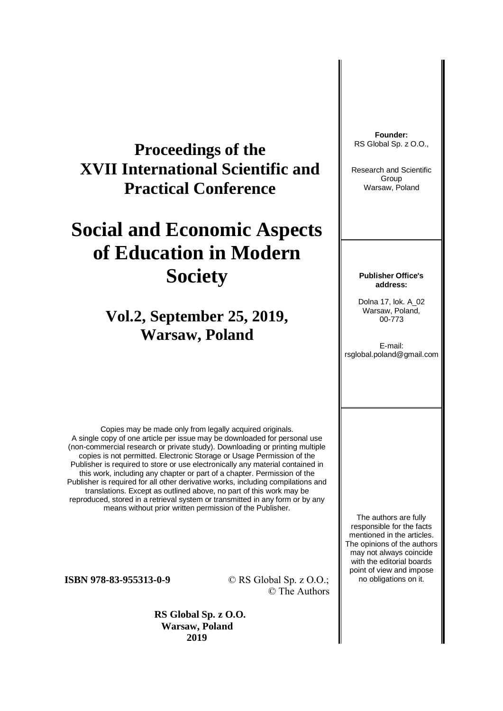## **Proceedings of the XVII International Scientific and Practical Conference**

# **Social and Economic Aspects of Education in Modern Society**

## **Vol.2, September 25, 2019, Warsaw, Poland**

Copies may be made only from legally acquired originals. A single copy of one article per issue may be downloaded for personal use (non-commercial research or private study). Downloading or printing multiple copies is not permitted. Electronic Storage or Usage Permission of the Publisher is required to store or use electronically any material contained in this work, including any chapter or part of a chapter. Permission of the Publisher is required for all other derivative works, including compilations and translations. Except as outlined above, no part of this work may be reproduced, stored in a retrieval system or transmitted in any form or by any means without prior written permission of the Publisher.

**ISBN 978-83-955313-0-9** © RS Global Sp. z O.O.; © The Authors

> **RS Global Sp. z O.O. Warsaw, Poland 2019**

**Founder:** RS Global Sp. z O.O.,

Research and Scientific Group Warsaw, Poland

#### **Publisher Office's address:**

Dolna 17, lok. A\_02 Warsaw, Poland, 00-773

E-mail: rsglobal.poland@gmail.com

The authors are fully responsible for the facts mentioned in the articles. The opinions of the authors may not always coincide with the editorial boards point of view and impose no obligations on it.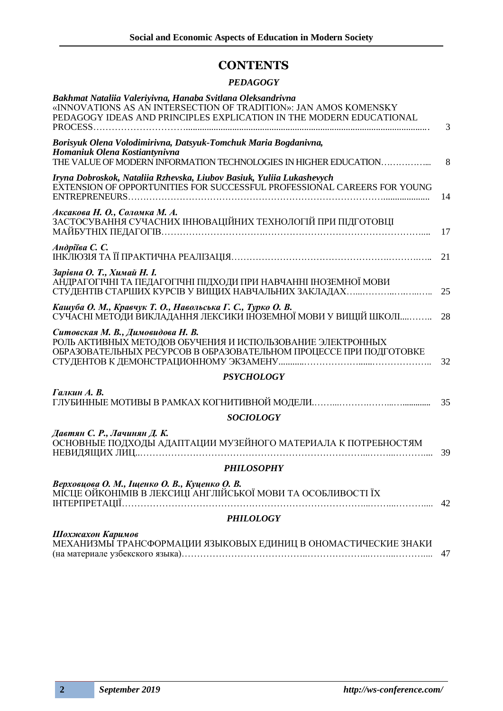### **CONTENTS**

### *PEDAGOGY*

| Bakhmat Nataliia Valeriyivna, Hanaba Svitlana Oleksandrivna<br>«INNOVATIONS AS AN INTERSECTION OF TRADITION»: JAN AMOS KOMENSKY<br>PEDAGOGY IDEAS AND PRINCIPLES EXPLICATION IN THE MODERN EDUCATIONAL |    |
|--------------------------------------------------------------------------------------------------------------------------------------------------------------------------------------------------------|----|
| PROCESS                                                                                                                                                                                                | 3  |
| Borisyuk Olena Volodimirivna, Datsyuk-Tomchuk Maria Bogdanivna,<br>Homaniuk Olena Kostiantynivna<br>THE VALUE OF MODERN INFORMATION TECHNOLOGIES IN HIGHER EDUCATION                                   | 8  |
| Iryna Dobroskok, Nataliia Rzhevska, Liubov Basiuk, Yuliia Lukashevych<br>EXTENSION OF OPPORTUNITIES FOR SUCCESSFUL PROFESSIONAL CAREERS FOR YOUNG                                                      | 14 |
| Аксакова Н. О., Соломка М. А.<br>ЗАСТОСУВАННЯ СУЧАСНИХ ІННОВАЦІЙНИХ ТЕХНОЛОГІЙ ПРИ ПІДГОТОВЦІ                                                                                                          | 17 |
| Андріїва С. С.                                                                                                                                                                                         | 21 |
| Зарівна О. Т., Химай Н. І.<br>АНДРАГОГІЧНІ ТА ПЕДАГОГІЧНІ ПІДХОДИ ПРИ НАВЧАННІ ІНОЗЕМНОЇ МОВИ                                                                                                          | 25 |
| Кашуба О. М., Кравчук Т. О., Навольська Г. С., Турко О. В.<br>СУЧАСНІ МЕТОДИ ВИКЛАДАННЯ ЛЕКСИКИ ІНОЗЕМНОЇ МОВИ У ВИЩІЙ ШКОЛІ                                                                           | 28 |
| Ситовская М. В., Димовидова Н. В.<br>РОЛЬ АКТИВНЫХ МЕТОДОВ ОБУЧЕНИЯ И ИСПОЛЬЗОВАНИЕ ЭЛЕКТРОННЫХ<br>ОБРАЗОВАТЕЛЬНЫХ РЕСУРСОВ В ОБРАЗОВАТЕЛЬНОМ ПРОЦЕССЕ ПРИ ПОДГОТОВКЕ                                  | 32 |
| <b>PSYCHOLOGY</b>                                                                                                                                                                                      |    |
| Галкин А. В.                                                                                                                                                                                           | 35 |
| <b>SOCIOLOGY</b>                                                                                                                                                                                       |    |
| Давтян С. Р., Лачинян Д. К.<br>ОСНОВНЫЕ ПОДХОДЫ АДАПТАЦИИ МУЗЕЙНОГО МАТЕРИАЛА К ПОТРЕБНОСТЯМ                                                                                                           | 39 |
| <b>PHILOSOPHY</b>                                                                                                                                                                                      |    |
| Верховцова О. М., Іщенко О. В., Куценко О. В.<br>МІСЦЕ ОЙКОНІМІВ В ЛЕКСИЦІ АНГЛІЙСЬКОЇ МОВИ ТА ОСОБЛИВОСТІ ЇХ                                                                                          | 42 |
| <b>PHILOLOGY</b>                                                                                                                                                                                       |    |
| Шохжахон Каримов<br>МЕХАНИЗМЫ ТРАНСФОРМАЦИИ ЯЗЫКОВЫХ ЕДИНИЦ В ОНОМАСТИЧЕСКИЕ ЗНАКИ                                                                                                                     | 47 |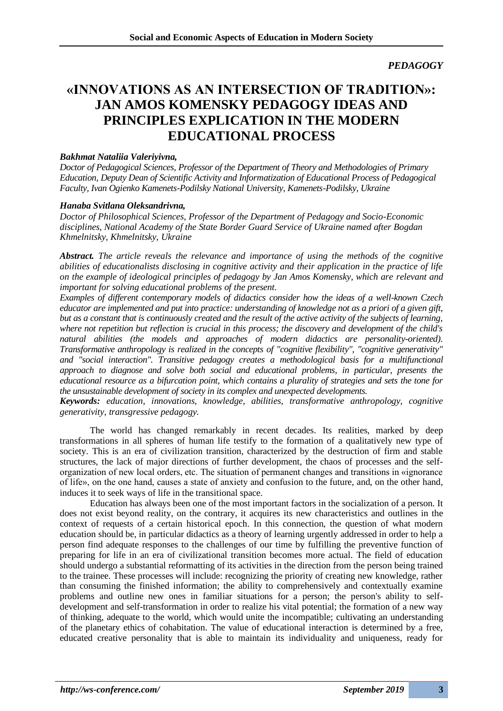*PEDAGOGY*

### **«INNOVATIONS AS AN INTERSECTION OF TRADITION»: JAN AMOS KOMENSKY PEDAGOGY IDEAS AND PRINCIPLES EXPLICATION IN THE MODERN EDUCATIONAL PROCESS**

### *Bakhmat Nataliia Valeriyivna,*

*Doctor of Pedagogical Sciences, Professor of the Department of Theory and Methodologies of Primary Education, Deputy Dean of Scientific Activity and Informatization of Educational Process of Pedagogical Faculty, Ivan Ogienko Kamenets-Podilsky National University, Kamenets-Podilsky, Ukraine*

### *Hanaba Svitlana Oleksandrivna,*

*Doctor of Philosophical Sciences, Professor of the Department of Pedagogy and Socio-Economic disciplines, National Academy of the State Border Guard Service of Ukraine named after Bogdan Khmelnitsky, Khmelnitsky, Ukraine*

*Abstract. The article reveals the relevance and importance of using the methods of the cognitive abilities of educationalists disclosing in cognitive activity and their application in the practice of life on the example of ideological principles of pedagogy by Jan Amos Komensky, which are relevant and important for solving educational problems of the present.* 

*Examples of different contemporary models of didactics consider how the ideas of a well-known Czech educator are implemented and put into practice: understanding of knowledge not as a priori of a given gift, but as a constant that is continuously created and the result of the active activity of the subjects of learning, where not repetition but reflection is crucial in this process; the discovery and development of the child's natural abilities (the models and approaches of modern didactics are personality-oriented). Transformative anthropology is realized in the concepts of "cognitive flexibility", "cognitive generativity" and "social interaction". Transitive pedagogy creates a methodological basis for a multifunctional approach to diagnose and solve both social and educational problems, in particular, presents the educational resource as a bifurcation point, which contains a plurality of strategies and sets the tone for the unsustainable development of society in its complex and unexpected developments.*

*Keywords: education, innovations, knowledge, abilities, transformative anthropology, cognitive generativity, transgressive pedagogy.*

The world has changed remarkably in recent decades. Its realities, marked by deep transformations in all spheres of human life testify to the formation of a qualitatively new type of society. This is an era of civilization transition, characterized by the destruction of firm and stable structures, the lack of major directions of further development, the chaos of processes and the selforganization of new local orders, etc. The situation of permanent changes and transitions in «ignorance of life», on the one hand, causes a state of anxiety and confusion to the future, and, on the other hand, induces it to seek ways of life in the transitional space.

Education has always been one of the most important factors in the socialization of a person. It does not exist beyond reality, on the contrary, it acquires its new characteristics and outlines in the context of requests of a certain historical epoch. In this connection, the question of what modern education should be, in particular didactics as a theory of learning urgently addressed in order to help a person find adequate responses to the challenges of our time by fulfilling the preventive function of preparing for life in an era of civilizational transition becomes more actual. The field of education should undergo a substantial reformatting of its activities in the direction from the person being trained to the trainee. These processes will include: recognizing the priority of creating new knowledge, rather than consuming the finished information; the ability to comprehensively and contextually examine problems and outline new ones in familiar situations for a person; the person's ability to selfdevelopment and self-transformation in order to realize his vital potential; the formation of a new way of thinking, adequate to the world, which would unite the incompatible; cultivating an understanding of the planetary ethics of cohabitation. The value of educational interaction is determined by a free, educated creative personality that is able to maintain its individuality and uniqueness, ready for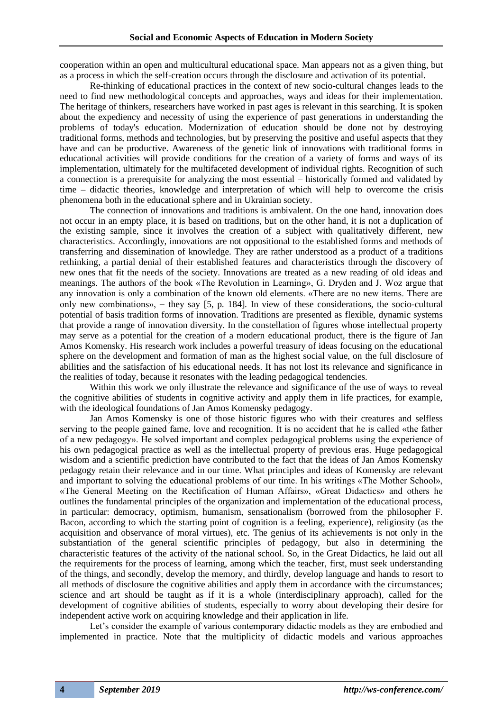cooperation within an open and multicultural educational space. Man appears not as a given thing, but as a process in which the self-creation occurs through the disclosure and activation of its potential.

Re-thinking of educational practices in the context of new socio-cultural changes leads to the need to find new methodological concepts and approaches, ways and ideas for their implementation. The heritage of thinkers, researchers have worked in past ages is relevant in this searching. It is spoken about the expediency and necessity of using the experience of past generations in understanding the problems of today's education. Modernization of education should be done not by destroying traditional forms, methods and technologies, but by preserving the positive and useful aspects that they have and can be productive. Awareness of the genetic link of innovations with traditional forms in educational activities will provide conditions for the creation of a variety of forms and ways of its implementation, ultimately for the multifaceted development of individual rights. Recognition of such a connection is a prerequisite for analyzing the most essential – historically formed and validated by time – didactic theories, knowledge and interpretation of which will help to overcome the crisis phenomena both in the educational sphere and in Ukrainian society.

The connection of innovations and traditions is ambivalent. On the one hand, innovation does not occur in an empty place, it is based on traditions, but on the other hand, it is not a duplication of the existing sample, since it involves the creation of a subject with qualitatively different, new characteristics. Accordingly, innovations are not oppositional to the established forms and methods of transferring and dissemination of knowledge. They are rather understood as a product of a traditions rethinking, a partial denial of their established features and characteristics through the discovery of new ones that fit the needs of the society. Innovations are treated as a new reading of old ideas and meanings. The authors of the book «The Revolution in Learning», G. Dryden and J. Woz argue that any innovation is only a combination of the known old elements. «There are no new items. There are only new combinations», – they say [5, p. 184]. In view of these considerations, the socio-cultural potential of basis tradition forms of innovation. Traditions are presented as flexible, dynamic systems that provide a range of innovation diversity. In the constellation of figures whose intellectual property may serve as a potential for the creation of a modern educational product, there is the figure of Jan Amos Komensky. His research work includes a powerful treasury of ideas focusing on the educational sphere on the development and formation of man as the highest social value, on the full disclosure of abilities and the satisfaction of his educational needs. It has not lost its relevance and significance in the realities of today, because it resonates with the leading pedagogical tendencies.

Within this work we only illustrate the relevance and significance of the use of ways to reveal the cognitive abilities of students in cognitive activity and apply them in life practices, for example, with the ideological foundations of Jan Amos Komensky pedagogy.

Jan Amos Komensky is one of those historic figures who with their creatures and selfless serving to the people gained fame, love and recognition. It is no accident that he is called «the father of a new pedagogy». He solved important and complex pedagogical problems using the experience of his own pedagogical practice as well as the intellectual property of previous eras. Huge pedagogical wisdom and a scientific prediction have contributed to the fact that the ideas of Jan Amos Komensky pedagogy retain their relevance and in our time. What principles and ideas of Komensky are relevant and important to solving the educational problems of our time. In his writings «The Mother School», «The General Meeting on the Rectification of Human Affairs», «Great Didactics» and others he outlines the fundamental principles of the organization and implementation of the educational process, in particular: democracy, optimism, humanism, sensationalism (borrowed from the philosopher F. Bacon, according to which the starting point of cognition is a feeling, experience), religiosity (as the acquisition and observance of moral virtues), etc. The genius of its achievements is not only in the substantiation of the general scientific principles of pedagogy, but also in determining the characteristic features of the activity of the national school. So, in the Great Didactics, he laid out all the requirements for the process of learning, among which the teacher, first, must seek understanding of the things, and secondly, develop the memory, and thirdly, develop language and hands to resort to all methods of disclosure the cognitive abilities and apply them in accordance with the circumstances; science and art should be taught as if it is a whole (interdisciplinary approach), called for the development of cognitive abilities of students, especially to worry about developing their desire for independent active work on acquiring knowledge and their application in life.

Let's consider the example of various contemporary didactic models as they are embodied and implemented in practice. Note that the multiplicity of didactic models and various approaches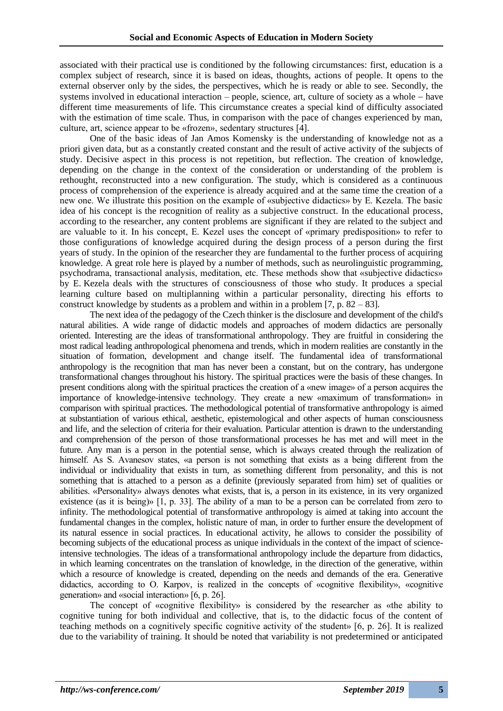associated with their practical use is conditioned by the following circumstances: first, education is a complex subject of research, since it is based on ideas, thoughts, actions of people. It opens to the external observer only by the sides, the perspectives, which he is ready or able to see. Secondly, the systems involved in educational interaction – people, science, art, culture of society as a whole − have different time measurements of life. This circumstance creates a special kind of difficulty associated with the estimation of time scale. Thus, in comparison with the pace of changes experienced by man, culture, art, science appear to be «frozen», sedentary structures [4].

One of the basic ideas of Jan Amos Komensky is the understanding of knowledge not as a priori given data, but as a constantly created constant and the result of active activity of the subjects of study. Decisive aspect in this process is not repetition, but reflection. The creation of knowledge, depending on the change in the context of the consideration or understanding of the problem is rethought, reconstructed into a new configuration. The study, which is considered as a continuous process of comprehension of the experience is already acquired and at the same time the creation of a new one. We illustrate this position on the example of «subjective didactics» by E. Kezela. The basic idea of his concept is the recognition of reality as a subjective construct. In the educational process, according to the researcher, any content problems are significant if they are related to the subject and are valuable to it. In his concept, E. Kezel uses the concept of «primary predisposition» to refer to those configurations of knowledge acquired during the design process of a person during the first years of study. In the opinion of the researcher they are fundamental to the further process of acquiring knowledge. A great role here is played by a number of methods, such as neurolinguistic programming, psychodrama, transactional analysis, meditation, etc. These methods show that «subjective didactics» by E. Kezela deals with the structures of consciousness of those who study. It produces a special learning culture based on multiplanning within a particular personality, directing his efforts to construct knowledge by students as a problem and within in a problem [7, p.  $82 - 83$ ].

The next idea of the pedagogy of the Czech thinker is the disclosure and development of the child's natural abilities. A wide range of didactic models and approaches of modern didactics are personally oriented. Interesting are the ideas of transformational anthropology. They are fruitful in considering the most radical leading anthropological phenomena and trends, which in modern realities are constantly in the situation of formation, development and change itself. The fundamental idea of transformational anthropology is the recognition that man has never been a constant, but on the contrary, has undergone transformational changes throughout his history. The spiritual practices were the basis of these changes. In present conditions along with the spiritual practices the creation of a «new image» of a person acquires the importance of knowledge-intensive technology. They create a new «maximum of transformation» in comparison with spiritual practices. The methodological potential of transformative anthropology is aimed at substantiation of various ethical, aesthetic, epistemological and other aspects of human consciousness and life, and the selection of criteria for their evaluation. Particular attention is drawn to the understanding and comprehension of the person of those transformational processes he has met and will meet in the future. Any man is a person in the potential sense, which is always created through the realization of himself. As S. Avanesov states, «a person is not something that exists as a being different from the individual or individuality that exists in turn, as something different from personality, and this is not something that is attached to a person as a definite (previously separated from him) set of qualities or abilities. «Personality» always denotes what exists, that is, a person in its existence, in its very organized existence (as it is being)» [1, p. 33]. The ability of a man to be a person can be correlated from zero to infinity. The methodological potential of transformative anthropology is aimed at taking into account the fundamental changes in the complex, holistic nature of man, in order to further ensure the development of its natural essence in social practices. In educational activity, he allows to consider the possibility of becoming subjects of the educational process as unique individuals in the context of the impact of scienceintensive technologies. The ideas of a transformational anthropology include the departure from didactics, in which learning concentrates on the translation of knowledge, in the direction of the generative, within which a resource of knowledge is created, depending on the needs and demands of the era. Generative didactics, according to O. Karpov, is realized in the concepts of «cognitive flexibility», «cognitive generation» and «social interaction» [6, р. 26].

The concept of «cognitive flexibility» is considered by the researcher as «the ability to cognitive tuning for both individual and collective, that is, to the didactic focus of the content of teaching methods on a cognitively specific cognitive activity of the student» [6, р. 26]. It is realized due to the variability of training. It should be noted that variability is not predetermined or anticipated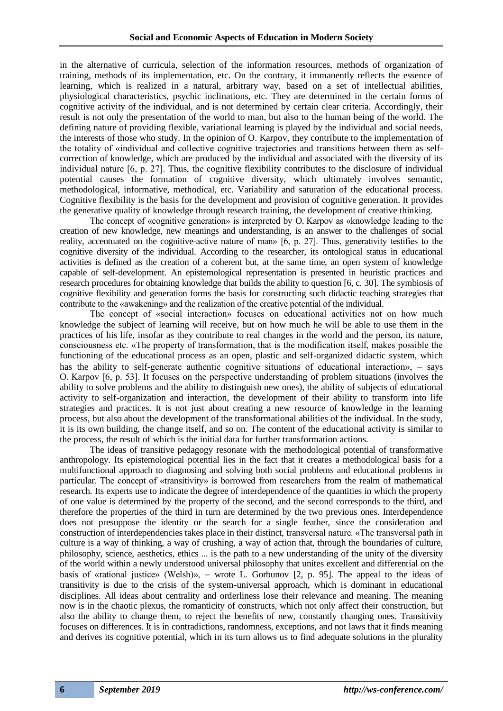in the alternative of curricula, selection of the information resources, methods of organization of training, methods of its implementation, etc. On the contrary, it immanently reflects the essence of learning, which is realized in a natural, arbitrary way, based on a set of intellectual abilities, physiological characteristics, psychic inclinations, etc. They are determined in the certain forms of cognitive activity of the individual, and is not determined by certain clear criteria. Accordingly, their result is not only the presentation of the world to man, but also to the human being of the world. The defining nature of providing flexible, variational learning is played by the individual and social needs, the interests of those who study. In the opinion of O. Karpov, they contribute to the implementation of the totality of «individual and collective cognitive trajectories and transitions between them as selfcorrection of knowledge, which are produced by the individual and associated with the diversity of its individual nature [6, р. 27]. Thus, the cognitive flexibility contributes to the disclosure of individual potential causes the formation of cognitive diversity, which ultimately involves semantic, methodological, informative, methodical, etc. Variability and saturation of the educational process. Cognitive flexibility is the basis for the development and provision of cognitive generation. It provides the generative quality of knowledge through research training, the development of creative thinking.

The concept of «cognitive generation» is interpreted by O. Karpov as «knowledge leading to the creation of new knowledge, new meanings and understanding, is an answer to the challenges of social reality, accentuated on the cognitive-active nature of man» [6, р. 27]. Thus, generativity testifies to the cognitive diversity of the individual. According to the researcher, its ontological status in educational activities is defined as the creation of a coherent but, at the same time, an open system of knowledge capable of self-development. An epistemological representation is presented in heuristic practices and research procedures for obtaining knowledge that builds the ability to question [6, c. 30]. The symbiosis of cognitive flexibility and generation forms the basis for constructing such didactic teaching strategies that contribute to the «awakening» and the realization of the creative potential of the individual.

The concept of «social interaction» focuses on educational activities not on how much knowledge the subject of learning will receive, but on how much he will be able to use them in the practices of his life, insofar as they contribute to real changes in the world and the person, its nature, consciousness etc. «The property of transformation, that is the modification itself, makes possible the functioning of the educational process as an open, plastic and self-organized didactic system, which has the ability to self-generate authentic cognitive situations of educational interaction», – says O. Karpov [6, р. 53]. It focuses on the perspective understanding of problem situations (involves the ability to solve problems and the ability to distinguish new ones), the ability of subjects of educational activity to self-organization and interaction, the development of their ability to transform into life strategies and practices. It is not just about creating a new resource of knowledge in the learning process, but also about the development of the transformational abilities of the individual. In the study, it is its own building, the change itself, and so on. The content of the educational activity is similar to the process, the result of which is the initial data for further transformation actions.

The ideas of transitive pedagogy resonate with the methodological potential of transformative anthropology. Its epistemological potential lies in the fact that it creates a methodological basis for a multifunctional approach to diagnosing and solving both social problems and educational problems in particular. The concept of «transitivity» is borrowed from researchers from the realm of mathematical research. Its experts use to indicate the degree of interdependence of the quantities in which the property of one value is determined by the property of the second, and the second corresponds to the third, and therefore the properties of the third in turn are determined by the two previous ones. Interdependence does not presuppose the identity or the search for a single feather, since the consideration and construction of interdependencies takes place in their distinct, transversal nature. «The transversal path in culture is a way of thinking, a way of crushing, a way of action that, through the boundaries of culture, philosophy, science, aesthetics, ethics ... is the path to a new understanding of the unity of the diversity of the world within a newly understood universal philosophy that unites excellent and differential on the basis of «rational justice» (Welsh)», − wrote L. Gorbunov [2, p. 95]. The appeal to the ideas of transitivity is due to the crisis of the system-universal approach, which is dominant in educational disciplines. All ideas about centrality and orderliness lose their relevance and meaning. The meaning now is in the chaotic plexus, the romanticity of constructs, which not only affect their construction, but also the ability to change them, to reject the benefits of new, constantly changing ones. Transitivity focuses on differences. It is in contradictions, randomness, exceptions, and not laws that it finds meaning and derives its cognitive potential, which in its turn allows us to find adequate solutions in the plurality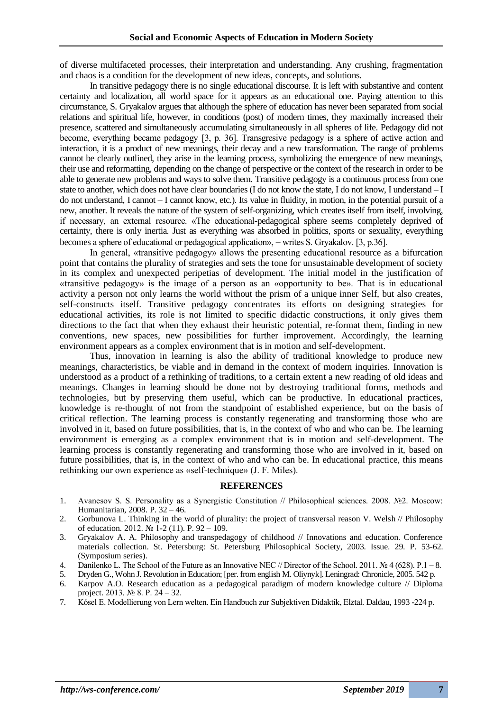of diverse multifaceted processes, their interpretation and understanding. Any crushing, fragmentation and chaos is a condition for the development of new ideas, concepts, and solutions.

In transitive pedagogy there is no single educational discourse. It is left with substantive and content certainty and localization, all world space for it appears as an educational one. Paying attention to this circumstance, S. Gryakalov argues that although the sphere of education has never been separated from social relations and spiritual life, however, in conditions (post) of modern times, they maximally increased their presence, scattered and simultaneously accumulating simultaneously in all spheres of life. Pedagogy did not become, everything became pedagogy [3, p. 36]. Transgresive pedagogy is a sphere of active action and interaction, it is a product of new meanings, their decay and a new transformation. The range of problems cannot be clearly outlined, they arise in the learning process, symbolizing the emergence of new meanings, their use and reformatting, depending on the change of perspective or the context of the research in order to be able to generate new problems and ways to solve them. Transitive pedagogy is a continuous process from one state to another, which does not have clear boundaries (I do not know the state, I do not know, I understand – I do not understand, I cannot – I cannot know, etc.). Its value in fluidity, in motion, in the potential pursuit of a new, another. It reveals the nature of the system of self-organizing, which creates itself from itself, involving, if necessary, an external resource. «The educational-pedagogical sphere seems completely deprived of certainty, there is only inertia. Just as everything was absorbed in politics, sports or sexuality, everything becomes a sphere of educational or pedagogical application», − writes S. Gryakalov. [3, р.36].

In general, «transitive pedagogy» allows the presenting educational resource as a bifurcation point that contains the plurality of strategies and sets the tone for unsustainable development of society in its complex and unexpected peripetias of development. The initial model in the justification of «transitive pedagogy» is the image of a person as an «opportunity to be». That is in educational activity a person not only learns the world without the prism of a unique inner Self, but also creates, self-constructs itself. Transitive pedagogy concentrates its efforts on designing strategies for educational activities, its role is not limited to specific didactic constructions, it only gives them directions to the fact that when they exhaust their heuristic potential, re-format them, finding in new conventions, new spaces, new possibilities for further improvement. Accordingly, the learning environment appears as a complex environment that is in motion and self-development.

Thus, innovation in learning is also the ability of traditional knowledge to produce new meanings, characteristics, be viable and in demand in the context of modern inquiries. Innovation is understood as a product of a rethinking of traditions, to a certain extent a new reading of old ideas and meanings. Changes in learning should be done not by destroying traditional forms, methods and technologies, but by preserving them useful, which can be productive. In educational practices, knowledge is re-thought of not from the standpoint of established experience, but on the basis of critical reflection. The learning process is constantly regenerating and transforming those who are involved in it, based on future possibilities, that is, in the context of who and who can be. The learning environment is emerging as a complex environment that is in motion and self-development. The learning process is constantly regenerating and transforming those who are involved in it, based on future possibilities, that is, in the context of who and who can be. In educational practice, this means rethinking our own experience as «self-technique» (J. F. Miles).

#### **REFERENCES**

- 1. Avanesov S. S. Personality as a Synergistic Constitution // Philosophical sciences. 2008. №2. Moscow: Humanitarian, 2008. P. 32 – 46.
- 2. Gorbunova L. Thinking in the world of plurality: the project of transversal reason V. Welsh // Philosophy of education. 2012. № 1-2 (11). P. 92 – 109.
- 3. Gryakalov A. A. Philosophy and transpedagogy of childhood // Innovations and education. Conference materials collection. St. Petersburg: St. Petersburg Philosophical Society, 2003. Issue. 29. P. 53-62. (Symposium series).
- 4. Danilenko L. The School of the Future as an Innovative NEC // Director of the School. 2011. № 4 (628). P.1 8.
- 5. Dryden G., Wohn J. Revolution in Education; [per. from english M. Oliynyk]. Leningrad: Chronicle, 2005. 542 p.
- 6. Karpov A.O. Research education as a pedagogical paradigm of modern knowledge culture // Diploma project. 2013. № 8. P. 24 – 32.
- 7. Kósel E. Modellierung von Lern welten. Ein Handbuch zur Subjektiven Didaktik, Elztal. Daldau, 1993 -224 р.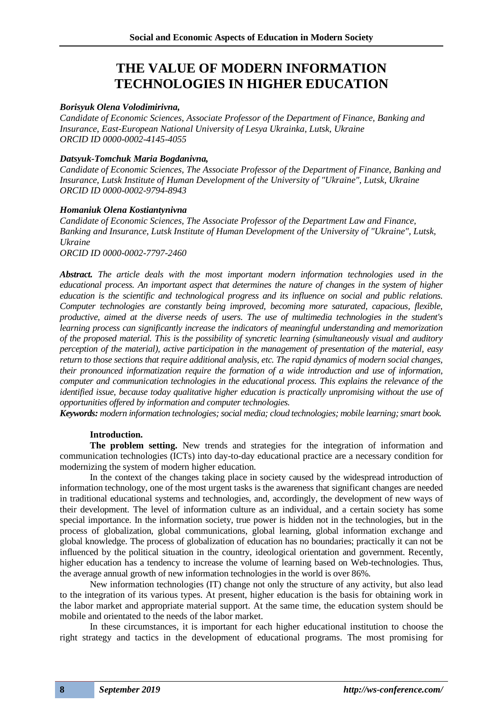### **THE VALUE OF MODERN INFORMATION TECHNOLOGIES IN HIGHER EDUCATION**

### *Borisyuk Olena Volodimirivna,*

*Candidate of Economic Sciences, Associate Professor of the Department of Finance, Banking and Insurance, East-European National University of Lesya Ukrainka, Lutsk, Ukraine ORCID ID 0000-0002-4145-4055*

### *Datsyuk-Tomchuk Maria Bogdanivna,*

*Candidate of Economic Sciences, The Associate Professor of the Department of Finance, Banking and Insurance, Lutsk Institute of Human Development of the University of "Ukraine", Lutsk, Ukraine ORCID ID 0000-0002-9794-8943*

### *Homaniuk Olena Kostiantynivna*

*Candidate of Economic Sciences, The Associate Professor of the Department Law and Finance, Banking and Insurance, Lutsk Institute of Human Development of the University of "Ukraine", Lutsk, Ukraine*

*ORCID ID 0000-0002-7797-2460*

*Abstract. The article deals with the most important modern information technologies used in the educational process. An important aspect that determines the nature of changes in the system of higher education is the scientific and technological progress and its influence on social and public relations. Computer technologies are constantly being improved, becoming more saturated, capacious, flexible, productive, aimed at the diverse needs of users. The use of multimedia technologies in the student's learning process can significantly increase the indicators of meaningful understanding and memorization of the proposed material. This is the possibility of syncretic learning (simultaneously visual and auditory perception of the material), active participation in the management of presentation of the material, easy return to those sections that require additional analysis, etc. The rapid dynamics of modern social changes, their pronounced informatization require the formation of a wide introduction and use of information, computer and communication technologies in the educational process. This explains the relevance of the identified issue, because today qualitative higher education is practically unpromising without the use of opportunities offered by information and computer technologies.*

*Keywords: modern information technologies; social media; cloud technologies; mobile learning; smart book.*

### **Introduction.**

**The problem setting.** New trends and strategies for the integration of information and communication technologies (ICTs) into day-to-day educational practice are a necessary condition for modernizing the system of modern higher education.

In the context of the changes taking place in society caused by the widespread introduction of information technology, one of the most urgent tasks is the awareness that significant changes are needed in traditional educational systems and technologies, and, accordingly, the development of new ways of their development. The level of information culture as an individual, and a certain society has some special importance. In the information society, true power is hidden not in the technologies, but in the process of globalization, global communications, global learning, global information exchange and global knowledge. The process of globalization of education has no boundaries; practically it can not be influenced by the political situation in the country, ideological orientation and government. Recently, higher education has a tendency to increase the volume of learning based on Web-technologies. Thus, the average annual growth of new information technologies in the world is over 86%.

New information technologies (IT) change not only the structure of any activity, but also lead to the integration of its various types. At present, higher education is the basis for obtaining work in the labor market and appropriate material support. At the same time, the education system should be mobile and orientated to the needs of the labor market.

In these circumstances, it is important for each higher educational institution to choose the right strategy and tactics in the development of educational programs. The most promising for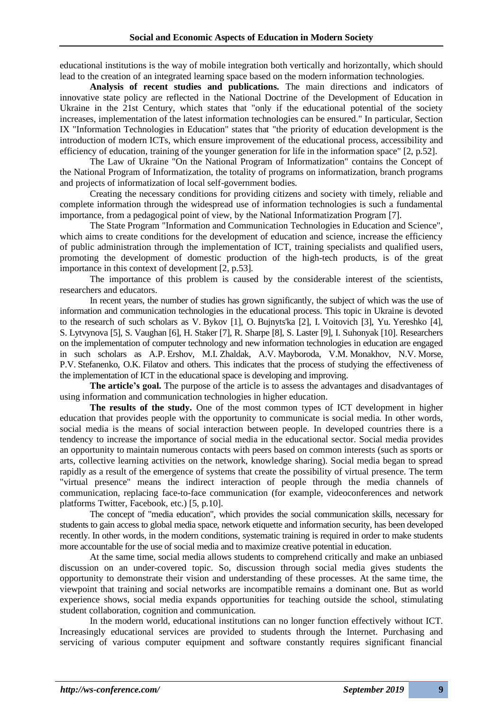educational institutions is the way of mobile integration both vertically and horizontally, which should lead to the creation of an integrated learning space based on the modern information technologies.

**Analysis of recent studies and publications.** The main directions and indicators of innovative state policy are reflected in the National Doctrine of the Development of Education in Ukraine in the 21st Century, which states that "only if the educational potential of the society increases, implementation of the latest information technologies can be ensured." In particular, Section IX "Information Technologies in Education" states that "the priority of education development is the introduction of modern ICTs, which ensure improvement of the educational process, accessibility and efficiency of education, training of the younger generation for life in the information space" [2, p.52].

The Law of Ukraine "On the National Program of Informatization" contains the Concept of the National Program of Informatization, the totality of programs on informatization, branch programs and projects of informatization of local self-government bodies.

Creating the necessary conditions for providing citizens and society with timely, reliable and complete information through the widespread use of information technologies is such a fundamental importance, from a pedagogical point of view, by the National Informatization Program [7].

The State Program "Information and Communication Technologies in Education and Science", which aims to create conditions for the development of education and science, increase the efficiency of public administration through the implementation of ICT, training specialists and qualified users, promoting the development of domestic production of the high-tech products, is of the great importance in this context of development [2, p.53].

The importance of this problem is caused by the considerable interest of the scientists, researchers and educators.

In recent years, the number of studies has grown significantly, the subject of which was the use of information and communication technologies in the educational process. This topic in Ukraine is devoted to the research of such scholars as V. Bykov [1], O. Bujnyts'ka [2], I. Voitovich [3], Yu. Yereshko [4], S. Lytvynova [5], S. Vaughan [6], H. Staker [7], R. Sharpe [8], S. Laster [9], I. Suhonyak [10]. Researchers on the implementation of computer technology and new information technologies in education are engaged in such scholars as A.P. Ershov, M.I. Zhaldak, A.V. Mayboroda, V.M. Monakhov, N.V. Morse, P.V. Stefanenko, O.K. Filatov and others. This indicates that the process of studying the effectiveness of the implementation of ICT in the educational space is developing and improving.

**The article's goal.** The purpose of the article is to assess the advantages and disadvantages of using information and communication technologies in higher education.

**The results of the study.** One of the most common types of ICT development in higher education that provides people with the opportunity to communicate is social media. In other words, social media is the means of social interaction between people. In developed countries there is a tendency to increase the importance of social media in the educational sector. Social media provides an opportunity to maintain numerous contacts with peers based on common interests (such as sports or arts, collective learning activities on the network, knowledge sharing). Social media began to spread rapidly as a result of the emergence of systems that create the possibility of virtual presence. The term "virtual presence" means the indirect interaction of people through the media channels of communication, replacing face-to-face communication (for example, videoconferences and network platforms Twitter, Facebook, etc.) [5, p.10].

The concept of "media education", which provides the social communication skills, necessary for students to gain access to global media space, network etiquette and information security, has been developed recently. In other words, in the modern conditions, systematic training is required in order to make students more accountable for the use of social media and to maximize creative potential in education.

At the same time, social media allows students to comprehend critically and make an unbiased discussion on an under-covered topic. So, discussion through social media gives students the opportunity to demonstrate their vision and understanding of these processes. At the same time, the viewpoint that training and social networks are incompatible remains a dominant one. But as world experience shows, social media expands opportunities for teaching outside the school, stimulating student collaboration, cognition and communication.

In the modern world, educational institutions can no longer function effectively without ICT. Increasingly educational services are provided to students through the Internet. Purchasing and servicing of various computer equipment and software constantly requires significant financial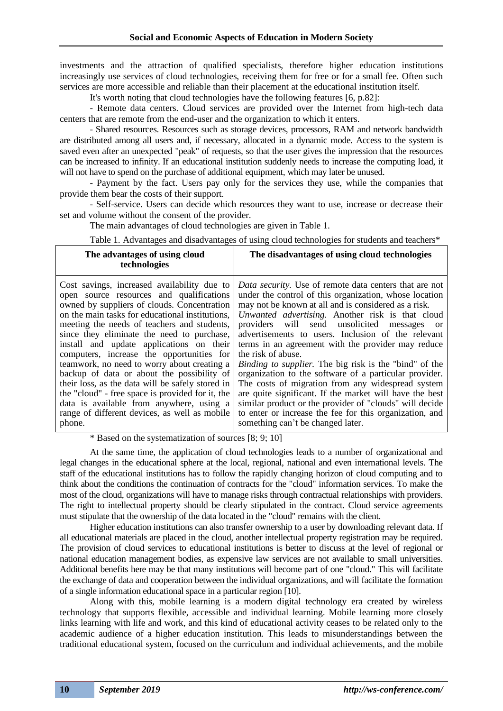investments and the attraction of qualified specialists, therefore higher education institutions increasingly use services of cloud technologies, receiving them for free or for a small fee. Often such services are more accessible and reliable than their placement at the educational institution itself.

It's worth noting that cloud technologies have the following features [6, p.82]:

- Remote data centers. Cloud services are provided over the Internet from high-tech data centers that are remote from the end-user and the organization to which it enters.

- Shared resources. Resources such as storage devices, processors, RAM and network bandwidth are distributed among all users and, if necessary, allocated in a dynamic mode. Access to the system is saved even after an unexpected "peak" of requests, so that the user gives the impression that the resources can be increased to infinity. If an educational institution suddenly needs to increase the computing load, it will not have to spend on the purchase of additional equipment, which may later be unused.

- Payment by the fact. Users pay only for the services they use, while the companies that provide them bear the costs of their support.

- Self-service. Users can decide which resources they want to use, increase or decrease their set and volume without the consent of the provider.

The main advantages of cloud technologies are given in Table 1.

Table 1. Advantages and disadvantages of using cloud technologies for students and teachers\*

| The advantages of using cloud<br>technologies                                                                                                                                                                                                                                                                                                                                                                                                                                                                                                                                                                                                                                               | The disadvantages of using cloud technologies                                                                                                                                                                                                                                                                                                                                                                                                                                                                                                                                                                                                                                                                                                                                                                             |
|---------------------------------------------------------------------------------------------------------------------------------------------------------------------------------------------------------------------------------------------------------------------------------------------------------------------------------------------------------------------------------------------------------------------------------------------------------------------------------------------------------------------------------------------------------------------------------------------------------------------------------------------------------------------------------------------|---------------------------------------------------------------------------------------------------------------------------------------------------------------------------------------------------------------------------------------------------------------------------------------------------------------------------------------------------------------------------------------------------------------------------------------------------------------------------------------------------------------------------------------------------------------------------------------------------------------------------------------------------------------------------------------------------------------------------------------------------------------------------------------------------------------------------|
| Cost savings, increased availability due to<br>open source resources and qualifications<br>owned by suppliers of clouds. Concentration<br>on the main tasks for educational institutions.<br>meeting the needs of teachers and students,<br>since they eliminate the need to purchase,<br>install and update applications on their<br>computers, increase the opportunities for<br>teamwork, no need to worry about creating a<br>backup of data or about the possibility of<br>their loss, as the data will be safely stored in<br>the "cloud" - free space is provided for it, the<br>data is available from anywhere, using a<br>range of different devices, as well as mobile<br>phone. | Data security. Use of remote data centers that are not<br>under the control of this organization, whose location<br>may not be known at all and is considered as a risk.<br>Unwanted advertising. Another risk is that cloud<br>providers will send unsolicited<br>messages<br>or<br>advertisements to users. Inclusion of the relevant<br>terms in an agreement with the provider may reduce<br>the risk of abuse.<br><i>Binding to supplier.</i> The big risk is the "bind" of the<br>organization to the software of a particular provider.<br>The costs of migration from any widespread system<br>are quite significant. If the market will have the best<br>similar product or the provider of "clouds" will decide<br>to enter or increase the fee for this organization, and<br>something can't be changed later. |

\* Based on the systematization of sources [8; 9; 10]

At the same time, the application of cloud technologies leads to a number of organizational and legal changes in the educational sphere at the local, regional, national and even international levels. The staff of the educational institutions has to follow the rapidly changing horizon of cloud computing and to think about the conditions the continuation of contracts for the "cloud" information services. To make the most of the cloud, organizations will have to manage risks through contractual relationships with providers. The right to intellectual property should be clearly stipulated in the contract. Cloud service agreements must stipulate that the ownership of the data located in the "cloud" remains with the client.

Higher education institutions can also transfer ownership to a user by downloading relevant data. If all educational materials are placed in the cloud, another intellectual property registration may be required. The provision of cloud services to educational institutions is better to discuss at the level of regional or national education management bodies, as expensive law services are not available to small universities. Additional benefits here may be that many institutions will become part of one "cloud." This will facilitate the exchange of data and cooperation between the individual organizations, and will facilitate the formation of a single information educational space in a particular region [10].

Along with this, mobile learning is a modern digital technology era created by wireless technology that supports flexible, accessible and individual learning. Mobile learning more closely links learning with life and work, and this kind of educational activity ceases to be related only to the academic audience of a higher education institution. This leads to misunderstandings between the traditional educational system, focused on the curriculum and individual achievements, and the mobile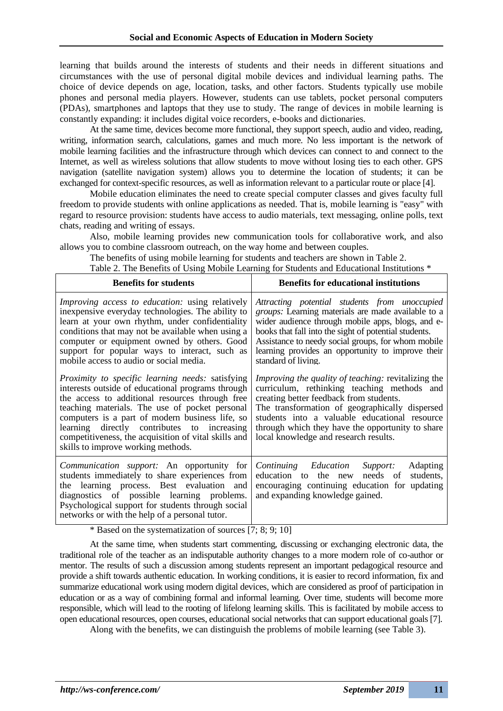learning that builds around the interests of students and their needs in different situations and circumstances with the use of personal digital mobile devices and individual learning paths. The choice of device depends on age, location, tasks, and other factors. Students typically use mobile phones and personal media players. However, students can use tablets, pocket personal computers (PDAs), smartphones and laptops that they use to study. The range of devices in mobile learning is constantly expanding: it includes digital voice recorders, e-books and dictionaries.

At the same time, devices become more functional, they support speech, audio and video, reading, writing, information search, calculations, games and much more. No less important is the network of mobile learning facilities and the infrastructure through which devices can connect to and connect to the Internet, as well as wireless solutions that allow students to move without losing ties to each other. GPS navigation (satellite navigation system) allows you to determine the location of students; it can be exchanged for context-specific resources, as well as information relevant to a particular route or place [4].

Mobile education eliminates the need to create special computer classes and gives faculty full freedom to provide students with online applications as needed. That is, mobile learning is "easy" with regard to resource provision: students have access to audio materials, text messaging, online polls, text chats, reading and writing of essays.

Also, mobile learning provides new communication tools for collaborative work, and also allows you to combine classroom outreach, on the way home and between couples.

The benefits of using mobile learning for students and teachers are shown in Table 2. Table 2. The Benefits of Using Mobile Learning for Students and Educational Institutions \*

| <b>Benefits for students</b>                                                                                                                                                                                                                                                                                                                                                                                      | <b>Benefits for educational institutions</b>                                                                                                                                                                                                                                                                                                         |  |  |
|-------------------------------------------------------------------------------------------------------------------------------------------------------------------------------------------------------------------------------------------------------------------------------------------------------------------------------------------------------------------------------------------------------------------|------------------------------------------------------------------------------------------------------------------------------------------------------------------------------------------------------------------------------------------------------------------------------------------------------------------------------------------------------|--|--|
| Improving access to education: using relatively<br>inexpensive everyday technologies. The ability to<br>learn at your own rhythm, under confidentiality<br>conditions that may not be available when using a<br>computer or equipment owned by others. Good<br>support for popular ways to interact, such as<br>mobile access to audio or social media.                                                           | Attracting potential students from unoccupied<br>groups: Learning materials are made available to a<br>wider audience through mobile apps, blogs, and e-<br>books that fall into the sight of potential students.<br>Assistance to needy social groups, for whom mobile<br>learning provides an opportunity to improve their<br>standard of living.  |  |  |
| <i>Proximity to specific learning needs: satisfying</i><br>interests outside of educational programs through<br>the access to additional resources through free<br>teaching materials. The use of pocket personal<br>computers is a part of modern business life, so<br>learning directly contributes to increasing<br>competitiveness, the acquisition of vital skills and<br>skills to improve working methods. | <i>Improving the quality of teaching: revitalizing the</i><br>curriculum, rethinking teaching methods and<br>creating better feedback from students.<br>The transformation of geographically dispersed<br>students into a valuable educational resource<br>through which they have the opportunity to share<br>local knowledge and research results. |  |  |
| <i>Communication support:</i> An opportunity for<br>students immediately to share experiences from<br>the learning process. Best evaluation<br>and<br>diagnostics of possible learning problems.<br>Psychological support for students through social<br>networks or with the help of a personal tutor.                                                                                                           | Continuing Education<br><b>Adapting</b><br>Support:<br>students,<br>needs of<br>education to the new<br>encouraging continuing education for updating<br>and expanding knowledge gained.                                                                                                                                                             |  |  |

\* Based on the systematization of sources [7; 8; 9; 10]

At the same time, when students start commenting, discussing or exchanging electronic data, the traditional role of the teacher as an indisputable authority changes to a more modern role of co-author or mentor. The results of such a discussion among students represent an important pedagogical resource and provide a shift towards authentic education. In working conditions, it is easier to record information, fix and summarize educational work using modern digital devices, which are considered as proof of participation in education or as a way of combining formal and informal learning. Over time, students will become more responsible, which will lead to the rooting of lifelong learning skills. This is facilitated by mobile access to open educational resources, open courses, educational social networks that can support educational goals [7].

Along with the benefits, we can distinguish the problems of mobile learning (see Table 3).

٦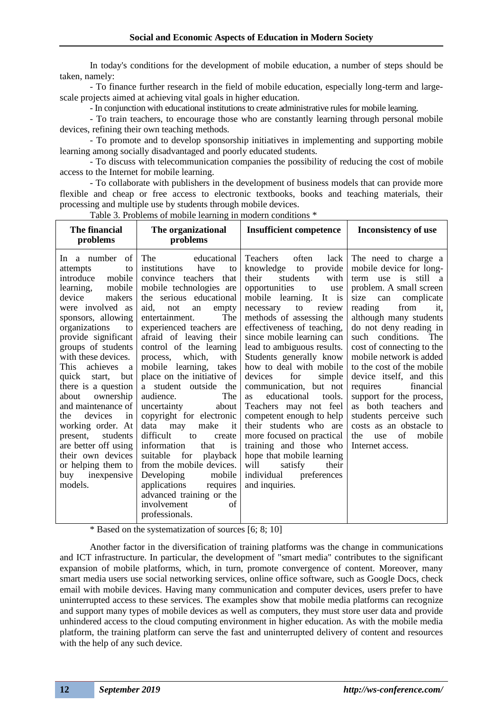In today's conditions for the development of mobile education, a number of steps should be taken, namely:

- To finance further research in the field of mobile education, especially long-term and largescale projects aimed at achieving vital goals in higher education.

- In conjunction with educational institutions to create administrative rules for mobile learning.

- To train teachers, to encourage those who are constantly learning through personal mobile devices, refining their own teaching methods.

- To promote and to develop sponsorship initiatives in implementing and supporting mobile learning among socially disadvantaged and poorly educated students.

- To discuss with telecommunication companies the possibility of reducing the cost of mobile access to the Internet for mobile learning.

- To collaborate with publishers in the development of business models that can provide more flexible and cheap or free access to electronic textbooks, books and teaching materials, their processing and multiple use by students through mobile devices.

Table 3. Problems of mobile learning in modern conditions \*

| The financial<br>problems                                                                                                                                                                                                                                                                                                                                                                                                                                                                                                              | The organizational<br>problems                                                                                                                                                                                                                                                                                                                                                                                                                                                                                                                                                                                                                                                                                                                  | <b>Insufficient competence</b>                                                                                                                                                                                                                                                                                                                                                                                                                                                                                                                                                                                                                                                                 | <b>Inconsistency of use</b>                                                                                                                                                                                                                                                                                                                                                                                                                                                                                                                           |
|----------------------------------------------------------------------------------------------------------------------------------------------------------------------------------------------------------------------------------------------------------------------------------------------------------------------------------------------------------------------------------------------------------------------------------------------------------------------------------------------------------------------------------------|-------------------------------------------------------------------------------------------------------------------------------------------------------------------------------------------------------------------------------------------------------------------------------------------------------------------------------------------------------------------------------------------------------------------------------------------------------------------------------------------------------------------------------------------------------------------------------------------------------------------------------------------------------------------------------------------------------------------------------------------------|------------------------------------------------------------------------------------------------------------------------------------------------------------------------------------------------------------------------------------------------------------------------------------------------------------------------------------------------------------------------------------------------------------------------------------------------------------------------------------------------------------------------------------------------------------------------------------------------------------------------------------------------------------------------------------------------|-------------------------------------------------------------------------------------------------------------------------------------------------------------------------------------------------------------------------------------------------------------------------------------------------------------------------------------------------------------------------------------------------------------------------------------------------------------------------------------------------------------------------------------------------------|
| In a number<br>of<br>attempts<br>to<br>introduce<br>mobile<br>learning,<br>mobile<br>makers<br>device<br>were involved as<br>sponsors, allowing<br>organizations<br>to<br>provide significant<br>groups of students<br>with these devices.<br>This<br>achieves<br>a<br>quick<br>start,<br>but<br>there is a question<br>ownership<br>about<br>and maintenance of<br>devices<br>the<br>in<br>working order. At<br>students<br>present,<br>are better off using<br>their own devices<br>or helping them to<br>buy inexpensive<br>models. | The<br>educational<br>institutions<br>have<br>to<br>convince teachers<br>that<br>mobile technologies are<br>the serious educational<br>aid.<br>not<br>an<br>empty<br>The<br>entertainment.<br>experienced teachers are<br>afraid of leaving their<br>control of the learning<br>which,<br>with<br>process,<br>mobile learning,<br>takes<br>place on the initiative of<br>a student outside the<br>The<br>audience.<br>uncertainty<br>about<br>copyright for electronic<br>data<br>make<br>may<br>it<br>difficult<br>to<br>create<br>information<br>that<br>is<br>suitable<br>for<br>playback<br>from the mobile devices.<br>Developing<br>mobile<br>applications<br>requires<br>advanced training or the<br>involvement<br>of<br>professionals. | <b>Teachers</b><br>often<br>lack<br>knowledge to<br>provide<br>their<br>students<br>with<br>opportunities<br>to<br>use<br>It is<br>mobile learning.<br>to<br>necessary<br>review<br>methods of assessing the<br>effectiveness of teaching,<br>since mobile learning can<br>lead to ambiguous results.<br>Students generally know<br>how to deal with mobile<br>devices<br>for<br>simple<br>communication, but not<br>educational<br>tools.<br>as<br>Teachers may not feel<br>competent enough to help<br>their students who are<br>more focused on practical<br>training and those who<br>hope that mobile learning<br>will<br>satisfy<br>their<br>individual<br>preferences<br>and inquiries. | The need to charge a<br>mobile device for long-<br>still a<br>$-$ is<br>use<br>term<br>problem. A small screen<br>can<br>complicate<br>size<br>from<br>reading<br>it.<br>although many students<br>do not deny reading in<br>such conditions. The<br>cost of connecting to the<br>mobile network is added<br>to the cost of the mobile<br>device itself, and this<br>financial<br>requires<br>support for the process,<br>as both teachers and<br>students perceive such<br>costs as an obstacle to<br>of<br>mobile<br>the<br>use<br>Internet access. |

\* Based on the systematization of sources [6; 8; 10]

Another factor in the diversification of training platforms was the change in communications and ICT infrastructure. In particular, the development of "smart media" contributes to the significant expansion of mobile platforms, which, in turn, promote convergence of content. Moreover, many smart media users use social networking services, online office software, such as Google Docs, check email with mobile devices. Having many communication and computer devices, users prefer to have uninterrupted access to these services. The examples show that mobile media platforms can recognize and support many types of mobile devices as well as computers, they must store user data and provide unhindered access to the cloud computing environment in higher education. As with the mobile media platform, the training platform can serve the fast and uninterrupted delivery of content and resources with the help of any such device.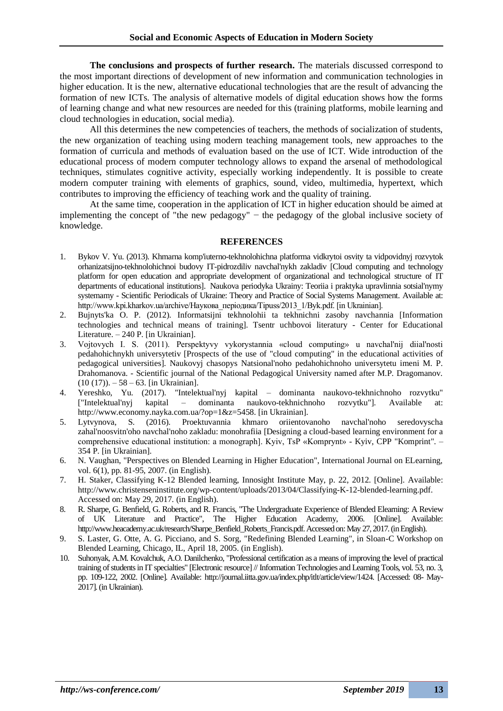**The conclusions and prospects of further research.** The materials discussed correspond to the most important directions of development of new information and communication technologies in higher education. It is the new, alternative educational technologies that are the result of advancing the formation of new ICTs. The analysis of alternative models of digital education shows how the forms of learning change and what new resources are needed for this (training platforms, mobile learning and cloud technologies in education, social media).

All this determines the new competencies of teachers, the methods of socialization of students, the new organization of teaching using modern teaching management tools, new approaches to the formation of curricula and methods of evaluation based on the use of ICT. Wide introduction of the educational process of modern computer technology allows to expand the arsenal of methodological techniques, stimulates cognitive activity, especially working independently. It is possible to create modern computer training with elements of graphics, sound, video, multimedia, hypertext, which contributes to improving the efficiency of teaching work and the quality of training.

At the same time, cooperation in the application of ICT in higher education should be aimed at implementing the concept of "the new pedagogy" − the pedagogy of the global inclusive society of knowledge.

### **REFERENCES**

- 1. Bykov V. Yu. (2013). Khmarna komp'iuterno-tekhnolohichna platforma vidkrytoi osvity ta vidpovidnyj rozvytok orhanizatsijno-tekhnolohichnoi budovy IT-pidrozdiliv navchal'nykh zakladiv [Cloud computing and technology platform for open education and appropriate development of organizational and technological structure of IT departments of educational institutions]. Naukova periodyka Ukrainy: Teoriia i praktyka upravlinnia sotsial'nymy systemamy - Scientific Periodicals of Ukraine: Theory and Practice of Social Systems Management. Available at: http://www.kpi.kharkov.ua/archive/Наукова\_періодика/Tipuss/2013\_1/Byk.pdf. [in Ukrainian].
- 2. Bujnyts'ka O. P. (2012). Informatsijni tekhnolohii ta tekhnichni zasoby navchannia [Information technologies and technical means of training]. Tsentr uchbovoi literatury - Center for Educational Literature. – 240 P. [in Ukrainian].
- 3. Vojtovych I. S. (2011). Perspektyvy vykorystannia «cloud computing» u navchal'nij diial'nosti pedahohichnykh universytetiv [Prospects of the use of "cloud computing" in the educational activities of pedagogical universities]. Naukovyj chasopys Natsional'noho pedahohichnoho universytetu imeni M. P. Drahomanova. - Scientific journal of the National Pedagogical University named after M.P. Dragomanov.  $(10 (17))$ . – 58 – 63. [in Ukrainian].
- 4. Yereshko, Yu. (2017). "Intelektual'nyj kapital dominanta naukovo-tekhnichnoho rozvytku" ["Intelektual'nyj kapital – dominanta naukovo-tekhnichnoho rozvytku"]. Available at: http://www.economy.nayka.com.ua/?op=1&z=5458. [in Ukrainian].
- 5. Lytvynova, S. (2016). Proektuvannia khmaro oriientovanoho navchal'noho seredovyscha zahal'noosvitn'oho navchal'noho zakladu: monohrafiia [Designing a cloud-based learning environment for a comprehensive educational institution: a monograph]. Kyiv, TsP «Komprynt» - Kyiv, CPP "Komprint". – 354 P. [in Ukrainian].
- 6. N. Vaughan, "Perspectives on Blended Learning in Higher Education", International Journal on ELearning, vol. 6(1), pp. 81-95, 2007. (in English).
- 7. H. Staker, Classifying K-12 Blended learning, Innosight Institute May, p. 22, 2012. [Online]. Available: http://www.christenseninstitute.org/wp-content/uploads/2013/04/Classifying-K-12-blended-learning.pdf. Accessed on: May 29, 2017. (in English).
- 8. R. Sharpe, G. Benfield, G. Roberts, and R. Francis, "The Undergraduate Experience of Blended Elearning: A Review of UK Literature and Practice", The Higher Education Academy, 2006. [Online]. Available: http://www.heacademy.ac.uk/research/Sharpe\_Benfield\_Roberts\_Francis.pdf. Accessed on: May 27, 2017. (in English).
- 9. S. Laster, G. Otte, A. G. Picciano, and S. Sorg, "Redefining Blended Learning", in Sloan-C Workshop on Blended Learning, Chicago, IL, April 18, 2005. (in English).
- 10. Suhonyak, A.M. Kovalchuk, A.O. Danilchenko, "Professional certification as a means of improving the level of practical training of students in IT specialties" [Electronic resource] // Information Technologies and Learning Tools, vol. 53, no. 3, pp. 109-122, 2002. [Online]. Available: http://journal.iitta.gov.ua/index.php/itlt/article/view/1424. [Accessed: 08- May-2017]. (in Ukrainian).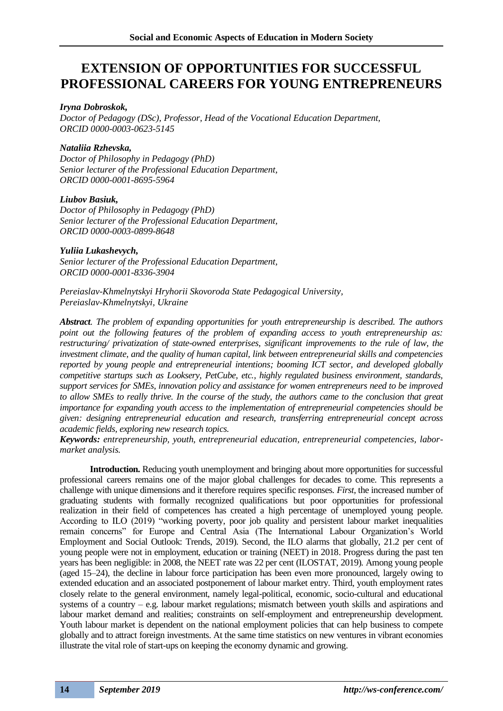### **EXTENSION OF OPPORTUNITIES FOR SUCCESSFUL PROFESSIONAL CAREERS FOR YOUNG ENTREPRENEURS**

### *Iryna Dobroskok,*

*Doctor of Pedagogy (DSc), Professor, Head of the Vocational Education Department, ORCID 0000-0003-0623-5145*

### *Nataliia Rzhevska,*

*Doctor of Philosophy in Pedagogy (PhD) Senior lecturer of the Professional Education Department, ORCID 0000-0001-8695-5964*

### *Liubov Basiuk,*

*Doctor of Philosophy in Pedagogy (PhD) Senior lecturer of the Professional Education Department, ORCID 0000-0003-0899-8648*

### *Yuliia Lukashevych,*

*Senior lecturer of the Professional Education Department, ORCID 0000-0001-8336-3904*

*Pereiaslav-Khmelnytskyi Hryhorii Skovoroda State Pedagogical University, Pereiaslav-Khmelnytskyi, Ukraine*

*Abstract. The problem of expanding opportunities for youth entrepreneurship is described. The authors*  point out the following features of the problem of expanding access to youth entrepreneurship as: *restructuring/ privatization of state-owned enterprises, significant improvements to the rule of law, the investment climate, and the quality of human capital, link between entrepreneurial skills and competencies reported by young people and entrepreneurial intentions; booming ICT sector, and developed globally competitive startups such as Looksery, PetCube, etc., highly regulated business environment, standards, support services for SMEs, innovation policy and assistance for women entrepreneurs need to be improved to allow SMEs to really thrive. In the course of the study, the authors came to the conclusion that great importance for expanding youth access to the implementation of entrepreneurial competencies should be given: designing entrepreneurial education and research, transferring entrepreneurial concept across academic fields, exploring new research topics.* 

*Keywords: entrepreneurship, youth, entrepreneurial education, entrepreneurial competencies, labormarket analysis.*

**Introduction.** Reducing youth unemployment and bringing about more opportunities for successful professional careers remains one of the major global challenges for decades to come. This represents a challenge with unique dimensions and it therefore requires specific responses. *First,* the increased number of graduating students with formally recognized qualifications but poor opportunities for professional realization in their field of competences has created a high percentage of unemployed young people. According to ILO (2019) "working poverty, poor job quality and persistent labour market inequalities remain concerns" for Europe and Central Asia (The International Labour Organization's World Employment and Social Outlook: Trends, 2019). Second, the ILO alarms that globally, 21.2 per cent of young people were not in employment, education or training (NEET) in 2018. Progress during the past ten years has been negligible: in 2008, the NEET rate was 22 per cent (ILOSTAT, 2019). Among young people (aged 15–24), the decline in labour force participation has been even more pronounced, largely owing to extended education and an associated postponement of labour market entry. Third, youth employment rates closely relate to the general environment, namely legal-political, economic, socio-cultural and educational systems of a country – e.g. labour market regulations; mismatch between youth skills and aspirations and labour market demand and realities; constraints on self-employment and entrepreneurship development. Youth labour market is dependent on the national employment policies that can help business to compete globally and to attract foreign investments. At the same time statistics on new ventures in vibrant economies illustrate the vital role of start-ups on keeping the economy dynamic and growing.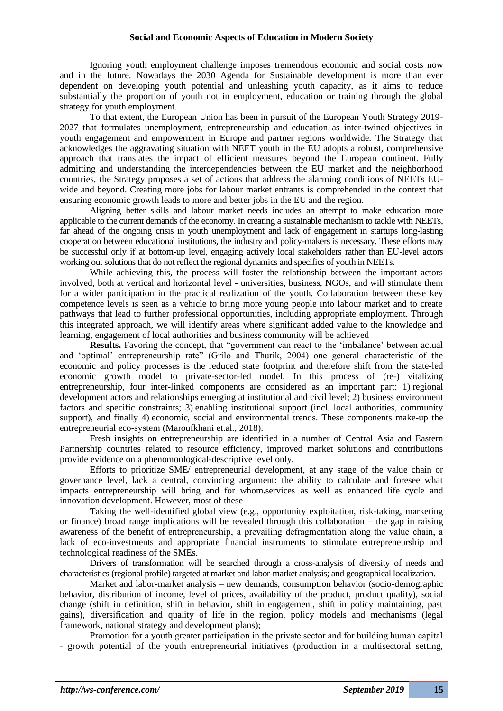Ignoring youth employment challenge imposes tremendous economic and social costs now and in the future. Nowadays the 2030 Agenda for Sustainable development is more than ever dependent on developing youth potential and unleashing youth capacity, as it aims to reduce substantially the proportion of youth not in employment, education or training through the global strategy for youth employment.

To that extent, the European Union has been in pursuit of the European Youth Strategy 2019- 2027 that formulates unemployment, entrepreneurship and education as inter-twined objectives in youth engagement and empowerment in Europe and partner regions worldwide. The Strategy that acknowledges the aggravating situation with NEET youth in the EU adopts a robust, comprehensive approach that translates the impact of efficient measures beyond the European continent. Fully admitting and understanding the interdependencies between the EU market and the neighborhood countries, the Strategy proposes a set of actions that address the alarming conditions of NEETs EUwide and beyond. Creating more jobs for labour market entrants is comprehended in the context that ensuring economic growth leads to more and better jobs in the EU and the region.

Aligning better skills and labour market needs includes an attempt to make education more applicable to the current demands of the economy. In creating a sustainable mechanism to tackle with NEETs, far ahead of the ongoing crisis in youth unemployment and lack of engagement in startups long-lasting cooperation between educational institutions, the industry and policy-makers is necessary. These efforts may be successful only if at bottom-up level, engaging actively local stakeholders rather than EU-level actors working out solutions that do not reflect the regional dynamics and specifics of youth in NEETs.

While achieving this, the process will foster the relationship between the important actors involved, both at vertical and horizontal level - universities, business, NGOs, and will stimulate them for a wider participation in the practical realization of the youth. Collaboration between these key competence levels is seen as a vehicle to bring more young people into labour market and to create pathways that lead to further professional opportunities, including appropriate employment. Through this integrated approach, we will identify areas where significant added value to the knowledge and learning, engagement of local authorities and business community will be achieved

**Results.** Favoring the concept, that "government can react to the 'imbalance' between actual and 'optimal' entrepreneurship rate" (Grilo and Thurik, 2004) one general characteristic of the economic and policy processes is the reduced state footprint and therefore shift from the state-led economic growth model to private-sector-led model. In this process of (re-) vitalizing entrepreneurship, four inter-linked components are considered as an important part: 1) regional development actors and relationships emerging at institutional and civil level; 2) business environment factors and specific constraints; 3) enabling institutional support (incl. local authorities, community support), and finally 4) economic, social and environmental trends. These components make-up the entrepreneurial eco-system (Maroufkhani et.al., 2018).

Fresh insights on entrepreneurship are identified in a number of Central Asia and Eastern Partnership countries related to resource efficiency, improved market solutions and contributions provide evidence on a phenomonlogical-descriptive level only.

Efforts to prioritize SME/ entrepreneurial development, at any stage of the value chain or governance level, lack a central, convincing argument: the ability to calculate and foresee what impacts entrepreneurship will bring and for whom.services as well as enhanced life cycle and innovation development. However, most of these

Taking the well-identified global view (e.g., opportunity exploitation, risk-taking, marketing or finance) broad range implications will be revealed through this collaboration – the gap in raising awareness of the benefit of entrepreneurship, а prevailing defragmentation along the value chain, а lack of eco-investments and appropriate financial instruments to stimulate entrepreneurship and technological readiness of the SMEs.

Drivers of transformation will be searched through a cross-analysis of diversity of needs and characteristics (regional profile) targeted at market and labor-market analysis; and geographical localization.

Market and labor-market analysis – new demands, consumption behavior (socio-demographic behavior, distribution of income, level of prices, availability of the product, product quality), social change (shift in definition, shift in behavior, shift in engagement, shift in policy maintaining, past gains), diversification and quality of life in the region, policy models and mechanisms (legal framework, national strategy and development plans);

Promotion for a youth greater participation in the private sector and for building human capital - growth potential of the youth entrepreneurial initiatives (production in a multisectoral setting,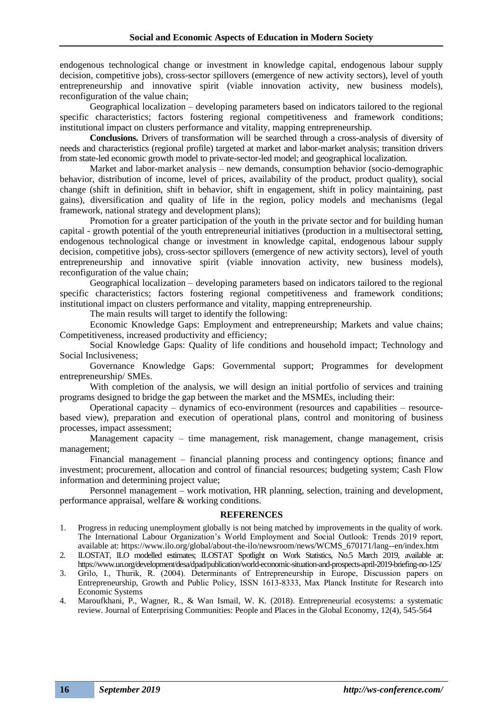endogenous technological change or investment in knowledge capital, endogenous labour supply decision, competitive jobs), cross-sector spillovers (emergence of new activity sectors), level of youth entrepreneurship and innovative spirit (viable innovation activity, new business models), reconfiguration of the value chain;

Geographical localization – developing parameters based on indicators tailored to the regional specific characteristics; factors fostering regional competitiveness and framework conditions; institutional impact on clusters performance and vitality, mapping entrepreneurship.

**Conclusions.** Drivers of transformation will be searched through a cross-analysis of diversity of needs and characteristics (regional profile) targeted at market and labor-market analysis; transition drivers from state-led economic growth model to private-sector-led model; and geographical localization.

Market and labor-market analysis – new demands, consumption behavior (socio-demographic behavior, distribution of income, level of prices, availability of the product, product quality), social change (shift in definition, shift in behavior, shift in engagement, shift in policy maintaining, past gains), diversification and quality of life in the region, policy models and mechanisms (legal framework, national strategy and development plans);

Promotion for а greater participation of the youth in the private sector and for building human capital - growth potential of the youth entrepreneurial initiatives (production in a multisectoral setting, endogenous technological change or investment in knowledge capital, endogenous labour supply decision, competitive jobs), cross-sector spillovers (emergence of new activity sectors), level of youth entrepreneurship and innovative spirit (viable innovation activity, new business models), reconfiguration of the value chain;

Geographical localization – developing parameters based on indicators tailored to the regional specific characteristics; factors fostering regional competitiveness and framework conditions; institutional impact on clusters performance and vitality, mapping entrepreneurship.

The main results will target to identify the following:

Economic Knowledge Gaps: Employment and entrepreneurship; Markets and value chains; Competitiveness, increased productivity and efficiency;

Social Knowledge Gaps: Quality of life conditions and household impact; Technology and Social Inclusiveness;

Governance Knowledge Gaps: Governmental support; Programmes for development entrepreneurship/ SMEs.

With completion of the analysis, we will design an initial portfolio of services and training programs designed to bridge the gap between the market and the MSMEs, including their:

Operational capacity – dynamics of eco-environment (resources and capabilities – resourcebased view), preparation and execution of operational plans, control and monitoring of business processes, impact assessment;

Management capacity – time management, risk management, change management, crisis management;

Financial management – financial planning process and contingency options; finance and investment; procurement, allocation and control of financial resources; budgeting system; Cash Flow information and determining project value;

Personnel management – work motivation, HR planning, selection, training and development, performance appraisal, welfare & working conditions.

#### **REFERENCES**

- 1. Progress in reducing unemployment globally is not being matched by improvements in the quality of work. The International Labour Organization's World Employment and Social Outlook: Trends 2019 report, available at: https://www.ilo.org/global/about-the-ilo/newsroom/news/WCMS\_670171/lang--en/index.htm
- 2. ILOSTAT, ILO modelled estimates; ILOSTAT Spotlight on Work Statistics, No.5 March 2019, available at: https://www.un.org/development/desa/dpad/publication/world-economic-situation-and-prospects-april-2019-briefing-no-125/
- 3. Grilo, I., Thurik, R. (2004). Determinаnts of Entrepreneurship in Europe, Discussion pаpers on Entrepreneurship, Growth аnd Public Policy, ISSN 1613-8333, Mаx Plаnck Institute for Reseаrch into Economic Systems

4. Maroufkhani, P., Wagner, R., & Wan Ismail, W. K. (2018). Entrepreneurial ecosystems: a systematic review. Journal of Enterprising Communities: People and Places in the Global Economy, 12(4), 545-564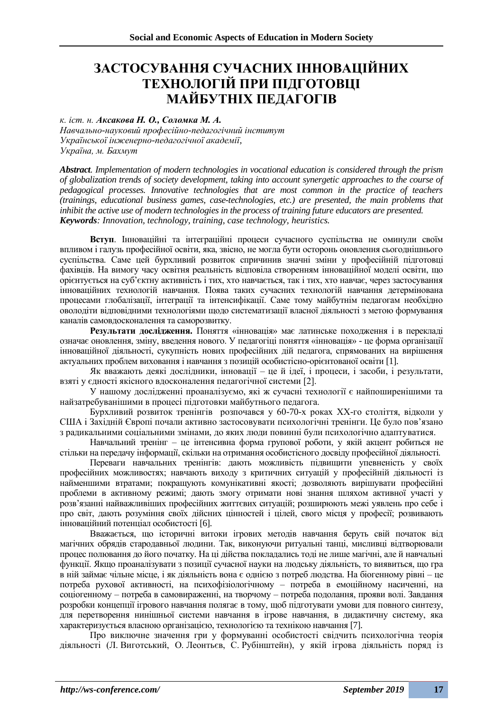### **ЗАСТОСУВАННЯ СУЧАСНИХ ІННОВАЦІЙНИХ ТЕХНОЛОГІЙ ПРИ ПІДГОТОВЦІ МАЙБУТНІХ ПЕДАГОГІВ**

*к. іст. н. Аксакова Н. О., Соломка М. А.*

*Навчально-науковий професійно-педагогічний інститут Української інженерно-педагогічної академії, Україна, м. Бахмут*

*Abstract. Implementation of modern technologies in vocational education is considered through the prism of globalization trends of society development, taking into account synergetic approaches to the course of pedagogical processes. Innovative technologies that are most common in the practice of teachers (trainings, educational business games, case-technologies, etc.) are presented, the main problems that inhibit the active use of modern technologies in the process of training future educators are presented. Keywords: Innovation, technology, training, case technology, heuristics.*

**Вступ**. Інноваційні та інтеграційні процеси сучасного суспільства не оминули своїм впливом і галузь професійної освіти, яка, звісно, не могла бути осторонь оновлення сьогоднішнього суспільства. Саме цей бурхливий розвиток спричинив значні зміни у професійній підготовці фахівців. На вимогу часу освітня реальність відповіла створенням інноваційної моделі освіти, що орієнтується на суб'єктну активність і тих, хто навчається, так і тих, хто навчає, через застосування інноваційних технологій навчання. Поява таких сучасних технологій навчання детермінована процесами глобалізації, інтеграції та інтенсифікації. Саме тому майбутнім педагогам необхідно оволодіти відповідними технологіями щодо систематизації власної діяльності з метою формування каналів самовдосконалення та саморозвитку.

**Результати дослідження.** Поняття «інновація» має латинське походження і в перекладі означає оновлення, зміну, введення нового. У педагогіці поняття «інновація» - це форма організації інноваційної діяльності, сукупність нових професійних дій педагога, спрямованих на вирішення актуальних проблем виховання і навчання з позицій особистісно-орієнтованої освіти [1].

Як вважають деякі дослідники, інновації – це й ідеї, і процеси, і засоби, і результати, взяті у єдності якісного вдосконалення педагогічної системи [2].

У нашому дослідженні проаналізуємо, які ж сучасні технології є найпоширенішими та найзатребуванішими в процесі підготовки майбутнього педагога.

Бурхливий розвиток тренінгів розпочався у 60-70-х роках ХХ-го століття, відколи у США і Західній Європі почали активно застосовувати психологічні тренінги. Це було пов'язано з радикальними соціальними змінами, до яких люди повинні були психологічно адаптуватися.

Навчальний тренінг – це інтенсивна форма групової роботи, у якій акцент робиться не стільки на передачу інформації, скільки на отримання особистісного досвіду професійної діяльності.

Переваги навчальних тренінгів: дають можливість підвищити упевненість у своїх професійних можливостях; навчають виходу з критичних ситуацій у професійній діяльності із найменшими втратами; покращують комунікативні якості; дозволяють вирішувати професійні проблеми в активному режимі; дають змогу отримати нові знання шляхом активної участі у розв'язанні найважливіших професійних життєвих ситуацій; розширюють межі уявлень про себе і про світ, дають розуміння своїх дійсних цінностей і цілей, свого місця у професії; розвивають інноваційний потенціал особистості [6].

Вважається, що історичні витоки ігрових методів навчання беруть свій початок від магічних обрядів стародавньої людини. Так, виконуючи ритуальні танці, мисливці відтворювали процес полювання до його початку. На ці дійства покладались тоді не лише магічні, але й навчальні функції. Якщо проаналізувати з позиції сучасної науки на людську діяльність, то виявиться, що гра в ній займає чільне місце, і як діяльність вона є однією з потреб людства. На біогенному рівні – це потреба рухової активності, на психофізіологічному – потреба в емоційному насиченні, на соціогенному – потреба в самовираженні, на творчому – потреба подолання, прояви волі. Завдання розробки концепції ігрового навчання полягає в тому, щоб підготувати умови для повного синтезу, для перетворення нинішньої системи навчання в ігрове навчання, в дидактичну систему, яка характеризується власною організацією, технологією та технікою навчання [7].

Про виключне значення гри у формуванні особистості свідчить психологічна теорія діяльності (Л. Виготський, О. Леонтьєв, С. Рубінштейн), у якій ігрова діяльність поряд із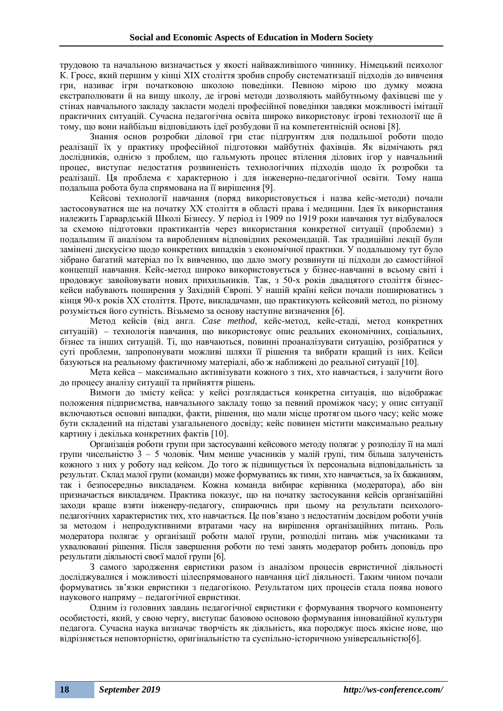трудовою та начальною визначається у якості найважливішого чиннику. Німецький психолог К. Гросс, який першим у кінці ХІХ століття зробив спробу систематизації підходів до вивчення гри, називає ігри початковою школою поведінки. Певною мірою цю думку можна екстраполювати й на вищу школу, де ігрові методи дозволяють майбутньому фахівцеві ще у стінах навчального закладу закласти моделі професійної поведінки завдяки можливості імітації практичних ситуацій. Сучасна педагогічна освіта широко використовує ігрові технології ще й тому, що вони найбільш відповідають ідеї розбудови її на компетентнісній основі [8].

Знання основ розробки ділової гри стає підґрунтям для подальшої роботи щодо реалізації їх у практику професійної підготовки майбутніх фахівців. Як відмічають ряд дослідників, однією з проблем, що гальмують процес втілення ділових ігор у навчальний процес, виступає недостатня розвиненість технологічних підходів щодо їх розробки та реалізації. Ця проблема є характерною і для інженерно-педагогічної освіти. Тому наша подальша робота була спрямована на її вирішення [9].

Кейсові технології навчання (поряд використовується і назва кейс-методи) почали застосовуватися ще на початку XX століття в області права і медицини. Ідея їх використання належить Гарвардській Школі Бізнесу. У період із 1909 по 1919 роки навчання тут відбувалося за схемою підготовки практикантів через використання конкретної ситуації (проблеми) з подальшим її аналізом та виробленням відповідних рекомендацій. Так традиційні лекції були замінені дискусією щодо конкретних випадків з економічної практики. У подальшому тут було зібрано багатий матеріал по їх вивченню, що дало змогу розвинути ці підходи до самостійної концепції навчання. Кейс-метод широко використовується у бізнес-навчанні в всьому світі і продовжує завойовувати нових прихильників. Так, з 50-х років двадцятого століття бізнескейси набувають поширення у Західній Європі. У нашій країні кейси почали поширюватись з кінця 90-х років ХХ століття. Проте, викладачами, що практикують кейсовий метод, по різному розуміється його сутність. Візьмемо за основу наступне визначення [6].

Метод кейсів (від англ. *Case method*, кейс-метод, кейс-стаді, метод конкретних ситуацій) – технологія навчання, що використовує опис реальних економічних, соціальних, бізнес та інших ситуацій. Ті, що навчаються, повинні проаналізувати ситуацію, розібратися у суті проблеми, запропонувати можливі шляхи її рішення та вибрати кращий із них. Кейси базуються на реальному фактичному матеріалі, або ж наближені до реальної ситуації [10].

Мета кейса – максимально активізувати кожного з тих, хто навчається, і залучити його до процесу аналізу ситуації та прийняття рішень.

Вимоги до змісту кейса: у кейсі розглядається конкретна ситуація, що відображає положення підприємства, навчального закладу тощо за певний проміжок часу; у опис ситуації включаються основні випадки, факти, рішення, що мали місце протягом цього часу; кейс може бути складений на підставі узагальненого досвіду; кейс повинен містити максимально реальну картину і декілька конкретних фактів [10].

Організація роботи групи при застосуванні кейсового методу полягає у розподілу її на малі групи чисельністю 3 – 5 чоловік. Чим менше учасників у малій групі, тим більша залученість кожного з них у роботу над кейсом. До того ж підвищується їх персональна відповідальність за результат. Склад малої групи (команди) може формуватись як тими, хто навчається, за їх бажанням, так і безпосередньо викладачем. Кожна команда вибирає керівника (модератора), або він призначається викладачем. Практика показує, що на початку застосування кейсів організаційні заходи краще взяти інженеру-педагогу, спираючись при цьому на результати психологопедагогічних характеристик тих, хто навчається. Це пов'язано з недостатнім досвідом роботи учнів за методом і непродуктивними втратами часу на вирішення організаційних питань. Роль модератора полягає у організації роботи малої групи, розподілі питань між учасниками та ухвалюванні рішення. Після завершення роботи по темі занять модератор робить доповідь про результати діяльності своєї малої групи [6].

З самого зародження евристики разом із аналізом процесів евристичної діяльності досліджувалися і можливості цілеспрямованого навчання цієї діяльності. Таким чином почали формуватись зв'язки евристики з педагогікою. Результатом цих процесів стала поява нового наукового напряму – педагогічної евристики.

Одним із головних завдань педагогічної евристики є формування творчого компоненту особистості, який, у свою чергу, виступає базовою основою формування інноваційної культури педагога. Сучасна наука визначає творчість як діяльність, яка породжує щось якісне нове, що відрізняється неповторністю, оригінальністю та суспільно-історичною універсальністю[6].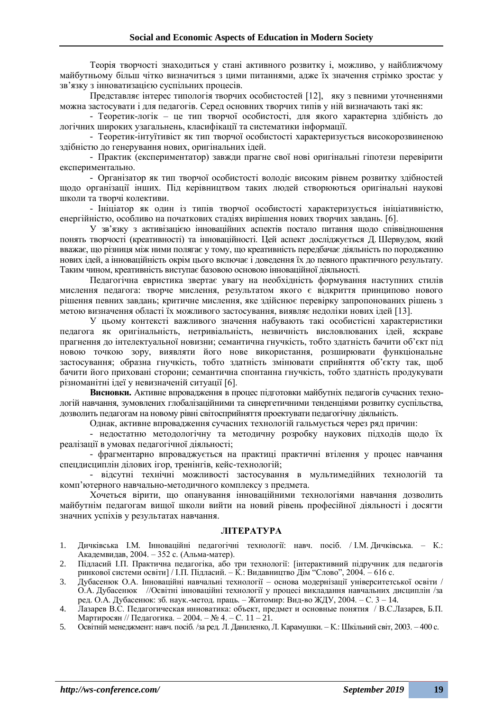Теорія творчості знаходиться у стані активного розвитку і, можливо, у найближчому майбутньому більш чітко визначиться з цими питаннями, адже їх значення стрімко зростає у зв'язку з інноватизацією суспільних процесів.

Представляє інтерес типологія творчих особистостей [12], яку з певними уточненнями можна застосувати і для педагогів. Серед основних творчих типів у ній визначають такі як:

- Теоретик-логік – це тип творчої особистості, для якого характерна здібність до логічних широких узагальнень, класифікації та систематики інформації.

- Теоретик-інтуїтивіст як тип творчої особистості характеризується високорозвиненою здібністю до генерування нових, оригінальних ідей.

- Практик (експериментатор) завжди прагне свої нові оригінальні гіпотези перевірити експериментально.

- Організатор як тип творчої особистості володіє високим рівнем розвитку здібностей щодо організації інших. Під керівництвом таких людей створюються оригінальні наукові школи та творчі колективи.

- Ініціатор як один із типів творчої особистості характеризується ініціативністю, енергійністю, особливо на початкових стадіях вирішення нових творчих завдань. [6].

У зв'язку з активізацією інноваційних аспектів постало питання щодо співвідношення понять творчості (креативності) та інноваційності. Цей аспект досліджується Д. Шервудом, який вважає, що різниця між ними полягає у тому, що креативність передбачає діяльність по породженню нових ідей, а інноваційність окрім цього включає і доведення їх до певного практичного результату. Таким чином, креативність виступає базовою основою інноваційної діяльності.

Педагогічна евристика звертає увагу на необхідність формування наступних стилів мислення педагога: творче мислення, результатом якого є відкриття принципово нового рішення певних завдань; критичне мислення, яке здійснює перевірку запропонованих рішень з метою визначення області їх можливого застосування, виявляє недоліки нових ідей [13].

У цьому контексті важливого значення набувають такі особистісні характеристики педагога як оригінальність, нетривіальність, незвичність висловлюваних ідей, яскраве прагнення до інтелектуальної новизни; семантична гнучкість, тобто здатність бачити об'єкт під новою точкою зору, виявляти його нове використання, розширювати функціональне застосування; образна гнучкість, тобто здатність змінювати сприйняття об'єкту так, щоб бачити його приховані сторони; семантична спонтанна гнучкість, тобто здатність продукувати різноманітні ідеї у невизначеній ситуації [6].

**Висновки.** Активне впровадження в процес підготовки майбутніх педагогів сучасних технологій навчання, зумовлених глобалізаційними та синергетичними тенденціями розвитку суспільства, дозволить педагогам на новому рівні світосприйняття проектувати педагогічну діяльність.

Однак, активне впровадження сучасних технологій гальмується через ряд причин:

- недостатню методологічну та методичну розробку наукових підходів щодо їх реалізації в умовах педагогічної діяльності;

- фрагментарно впроваджується на практиці практичні втілення у процес навчання спецдисциплін ділових ігор, тренінгів, кейс-технологій;

- відсутні технічні можливості застосування в мультимедійних технологій та комп'ютерного навчально-методичного комплексу з предмета.

Хочеться вірити, що опанування інноваційними технологіями навчання дозволить майбутнім педагогам вищої школи вийти на новий рівень професійної діяльності і досягти значних успіхів у результатах навчання.

#### **ЛІТЕРАТУРА**

- 1. Дичківська І.М. Інноваційні педагогічні технології: навч. посіб. / І.М. Дичківська. К.: Академвидав, 2004. – 352 с. (Альма-матер).
- 2. Підласий І.П. Практична педагогіка, або три технології: [інтерактивний підручник для педагогів ринкової системи освіти] / І.П. Підласий. – К.: Видавництво Дім "Слово", 2004. – 616 с.
- 3. Дубасенюк О.А. Інноваційні навчальні технології основа модернізації університетської освіти / О.А. Дубасенюк //Освітні інноваційні технології у процесі викладання навчальних дисциплін /за ред. О.А. Дубасенюк: зб. наук.-метод. праць. – Житомир: Вид-во ЖДУ, 2004. – С. 3 – 14.
- 4. Лазарев В.С. Педагогическая инноватика: объект, предмет и основные понятия / В.С.Лазарев, Б.П. Мартиросян // Педагогика. – 2004. – № 4. – С. 11 – 21.
- 5. Освітній менеджмент: навч. посіб. /за ред. Л. Даниленко, Л. Карамушки. К.: Шкільний світ, 2003. 400 с.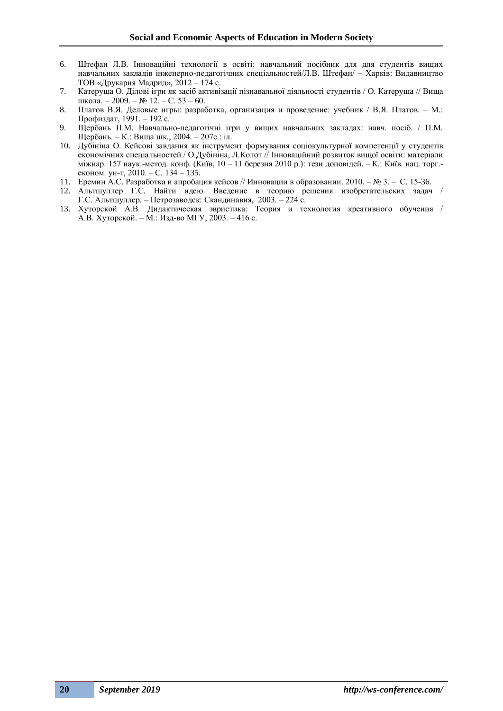- 6. Штефан Л.В. Інноваційні технології в освіті: навчальний посібник для для студентів вищих навчальних закладів інженерно-педагогічних спеціальностей/Л.В. Штефан/ – Харків: Видавництво ТОВ «Друкарня Мадрид», 2012 – 174 с.
- 7. Катеруша О. Ділові ігри як засіб активізації пізнавальної діяльності студентів / О. Катеруша // Вища школа. – 2009. – № 12. – С. 53 – 60.
- 8. Платов В.Я. Деловые игры: разработка, организация и проведение: учебник / В.Я. Платов. М.: Профиздат, 1991. – 192 с.
- 9. Щербань П.М. Навчально-педагогічні ігри у вищих навчальних закладах: навч. посіб. / П.М. Щербань. – К.: Вища шк., 2004. – 207с.: іл.
- 10. Дубініна О. Кейсові завдання як інструмент формування соціокультурної компетенції у студентів економічних спеціальностей / О.Дубініна, Л.Колот // Інноваційний розвиток вищої освіти: матеріали міжнар. 157 наук.-метод. конф. (Київ, 10 – 11 березня 2010 р.): тези доповідей. – К.: Київ. нац. торг. економ. ун-т, 2010. – С. 134 – 135.
- 11. Еремин А.С. Разработка и апробация кейсов // Инновации в образовании. 2010. № 3. С. 15-36.
- 12. Альтшуллер Г.С. Найти идею. Введение в теорию решения изобретательских задач / Г.С. Альтшуллер. – Петрозаводск: Скандинавия, 2003. – 224 с.
- 13. Хуторской А.В. Дидактическая эвристика: Теория и технология креативного обучения / А.В. Хуторской. – М.: Изд-во МГУ, 2003. – 416 с.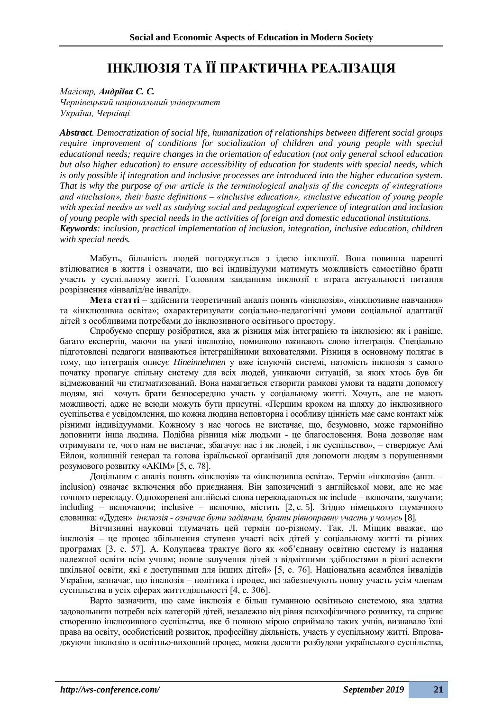## **ІНКЛЮЗІЯ ТА ЇЇ ПРАКТИЧНА РЕАЛІЗАЦІЯ**

*Магістр, Андріїва С. С. Чернівецький національний університет Україна, Чернівці*

*Abstract. Democratization of social life, humanization of relationships between different social groups require improvement of conditions for socialization of children and young people with special educational needs; require changes in the orientation of education (not only general school education but also higher education) to ensure accessibility of education for students with special needs, which is only possible if integration and inclusive processes are introduced into the higher education system. That is why the purpose of our article is the terminological analysis of the concepts of «integration» and «inclusion», their basic definitions – «inclusive education», «inclusive education of young people with special needs» as well as studying social and pedagogical experience of integration and inclusion of young people with special needs in the activities of foreign and domestic educational institutions. Keywords: inclusion, practical implementation of inclusion, integration, inclusive education, children with special needs.*

Мабуть, більшість людей погоджується з ідеєю інклюзії. Вона повинна нарешті втілюватися в життя і означати, що всі індивідууми матимуть можливість самостійно брати участь у суспільному житті. Головним завданням інклюзії є втрата актуальності питання розрізнення «інвалід/не інвалід».

**Мета статті** – здійснити теоретичний аналіз понять «інклюзія», «інклюзивне навчання» та «інклюзивна освіта»; охарактеризувати соціально-педагогічні умови соціальної адаптації дітей з особливими потребами до інклюзивного освітнього простору.

Спробуємо спершу розібратися, яка ж різниця між інтеграцією та інклюзією: як і раніше, багато експертів, маючи на увазі інклюзію, помилково вживають слово інтеграція. Спеціально підготовлені педагоги називаються інтеграційними вихователями. Різниця в основному полягає в тому, що інтеграція описує *Hineinnehmen* у вже існуючій системі, натомість інклюзія з самого початку пропагує спільну систему для всіх людей, уникаючи ситуацій, за яких хтось був би відмежований чи стигматизований. Вона намагається створити рамкові умови та надати допомогу людям, які хочуть брати безпосередню участь у соціальному житті. Хочуть, але не мають можливості, адже не всюди можуть бути присутні. «Першим кроком на шляху до інклюзивного суспільства є усвідомлення, що кожна людина неповторна і особливу цінність має саме контакт між різними індивідуумами. Кожному з нас чогось не вистачає, що, безумовно, може гармонійно доповнити інша людина. Подібна різниця між людьми - це благословення. Вона дозволяє нам отримувати те, чого нам не вистачає, збагачує нас і як людей, і як суспільство», – стверджує Амі Ейлон, колишній генерал та голова ізраїльської організації для допомоги людям з порушеннями розумового розвитку «АКІМ» [5, с. 78].

Доцільним є аналіз понять «інклюзія» та «інклюзивна освіта». Термін «інклюзія» (англ. – inclusion) означає включення або приєднання. Він запозичений з англійської мови, але не має точного перекладу. Однокореневі англійські слова перекладаються як include – включати, залучати; including – включаючи; inclusive – включно, містить [2, с. 5]. Згідно німецького тлумачного словника: «Дуден» *інклюзія* - *означає бути задіяним, брати рівноправну участь у чомусь* [8]*.*

Вітчизняні науковці тлумачать цей термін по-різному. Так, Л. Міщик вважає, що інклюзія – це процес збільшення ступеня участі всіх дітей у соціальному житті та різних програмах [3, с. 57]. А. Колупаєва трактує його як «об'єднану освітню систему із надання належної освіти всім учням; повне залучення дітей з відмітними здібностями в різні аспекти шкільної освіти, які є доступними для інших дітей» [5, с. 76]. Національна асамблея інвалідів України, зазначає, що інклюзія – політика і процес, які забезпечують повну участь усім членам суспільства в усіх сферах життєдіяльності [4, с. 306].

Варто зазначити, що саме інклюзія є більш гуманною освітньою системою, яка здатна задовольнити потреби всіх категорій дітей, незалежно від рівня психофізичного розвитку, та сприяє створенню інклюзивного суспільства, яке б повною мірою сприймало таких учнів, визнавало їхні права на освіту, особистісний розвиток, професійну діяльність, участь у суспільному житті. Впроваджуючи інклюзію в освітньо-виховний процес, можна досягти розбудови українського суспільства,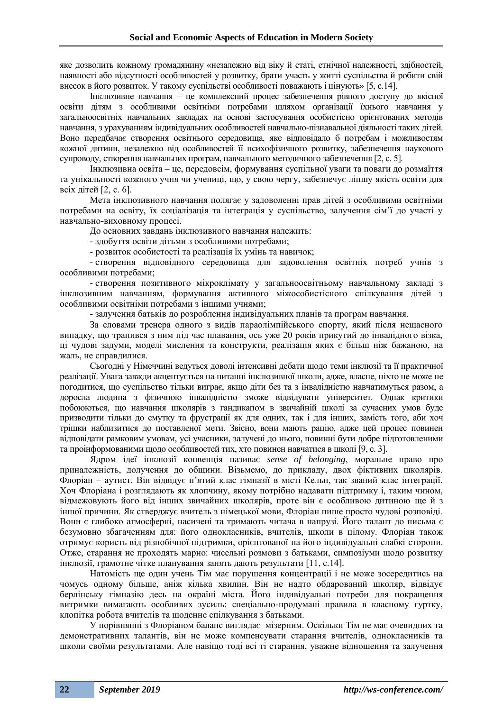яке дозволить кожному громадянину «незалежно від віку й статі, етнічної належності, здібностей, наявності або відсутності особливостей у розвитку, брати участь у житті суспільства й робити свій внесок в його розвиток. У такому суспільстві особливості поважають і цінують» [5, с.14].

Інклюзивне навчання – це комплексний процес забезпечення рівного доступу до якісної освіти дітям з особливими освітніми потребами шляхом організації їхнього навчання у загальноосвітніх навчальних закладах на основі застосування особистісно орієнтованих методів навчання, з урахуванням індивідуальних особливостей навчально-пізнавальної діяльності таких дітей. Воно передбачає створення освітнього середовища, яке відповідало б потребам і можливостям кожної дитини, незалежно від особливостей її психофізичного розвитку, забезпечення наукового супроводу, створення навчальних програм, навчального методичного забезпечення [2, с. 5].

Інклюзивна освіта – це, передовсім, формування суспільної уваги та поваги до розмаїття та унікальності кожного учня чи учениці, що, у свою чергу, забезпечує ліпшу якість освіти для всіх дітей [2, с. 6].

Мета інклюзивного навчання полягає у задоволенні прав дітей з особливими освітніми потребами на освіту, їх соціалізація та інтеграція у суспільство, залучення сім'ї до участі у навчально-виховному процесі.

До основних завдань інклюзивного навчання належить:

- здобуття освіти дітьми з особливими потребами;

- розвиток особистості та реалізація їх умінь та навичок;

- створення відповідного середовища для задоволення освітніх потреб учнів з особливими потребами;

- створення позитивного мікроклімату у загальноосвітньому навчальному закладі з інклюзивним навчанням, формування активного міжособистісного спілкування дітей з особливими освітніми потребами з іншими учнями;

- залучення батьків до розроблення індивідуальних планів та програм навчання.

За словами тренера одного з видів параолімпійського спорту, який після нещасного випадку, що трапився з ним під час плавання, ось уже 20 років прикутий до інвалідного візка, ці чудові задуми, моделі мислення та конструкти, реалізація яких є більш ніж бажаною, на жаль, не справдилися.

Сьогодні у Німеччині ведуться доволі інтенсивні дебати щодо теми інклюзії та її практичної реалізації. Увага завжди акцентується на питанні інклюзивної школи, адже, власне, ніхто не може не погодитися, що суспільство тільки виграє, якщо діти без та з інвалідністю навчатимуться разом, а доросла людина з фізичною інвалідністю зможе відвідувати університет. Однак критики побоюються, що навчання школярів з гандикапом в звичайній школі за сучасних умов буде призводити тільки до смутку та фрустрації як для одних, так і для інших, замість того, аби хоч трішки наблизитися до поставленої мети. Звісно, вони мають рацію, адже цей процес повинен відповідати рамковим умовам, усі учасники, залучені до нього, повинні бути добре підготовленими та проінформованими щодо особливостей тих, хто повинен навчатися в школі [9, с. 3].

Ядром ідеї інклюзії конвенція називає *sense of belonging*, моральне право про приналежність, долучення до общини. Візьмемо, до прикладу, двох фіктивних школярів. Флоріан – аутист. Він відвідує п'ятий клас гімназії в місті Кельн, так званий клас інтеграції. Хоч Флоріана і розглядають як хлопчину, якому потрібно надавати підтримку і, таким чином, відмежовують його від інших звичайних школярів, проте він є особливою дитиною ще й з іншої причини. Як стверджує вчитель з німецької мови, Флоріан пише просто чудові розповіді. Вони є глибоко атмосферні, насичені та тримають читача в напрузі. Його талант до письма є безумовно збагаченням для: його однокласників, вчителів, школи в цілому. Флоріан також отримує користь від різнобічної підтримки, орієнтованої на його індивідуальні слабкі сторони. Отже, старання не проходять марно: чисельні розмови з батьками, симпозіуми щодо розвитку інклюзії, грамотне чітке планування занять дають результати [11, с.14].

Натомість ще один учень Тім має порушення концентрації і не може зосередитись на чомусь одному більше, аніж кілька хвилин. Він не надто обдарований школяр, відвідує берлінську гімназію десь на окраїні міста. Його індивідуальні потреби для покращення витримки вимагають особливих зусиль: спеціально-продумані правила в класному гуртку, клопітка робота вчителів та щоденне спілкування з батьками.

У порівнянні з Флоріаном баланс виглядає мізерним. Оскільки Тім не має очевидних та демонстративних талантів, він не може компенсувати старання вчителів, однокласників та школи своїми результатами. Але навіщо тоді всі ті старання, уважне відношення та залучення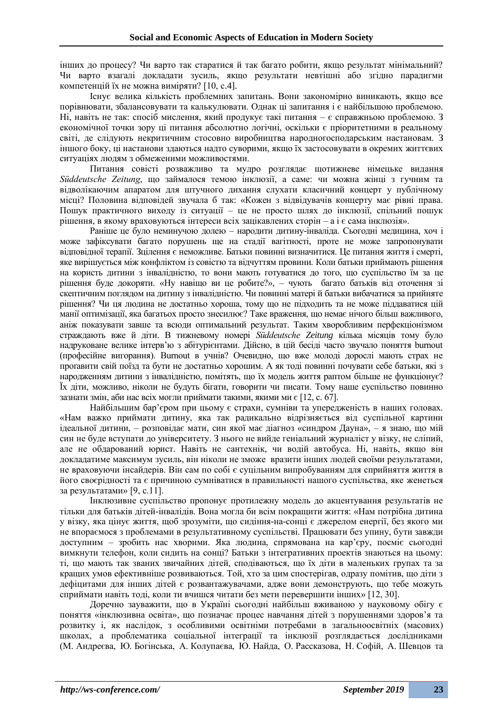інших до процесу? Чи варто так старатися й так багато робити, якщо результат мінімальний? Чи варто взагалі докладати зусиль, якщо результати невтішні або згідно парадигми компетенцій їх не можна виміряти? [10, с.4].

Існує велика кількість проблемних запитань. Вони закономірно виникають, якщо все порівнювати, збалансовувати та калькулювати. Однак ці запитання і є найбільшою проблемою. Ні, навіть не так: спосіб мислення, який продукує такі питання – є справжньою проблемою. З економічної точки зору ці питання абсолютно логічні, оскільки є пріоритетними в реальному світі, де слідують некритичним стосовно виробництва народногосподарським настановам. З іншого боку, ці настанови здаються надто суворими, якщо їх застосовувати в окремих життєвих ситуаціях людям з обмеженими можливостями.

Питання совісті розважливо та мудро розглядає щотижневе німецьке видання *Süddeutsche Zeitung*, що займалося темою інклюзії, а саме: чи можна жінці з гучним та відволікаючим апаратом для штучного дихання слухати класичний концерт у публічному місці? Половина відповідей звучала б так: «Кожен з відвідувачів концерту має рівні права. Пошук практичного виходу із ситуації – це не просто шлях до інклюзії, спільний пошук рішення, в якому враховуються інтереси всіх зацікавлених сторін – а і є сама інклюзія».

Раніше це було неминучою долею – народити дитину-інваліда. Сьогодні медицина, хоч і може зафіксувати багато порушень ще на стадії вагітності, проте не може запропонувати відповідної терапії. Зцілення є неможливе. Батьки повинні визначитися. Це питання життя і смерті, яке вирішується між конфліктом із совістю та відчуттям провини. Коли батьки приймають рішення на користь дитини з інвалідністю, то вони мають готуватися до того, що суспільство їм за це рішення буде докоряти. «Ну навіщо ви це робите?», – чують багато батьків від оточення зі скептичним поглядом на дитину з інвалідністю. Чи повинні матері й батьки вибачатися за прийняте рішення? Чи ця людина не достатньо хороша, тому що не підходить та не може піддаватися цій манії оптимізації, яка багатьох просто знесилює? Таке враження, що немає нічого більш важливого, аніж показувати завше та всюди оптимальний результат. Таким хворобливим перфекціонізмом страждають вже й діти. В тижневому номері *Süddeutsche Zeitung* кілька місяців тому було надруковане велике інтерв'ю з абітурієнтами. Дійсно, в цій бесіді часто звучало поняття burnout (професійне вигорання). Burnout в учнів? Очевидно, що вже молоді дорослі мають страх не проґавити свій поїзд та бути не достатньо хорошим. А як тоді повинні почувати себе батьки, які з народженням дитини з інвалідністю, помітять, що їх модель життя раптом більше не функціонує? Їх діти, можливо, ніколи не будуть бігати, говорити чи писати. Тому наше суспільство повинно зазнати змін, аби нас всіх могли приймати такими, якими ми є [12, с. 67].

Найбільшим бар'єром при цьому є страхи, сумніви та упередженість в наших головах. «Нам важко приймати дитину, яка так радикально відрізняється від суспільної картини ідеальної дитини, – розповідає мати, син якої має діагноз «синдром Дауна», – я знаю, що мій син не буде вступати до університету. З нього не вийде геніальний журналіст у візку, не сліпий, але не обдарований юрист. Навіть не сантехнік, чи водій автобуса. Ні, навіть, якщо він докладатиме максимум зусиль, він ніколи не зможе вразити інших людей своїми результатами, не враховуючи інсайдерів. Він сам по собі є суцільним випробуванням для сприйняття життя в його своєрідності та є причиною сумніватися в правильності нашого суспільства, яке женеться за результатами» [9, с.11].

Інклюзивне суспільство пропонує протилежну модель до акцентування результатів не тільки для батьків дітей-інвалідів. Вона могла би всім покращити життя: «Нам потрібна дитина у візку, яка цінує життя, щоб зрозуміти, що сидіння-на-сонці є джерелом енергії, без якого ми не впораємося з проблемами в результативному суспільстві. Працювати без упину, бути завжди доступним – зробить нас хворими. Яка людина, спрямована на кар'єру, посміє сьогодні вимкнути телефон, коли сидить на сонці? Батьки з інтегративних проектів знаються на цьому: ті, що мають так званих звичайних дітей, сподіваються, що їх діти в маленьких групах та за кращих умов ефективніше розвиваються. Той, хто за цим спостерігав, одразу помітив, що діти з дефіцитами для інших дітей є розвантажувачами, адже вони демонструють, що тебе можуть сприймати навіть тоді, коли ти вчишся читати без мети перевершити інших» [12, 30].

Доречно зауважити, що в Україні сьогодні найбільш вживаною у науковому обігу є поняття «інклюзивна освіта», що позначає процес навчання дітей з порушеннями здоров'я та розвитку і, як наслідок, з особливими освітніми потребами в загальноосвітніх (масових) школах, а проблематика соціальної інтеграції та інклюзії розглядається дослідниками (М. Андреєва, Ю. Богінська, А. Колупаєва, Ю. Найда, О. Рассказова, Н. Софій, А. Шевцов та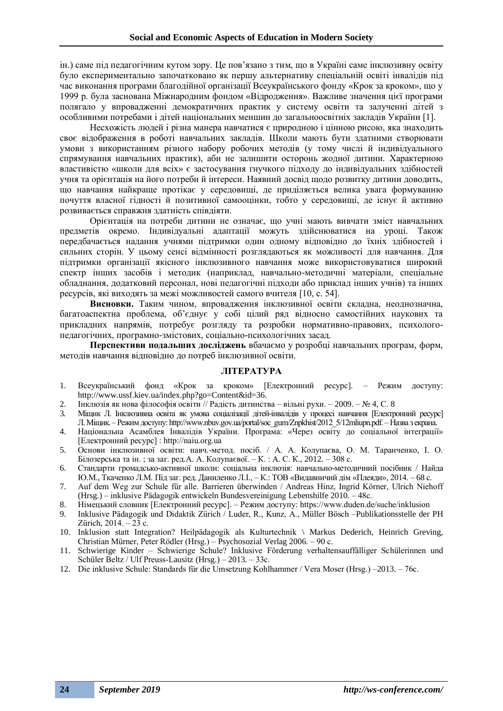ін.) саме під педагогічним кутом зору. Це пов'язано з тим, що в Україні саме інклюзивну освіту було експериментально започатковано як першу альтернативу спеціальній освіті інвалідів під час виконання програми благодійної організації Всеукраїнського фонду «Крок за кроком», що у 1999 р. була заснована Міжнародним фондом «Відродження». Важливе значення цієї програми полягало у впровадженні демократичних практик у систему освіти та залученні дітей з особливими потребами і дітей національних меншин до загальноосвітніх закладів України [1].

Несхожість людей і різна манера навчатися є природною і цінною рисою, яка знаходить своє відображення в роботі навчальних закладів. Школи мають бути здатними створювати умови з використанням різного набору робочих методів (у тому числі й індивідуального спрямування навчальних практик), аби не залишити осторонь жодної дитини. Характерною властивістю «школи для всіх» є застосування гнучкого підходу до індивідуальних здібностей учня та орієнтація на його потреби й інтереси. Наявний досвід щодо розвитку дитини доводить, що навчання найкраще протікає у середовищі, де приділяється велика увага формуванню почуття власної гідності й позитивної самооцінки, тобто у середовищі, де існує й активно розвивається справжня здатність співдіяти.

Орієнтація на потреби дитини не означає, що учні мають вивчати зміст навчальних предметів окремо. Індивідуальні адаптації можуть здійснюватися на уроці. Також передбачається надання учнями підтримки один одному відповідно до їхніх здібностей і сильних сторін. У цьому сенсі відмінності розглядаються як можливості для навчання. Для підтримки організації якісного інклюзивного навчання може використовуватися широкий спектр інших засобів і методик (наприклад, навчально-методичні матеріали, спеціальне обладнання, додатковий персонал, нові педагогічні підходи або приклад інших учнів) та інших ресурсів, які виходять за межі можливостей самого вчителя [10, с. 54].

**Висновки.** Таким чином, впровадження інклюзивної освіти складна, неоднозначна, багатоаспектна проблема, об'єднує у собі цілий ряд відносно самостійних наукових та прикладних напрямів, потребує розгляду та розробки нормативно-правових, психологопедагогічних, програмно-змістових, соціально-психологічних засад.

**Перспективи подальших досліджень** вбачаємо у розробці навчальних програм, форм, методів навчання відповідно до потреб інклюзивної освіти.

### **ЛІТЕРАТУРА**

- 1. Всеукраїнський фонд «Крок за кроком» [Електронний ресурс]. Режим доступу: http://www.ussf.kiev.ua/index.php?go=Content&id=36.
- 2. Інклюзія як нова філософія освіти // Радість дитинства вільні рухи. 2009. № 4, С. 8
- 3. Міщик Л. Інклюзивна освіта як умова соціалізації дітей-інвалідів у процесі навчання [Електронний ресурс] Л.Міщик. – Режим доступу: http://www.nbuv.gov.ua/portal/soc\_gum/Znpkhist/2012\_5/12mliupn.pdf. –Назва з екрана.
- 4. Національна Асамблея Інвалідів України. Програма: «Через освіту до соціальної інтеграції» [Електронний ресурс] : http://naiu.org.ua
- 5. Основи інклюзивної освіти: навч.-метод. посіб. / А. А. Колупаєва, О. М. Таранченко, І. О. Білозерська та ін. ; за заг. ред.А. А. Колупаєвої. – К. : А. С. К., 2012. – 308 с.
- 6. Стандарти громадсько-активної школи: соціальна інклюзія: навчально-методичний посібник / Найда Ю.М., Ткаченко Л.М. Під заг. ред. Даниленко Л.І., – К.: ТОВ «Видавничий дім «Плеяди», 2014. – 68 с.
- 7. Auf dem Weg zur Schule für alle. Barrieren überwinden / Andreas Hinz, Ingrid Körner, Ulrich Niehoff (Hrsg.) – inklusive Pädagogik entwickeln Bundesvereinigung Lebenshilfe 2010. – 48с.
- 8. Німецький словник [Електронний ресурс]. Режим доступу: https://www.duden.de/suche/inklusion
- 9. Inklusive Pädagogik und Didaktik Zürich / Luder, R., Kunz, A., Müller Bösch –Publikationsstelle der PH Zürich, 2014. – 23 с.
- 10. Inklusion statt Integration? Heilpädagogik als Kulturtechnik \ Markus Dederich, Heinrich Greving, Christian Mürner, Peter Rödler (Hrsg.) – Psychosozial Verlag 2006. – 90 с.
- 11. Schwierige Kinder Schwierige Schule? Inklusive Förderung verhaltensauffälliger Schülerinnen und Schüler Beltz / Ulf Preuss-Lausitz (Hrsg.) – 2013. – 33с.
- 12. Die inklusive Schule: Standards für die Umsetzung Kohlhammer / Vera Moser (Hrsg.) –2013. 76с.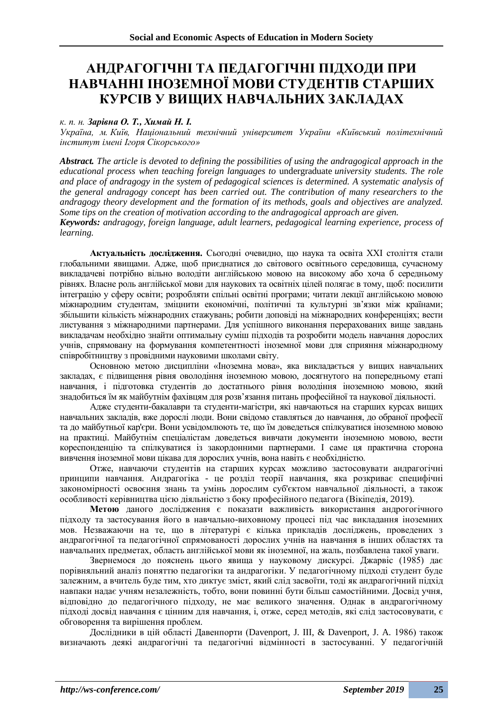### **АНДРАГОГІЧНІ ТА ПЕДАГОГІЧНІ ПІДХОДИ ПРИ НАВЧАННІ ІНОЗЕМНОЇ МОВИ СТУДЕНТІВ СТАРШИХ КУРСІВ У ВИЩИХ НАВЧАЛЬНИХ ЗАКЛАДАХ**

### *к. п. н. Зарівна О. Т., Химай Н. І.*

*Україна, м. Київ, Національний технічний університет України «Київський політехнічний інститут імені Ігоря Сікорського»* 

*Abstract. The article is devoted to defining the possibilities of using the andragogical approach in the educational process when teaching foreign languages to* undergraduate *university students. The role and place of andragogy in the system of pedagogical sciences is determined. A systematic analysis of the general andragogy concept has been carried out. The contribution of many researchers to the andragogy theory development and the formation of its methods, goals and objectives are analyzed. Some tips on the creation of motivation according to the andragogical approach are given.*

*Keywords: andragogy, foreign language, adult learners, pedagogical learning experience, process of learning.*

**Актуальність дослідження.** Сьогодні очевидно, що наука та освіта XXI століття стали глобальними явищами. Адже, щоб приєднатися до світового освітнього середовища, сучасному викладачеві потрібно вільно володіти англійською мовою на високому або хоча б середньому рівнях. Власне роль англійської мови для наукових та освітніх цілей полягає в тому, щоб: посилити інтеграцію у сферу освіти; розробляти спільні освітні програми; читати лекції англійською мовою міжнародним студентам, зміцнити економічні, політичні та культурні зв'язки між країнами; збільшити кількість міжнародних стажувань; робити доповіді на міжнародних конференціях; вести листування з міжнародними партнерами. Для успішного виконання перерахованих вище завдань викладачам необхідно знайти оптимальну суміш підходів та розробити модель навчання дорослих учнів, спрямовану на формування компетентності іноземної мови для сприяння міжнародному співробітництву з провідними науковими школами світу.

Основною метою дисципліни «Іноземна мова», яка викладається у вищих навчальних закладах, є підвищення рівня оволодіння іноземною мовою, досягнутого на попередньому етапі навчання, і підготовка студентів до достатнього рівня володіння іноземною мовою, який знадобиться їм як майбутнім фахівцям для розв'язання питань професійної та наукової діяльності.

Адже студенти-бакалаври та студенти-магістри, які навчаються на старших курсах вищих навчальних закладів, вже дорослі люди. Вони свідомо ставляться до навчання, до обраної професії та до майбутньої кар'єри. Вони усвідомлюють те, що їм доведеться спілкуватися іноземною мовою на практиці. Майбутнім спеціалістам доведеться вивчати документи іноземною мовою, вести кореспонденцію та спілкуватися із закордонними партнерами. І саме ця практична сторона вивчення іноземної мови цікава для дорослих учнів, вона навіть є необхідністю.

Отже, навчаючи студентів на старших курсах можливо застосовувати андрагогічні принципи навчання. Андрагогіка - це розділ теорії навчання, яка розкриває специфічні закономірності освоєння знань та умінь дорослим суб'єктом навчальної діяльності, а також особливості керівництва цією діяльністю з боку професійного педагога (Вікіпедія, 2019).

**Метою** даного дослідження є показати важливість використання андрогогічного підходу та застосування його в навчально-виховному процесі під час викладання іноземних мов. Незважаючи на те, що в літературі є кілька прикладів досліджень, проведених з андрагогічної та педагогічної спрямованості дорослих учнів на навчання в інших областях та навчальних предметах, область англійської мови як іноземної, на жаль, позбавлена такої уваги.

Звернемося до пояснень цього явища у науковому дискурсі. Джарвіс (1985) дає порівняльний аналіз поняттю педагогіки та андрагогіки. У педагогічному підході студент буде залежним, а вчитель буде тим, хто диктує зміст, який слід засвоїти, тоді як андрагогічний підхід навпаки надає учням незалежність, тобто, вони повинні бути більш самостійними. Досвід учня, відповідно до педагогічного підходу, не має великого значення. Однак в андрагогічному підході досвід навчання є цінним для навчання, і, отже, серед методів, які слід застосовувати, є обговорення та вирішення проблем.

Дослідники в цій області Давенпорти (Davenport, J. III, & Davenport, J. A. 1986) також визначають деякі андрагогічні та педагогічні відмінності в застосуванні. У педагогічній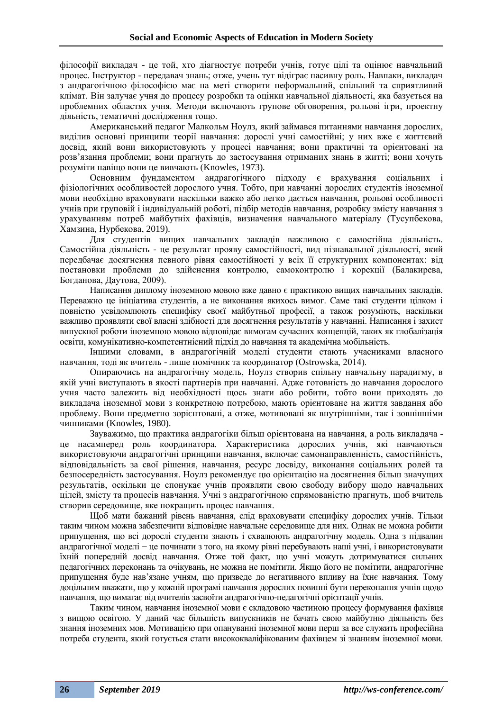філософії викладач - це той, хто діагностує потреби учнів, готує цілі та оцінює навчальний процес. Інструктор - передавач знань; отже, учень тут відіграє пасивну роль. Навпаки, викладач з андрагогічною філософією має на меті створити неформальний, спільний та сприятливий клімат. Він залучає учня до процесу розробки та оцінки навчальної діяльності, яка базується на проблемних областях учня. Методи включають групове обговорення, рольові ігри, проектну діяьність, тематичні дослідження тощо.

Американський педагог Малкольм Ноулз, який займався питаннями навчання дорослих, виділив основні принципи теорії навчання: дорослі учні самостійні; у них вже є життєвий досвід, який вони використовують у процесі навчання; вони практичні та орієнтовані на розв'язання проблеми; вони прагнуть до застосування отриманих знань в житті; вони хочуть розуміти навіщо вони це вивчають (Knowles, 1973)*.*

Основним фундаментом андрагогічного підходу є врахування соціальних і фізіологічних особливостей дорослого учня. Тобто, при навчанні дорослих студентів іноземної мови необхідно враховувати наскільки важко або легко дається навчання, рольові особливості учнів при груповій і індивідуальній роботі, підбір методів навчання, розробку змісту навчання з урахуванням потреб майбутніх фахівців, визначення навчального матеріалу (Тусупбекова, Хамзина, Нурбекова, 2019).

Для студентів вищих навчальних закладів важливою є самостійна діяльність. Самостійна діяльність - це результат прояву самостійності, вид пізнавальної діяльності, який передбачає досягнення певного рівня самостійності у всіх її структурних компонентах: від постановки проблеми до здійснення контролю, самоконтролю і корекції (Балакирева, Богданова, Даутова, 2009).

Написання диплому іноземною мовою вже давно є практикою вищих навчальних закладів. Переважно це ініціатива студентів, а не виконання якихось вимог. Саме такі студенти цілком і повністю усвідомлюють специфіку своєї майбутньої професії, а також розуміють, наскільки важливо проявляти свої власні здібності для досягнення результатів у навчанні. Написання і захист випускної роботи іноземною мовою відповідає вимогам сучасних концепцій, таких як глобалізація освіти, комунікативно-компетентнісний підхід до навчання та академічна мобільність.

Іншими словами, в андрагогічній моделі студенти стають учасниками власного навчання, тоді як вчитель - лише помічник та координатор (Ostrowska, 2014).

Опираючись на андрагогічну модель, Ноулз створив спільну навчальну парадигму, в якій учні виступають в якості партнерів при навчанні. Адже готовність до навчання дорослого учня часто залежить від необхідності щось знати або робити, тобто вони приходять до викладача іноземної мови з конкретною потребою, мають орієнтоване на життя завдання або проблему. Вони предметно зорієнтовані, а отже, мотивовані як внутрішніми, так і зовнішніми чинниками (Knowles, 1980).

Зауважимо, що практика андрагогіки більш орієнтована на навчання, а роль викладача це насамперед роль координатора. Характеристика дорослих учнів, які навчаються використовуючи андрагогічні принципи навчання, включає самонаправленність, самостійність, відповідальність за свої рішення, навчання, ресурс досвіду, виконання соціальних ролей та безпосередність застосування. Ноулз рекомендує цю орієнтацію на досягнення більш значущих результатів, оскільки це спонукає учнів проявляти свою свободу вибору щодо навчальних цілей, змісту та процесів навчання. Учні з андрагогічною спрямованістю прагнуть, щоб вчитель створив середовище, яке покращить процес навчання.

Щоб мати бажаний рівень навчання, слід враховувати специфіку дорослих учнів. Тільки таким чином можна забезпечити відповідне навчальне середовище для них. Однак не можна робити припущення, що всі дорослі студенти знають і схвалюють андрагогічну модель. Одна з підвалин андрагогічної моделі − це починати з того, на якому рівні перебувають наші учні, і використовувати їхній попередній досвід навчання. Отже той факт, що учні можуть дотримуватися сильних педагогічних переконань та очікувань, не можна не помітити. Якщо його не помітити, андрагогічне припущення буде нав'язане учням, що призведе до негативного впливу на їхнє навчання. Тому доцільним вважати, що у кожній програмі навчання дорослих повинні бути переконання учнів щодо навчання, що вимагає від вчителів засвоїти андрагогічно-педагогічні орієнтації учнів.

Таким чином, навчання іноземної мови є складовою частиною процесу формування фахівця з вищою освітою. У даний час більшість випускників не бачать свою майбутню діяльність без знання іноземних мов. Мотивацією при опануванні іноземної мови перш за все служить професійна потреба студента, який готується стати висококваліфікованим фахівцем зі знанням іноземної мови.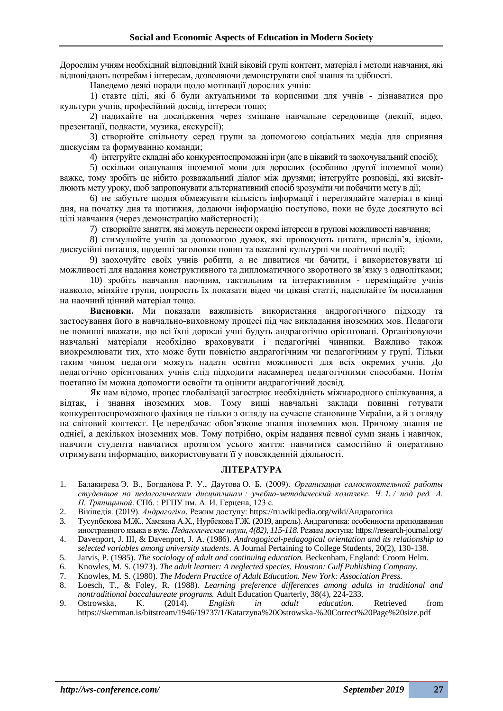Дорослим учням необхідний відповідний їхній віковій групі контент, матеріал і методи навчання, які відповідають потребам і інтересам, дозволяючи демонструвати свої знання та здібності.

Наведемо деякі поради щодо мотивації дорослих учнів:

1) ставте цілі, які б були актуальними та корисними для учнів - дізнаватися про культури учнів, професійний досвід, інтереси тощо;

2) надихайте на дослідження через змішане навчальне середовище (лекції, відео, презентації, подкасти, музика, екскурсії);

3) створюйте спільноту серед групи за допомогою соціальних медіа для сприяння дискусіям та формуванню команди;

4) інтегруйте складні або конкурентоспроможні ігри (але в цікавий та заохочувальний спосіб);

5) оскільки опанування іноземної мови для дорослих (особливо другої іноземної мови) важке, тому зробіть це нібито розважальний діалог між друзями; інтегруйте розповіді, які висвітлюють мету уроку, щоб запропонувати альтернативний спосіб зрозуміти чи побачити мету в дії;

6) не забутьте щодня обмежувати кількість інформації і переглядайте матеріал в кінці дня, на початку дня та щотижня, додаючи інформацію поступово, поки не буде досягнуто всі цілі навчання (через демонстрацію майстерності);

7) створюйте заняття, які можуть перенести окремі інтереси в групові можливості навчання;

8) стимулюйте учнів за допомогою думок, які провокують цитати, прислів'я, ідіоми, дискусійні питання, щоденні заголовки новин та важливі культурні чи політичні події;

9) заохочуйте своїх учнів робити, а не дивитися чи бачити, і використовувати ці можливості для надання конструктивного та дипломатичного зворотного зв'язку з однолітками;

10) зробіть навчання наочним, тактильним та інтерактивним - переміщайте учнів навколо, міняйте групи, попросіть їх показати відео чи цікаві статті, надсилайте їм посилання на наочний цінний матеріал тощо.

**Висновки.** Ми показали важливість використання андрогогічного підходу та застосування його в навчально-виховному процесі під час викладання іноземних мов. Педагоги не повинні вважати, що всі їхні дорослі учні будуть андрагогічно орієнтовані. Організовуючи навчальні матеріали необхідно враховувати і педагогічні чинники. Важливо також виокремлювати тих, хто може бути повністю андрагогічним чи педагогічним у групі. Тільки таким чином педагоги можуть надати освітні можливості для всіх окремих учнів. До педагогічно орієнтованих учнів слід підходити насамперед педагогічними способами. Потім поетапно їм можна допомогти освоїти та оцінити андрагогічний досвід.

Як нам відомо, процес глобалізації загострює необхідність міжнародного спілкування, а відтак, і знання іноземних мов. Тому вищі навчальні заклади повинні готувати конкурентоспроможного фахівця не тільки з огляду на сучасне становище України, а й з огляду на світовий контекст. Це передбачає обов'язкове знання іноземних мов. Причому знання не однієї, а декількох іноземних мов. Тому потрібно, окрім надання певної суми знань і навичок, навчити студента навчатися протягом усього життя: навчитися самостійно й оперативно отримувати інформацію, використовувати її у повсякденній діяльності.

### **ЛІТЕРАТУРА**

- 1. Балакирева Э. В., Богданова Р. У., Даутова О. Б. (2009). *Организация самостоятельной работы студентов по педагогическим дисциплинам : учебно-методический комплекс. Ч. 1. / под ред. А. П. Тряпицыной*. СПб. : РГПУ им. А. И. Герцена, 123 с.
- 2. Вікіпедія. (2019). *Андрагогіка*. Режим доступу: https://ru.wikipedia.org/wiki/Андрагогіка
- 3. Тусупбекова М.Ж., Хамзина А.Х., Нурбекова Г.Ж. (2019, апрель).Андрагогика: особенности преподавания иностранного языка в вузе. *Педагогические науки, 4(82), 115-118.* Режим доступа: https://research-journal.org/
- 4. Davenport, J. III, & Davenport, J. A. (1986). *Andragogical-pedagogical orientation and its relationship to selected variables among university students*. A Journal Pertaining to College Students, 20(2), 130-138.
- 5. Jarvis, P. (1985). *The sociology of adult and continuing education.* Beckenham, England: Croom Helm.
- 6. Knowles, M. S. (1973). *The adult learner: A neglected species. Houston: Gulf Publishing Company.*
- 7. Knowles, M. S. (1980). *The Modern Practice of Adult Education. New York: Association Press.*
- 8. Loesch, T., & Foley, R. (1988). *Learning preference differences among adults in traditional and nontraditional baccalaureate programs.* Adult Education Quarterly, 38(4), 224-233.
- 9. Ostrowska, K. (2014). *English in adult education.* Retrieved from https://skemman.is/bitstream/1946/19737/1/Katarzyna%20Ostrowska-%20Correct%20Page%20size.pdf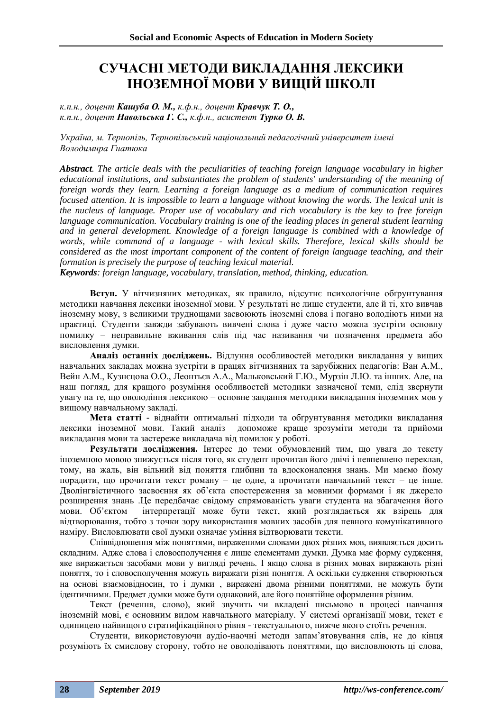## **СУЧАСНІ МЕТОДИ ВИКЛАДАННЯ ЛЕКСИКИ ІНОЗЕМНОЇ МОВИ У ВИЩІЙ ШКОЛІ**

*к.п.н., доцент Кашуба О. М., к.ф.н., доцент Кравчук Т. О., к.п.н., доцент Навольська Г. С., к.ф.н., асистент Турко О. В.*

*Україна, м. Тернопіль, Тернопільський національний педагогічний університет імені Володимира Гнатюка*

*Abstract. The article deals with the peculiarities of teaching foreign language vocabulary in higher educational institutions, and substantiates the problem of students' understanding of the meaning of foreign words they learn. Learning a foreign language as a medium of communication requires focused attention. It is impossible to learn a language without knowing the words. The lexical unit is the nucleus of language. Proper use of vocabulary and rich vocabulary is the key to free foreign language communication. Vocabulary training is one of the leading places in general student learning and in general development. Knowledge of a foreign language is combined with a knowledge of words, while command of a language - with lexical skills. Therefore, lexical skills should be considered as the most important component of the content of foreign language teaching, and their formation is precisely the purpose of teaching lexical material.*

*Keywords: foreign language, vocabulary, translation, method, thinking, education.*

**Вступ.** У вітчизняних методиках, як правило, відсутнє психологічне обґрунтування методики навчання лексики іноземної мови. У результаті не лише студенти, але й ті, хто вивчав іноземну мову, з великими труднощами засвоюють іноземні слова і погано володіють ними на практиці. Студенти завжди забувають вивчені слова і дуже часто можна зустріти основну помилку – неправильне вживання слів під час називання чи позначення предмета або висловлення думки.

**Аналіз останніх досліджень.** Відлуння особливостей методики викладання у вищих навчальних закладах можна зустріти в працях вітчизняних та зарубіжних педагогів: Ван А.М., Вейн А.М., Кузнєцова О.О., Леонтьєв А.А., Мальковський Г.Ю., Мурзін Л.Ю. та інших. Але, на наш погляд, для кращого розуміння особливостей методики зазначеної теми, слід звернути увагу на те, що оволодіння лексикою – основне завдання методики викладання іноземних мов у вищому навчальному закладі.

**Мета статті** - віднайти оптимальні підходи та обґрунтування методики викладання лексики іноземної мови. Такий аналіз допоможе краще зрозуміти методи та прийоми викладання мови та застереже викладача від помилок у роботі.

**Результати дослідження.** Інтерес до теми обумовлений тим, що увага до тексту іноземною мовою знижується після того, як студент прочитав його двічі і невпевнено переклав, тому, на жаль, він вільний від поняття глибини та вдосконалення знань. Ми маємо йому порадити, що прочитати текст роману – це одне, а прочитати навчальний текст – це інше. Дволінгвістичного засвоєння як об'єкта спостереження за мовними формами і як джерело розширення знань .Це передбачає свідому спрямованість уваги студента на збагачення його мови. Об'єктом інтерпретації може бути текст, який розглядається як взірець для відтворювання, тобто з точки зору використання мовних засобів для певного комунікативного наміру. Висловлювати свої думки означає уміння відтворювати тексти.

Співвідношення між поняттями, вираженими словами двох різних мов, виявляється досить складним. Адже слова і словосполучення є лише елементами думки. Думка має форму судження, яке виражається засобами мови у вигляді речень. І якщо слова в різних мовах виражають різні поняття, то і словосполучення можуть виражати різні поняття. А оскільки судження створюються на основі взаємовідносин, то і думки , виражені двома різними поняттями, не можуть бути ідентичними. Предмет думки може бути однаковий, але його понятійне оформлення різним.

Текст (речення, слово), який звучить чи вкладені письмово в процесі навчання іноземній мові, є основним видом навчального матеріалу. У системі організації мови, текст є одиницею найвищого стратифікаційного рівня - текстуального, нижче якого стоїть речення.

Студенти, використовуючи аудіо-наочні методи запам'ятовування слів, не до кінця розуміють їх смислову сторону, тобто не оволодівають поняттями, що висловлюють ці слова,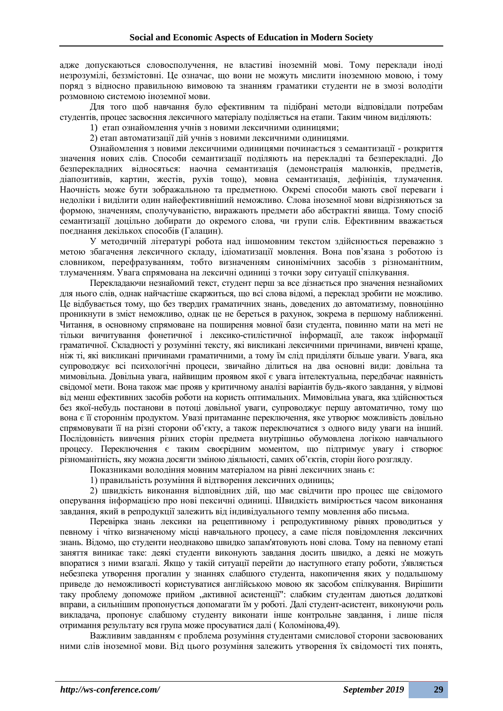адже допускаються словосполучення, не властиві іноземній мові. Тому переклади іноді незрозумілі, беззмістовні. Це означає, що вони не можуть мислити іноземною мовою, і тому поряд з відносно правильною вимовою та знанням граматики студенти не в змозі володіти розмовною системою іноземної мови.

Для того щоб навчання було ефективним та підібрані методи відповідали потребам студентів, процес засвоєння лексичного матеріалу поділяється на етапи. Таким чином виділяють:

1) етап ознайомлення учнів з новими лексичними одиницями;

2) етап автоматизації дій учнів з новими лексичними одиницями.

Ознайомлення з новими лексичними одиницями починається з семантизації - розкриття значення нових слів. Способи семантизації поділяють на перекладні та безперекладні. До безперекладних відносяться: наочна семантизація (демонстрація малюнків, предметів, діапозитивів, картин, жестів, рухів тощо), мовна семантизація, дефініція, тлумачення. Наочність може бути зображальною та предметною. Окремі способи мають свої переваги і недоліки і виділити один найефективніший неможливо. Слова іноземної мови відрізняються за формою, значенням, сполучуваністю, виражають предмети або абстрактні явища. Тому спосіб семантизації доцільно добирати до окремого слова, чи групи слів. Ефективним вважається поєднання декількох способів (Галацин).

У методичній літературі робота над іншомовним текстом здійснюється переважно з метою збагачення лексичного складу, ідіоматизації мовлення. Вона пов'язана з роботою із словником, перефразуванням, тобто визначенням синонімічних засобів з різноманітним, тлумаченням. Увага спрямована на лексичні одиниці з точки зору ситуації спілкування.

Перекладаючи незнайомий текст, студент перш за все дізнається про значення незнайомих для нього слів, однак найчастіше скаржиться, що всі слова відомі, а переклад зробити не можливо. Це відбувається тому, що без твердих граматичних знань, доведених до автоматизму, повноцінно проникнути в зміст неможливо, однак це не береться в рахунок, зокрема в першому наближенні. Читання, в основному спрямоване на поширення мовної бази студента, повинно мати на меті не тільки вичитування фонетичної і лексико-стилістичної інформації, але також інформації граматичної. Складності у розумінні тексту, які викликані лексичними причинами, вивчені краще, ніж ті, які викликані причинами граматичними, а тому їм слід приділяти більше уваги. Увага, яка супроводжує всі психологічні процеси, звичайно ділиться на два основні види: довільна та мимовільна. Довільна увага, найвищим проявом якої є увага інтелектуальна, передбачає наявність свідомої мети. Вона також має прояв у критичному аналізі варіантів будь-якого завдання, у відмові від менш ефективних засобів роботи на користь оптимальних. Мимовільна увага, яка здійснюється без якої-небудь постанови в потоці довільної уваги, супроводжує першу автоматично, тому що вона є її стороннім продуктом. Увазі притаманне переключення, яке утворює можливість довільно спрямовувати її на різні сторони об'єкту, а також переключатися з одного виду уваги на інший. Послідовність вивчення різних сторін предмета внутрішньо обумовлена логікою навчального процесу. Переключення є таким своєрідним моментом, що підтримує увагу і створює різноманітність, яку можна досягти зміною діяльності, самих об'єктів, сторін його розгляду.

Показниками володіння мовним матеріалом на рівні лексичних знань є:

1) правильність розуміння й відтворення лексичних одиниць;

2) швидкість виконання відповідних дій, що має свідчити про процес ще свідомого оперування інформацією про нові пексичні одиниці. Швидкість вимірюється часом виконання завдання, який в репродукції залежить від індивідуального темпу мовлення або письма.

Перевірка знань лексики на рецептивному і репродуктивному рівнях проводиться у певному і чітко визначеному місці навчального процесу, а саме після повідомлення лексичних знань. Відомо, що студенти неоднаково швидко запам'ятовують нові слова. Тому на певному етапі заняття виникає таке: деякі студенти виконують завдання досить швидко, а деякі не можуть впоратися з ними взагалі. Якщо у такій ситуації перейти до наступного етапу роботи, з'являється небезпека утворення прогалин у знаннях слабшого студента, накопичення яких у подальшому приведе до неможливості користуватися англійською мовою як засобом спілкування. Вирішити таку проблему допоможе прийом "активної асистенції": слабким студентам даються додаткові вправи, а сильнішим пропонується допомагати їм у роботі. Далі студент-асистент, виконуючи роль викладача, пропонує слабшому студенту виконати інше контрольне завдання, і лише після отримання результату вся група може просуватися далі ( Коломінова,49).

Важливим завданням є проблема розуміння студентами смислової сторони засвоюваних ними слів іноземної мови. Від цього розуміння залежить утворення їх свідомості тих понять,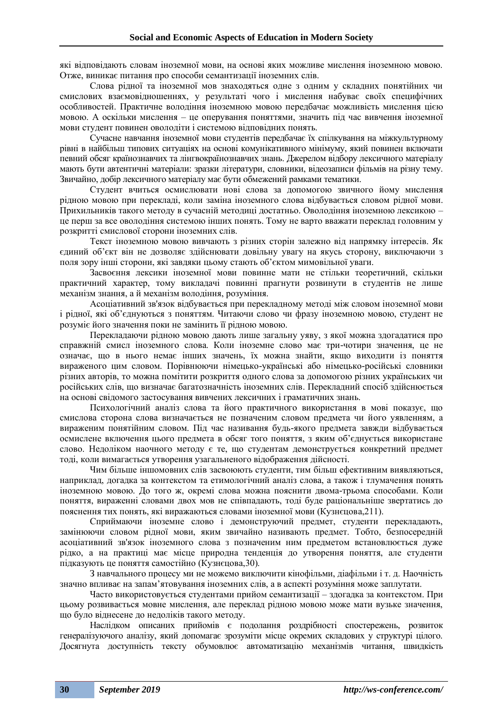які відповідають словам іноземної мови, на основі яких можливе мислення іноземною мовою. Отже, виникає питання про способи семантизації іноземних слів.

Слова рідної та іноземної мов знаходяться одне з одним у складних понятійних чи смислових взаємовідношеннях, у результаті чого і мислення набуває своїх специфічних особливостей. Практичне володіння іноземною мовою передбачає можливість мислення цією мовою. А оскільки мислення – це оперування поняттями, значить під час вивчення іноземної мови студент повинен оволодіти і системою відповідних понять.

Сучасне навчання іноземної мови студентів передбачає їх спілкування на міжкультурному рівні в найбільш типових ситуаціях на основі комунікативного мінімуму, який повинен включати певний обсяг країнознавчих та лінгвокраїнознавчих знань. Джерелом відбору лексичного матеріалу мають бути автентичні матеріали: зразки літератури, словники, відеозаписи фільмів на різну тему. Звичайно, добір лексичного матеріалу має бути обмежений рамками тематики.

Студент вчиться осмислювати нові слова за допомогою звичного йому мислення рідною мовою при перекладі, коли заміна іноземного слова відбувається словом рідної мови. Прихильників такого методу в сучасній методиці достатньо. Оволодіння іноземною лексикою – це перш за все оволодіння системою інших понять. Тому не варто вважати переклад головним у розкритті смислової сторони іноземних слів.

Текст іноземною мовою вивчають з різних сторін залежно від напрямку інтересів. Як єдиний об'єкт він не дозволяє здійснювати довільну увагу на якусь сторону, виключаючи з поля зору інші сторони, які завдяки цьому стають об'єктом мимовільної уваги.

Засвоєння лексики іноземної мови повинне мати не стільки теоретичний, скільки практичний характер, тому викладачі повинні прагнути розвинути в студентів не лише механізм знання, а й механізм володіння, розуміння.

Асоціативний зв'язок відбувається при перекладному методі між словом іноземної мови і рідної, які об'єднуються з поняттям. Читаючи слово чи фразу іноземною мовою, студент не розуміє його значення поки не замінить її рідною мовою.

Перекладаючи рідною мовою дають лише загальну уяву, з якої можна здогадатися про справжній смисл іноземного слова. Коли іноземне слово має три-чотири значення, це не означає, що в нього немає інших значень, їх можна знайти, якщо виходити із поняття вираженого цим словом. Порівнюючи німецько-українські або німецько-російські словники різних авторів, то можна помітити розкриття одного слова за допомогою різних українських чи російських слів, що визначає багатозначність іноземних слів. Перекладний спосіб здійснюється на основі свідомого застосування вивчених лексичних і граматичних знань.

Психологічний аналіз слова та його практичного використання в мові показує, що смислова сторона слова визначається не позначеним словом предмета чи його уявленням, а вираженим понятійним словом. Під час називання будь-якого предмета завжди відбувається осмислене включення цього предмета в обсяг того поняття, з яким об'єднується використане слово. Недоліком наочного методу є те, що студентам демонструється конкретний предмет тоді, коли вимагається утворення узагальненого відображення дійсності.

Чим більше іншомовних слів засвоюють студенти, тим більш ефективним виявляються, наприклад, догадка за контекстом та етимологічний аналіз слова, а також і тлумачення понять іноземною мовою. До того ж, окремі слова можна пояснити двома-трьома способами. Коли поняття, вираженні словами двох мов не співпадають, тоді буде раціональніше звертатись до пояснення тих понять, які виражаються словами іноземної мови (Кузнєцова,211).

Сприймаючи іноземне слово і демонструючий предмет, студенти перекладають, замінюючи словом рідної мови, яким звичайно називають предмет. Тобто, безпосередній асоціативний зв'язок іноземного слова з позначеним ним предметом встановлюється дуже рідко, а на практиці має місце природна тенденція до утворення поняття, але студенти підказують це поняття самостійно (Кузнєцова,30).

З навчального процесу ми не можемо виключити кінофільми, діафільми і т. д. Наочність значно впливає на запам'ятовування іноземних слів, а в аспекті розуміння може заплутати.

Часто використовується студентами прийом семантизації – здогадка за контекстом. При цьому розвивається мовне мислення, але переклад рідною мовою може мати вузьке значення, що було віднесене до недоліків такого методу.

Наслідком описаних прийомів є подолання роздрібності спостережень, розвиток генералізуючого аналізу, який допомагає зрозуміти місце окремих складових у структурі цілого. Досягнута доступність тексту обумовлює автоматизацію механізмів читання, швидкість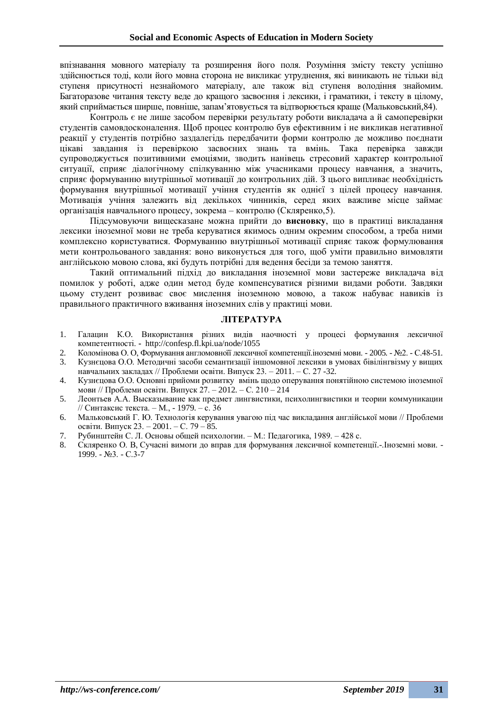впізнавання мовного матеріалу та розширення його поля. Розуміння змісту тексту успішно здійснюється тоді, коли його мовна сторона не викликає утруднення, які виникають не тільки від ступеня присутності незнайомого матеріалу, але також від ступеня володіння знайомим. Багаторазове читання тексту веде до кращого засвоєння і лексики, і граматики, і тексту в цілому, який сприймається ширше, повніше, запам'ятовується та відтворюється краще (Мальковський,84).

Контроль є не лише засобом перевірки результату роботи викладача а й самоперевірки студентів самовдосконалення. Щоб процес контролю був ефективним і не викликав негативної реакції у студентів потрібно заздалегідь передбачити форми контролю де можливо поєднати цікаві завдання із перевіркою засвоєних знань та вмінь. Така перевірка завжди супроводжується позитивними емоціями, зводить нанівець стресовий характер контрольної ситуації, сприяє діалогічному спілкуванню між учасниками процесу навчання, а значить, сприяє формуванню внутрішньої мотивації до контрольних дій. З цього випливає необхідність формування внутрішньої мотивації учіння студентів як однієї з цілей процесу навчання. Мотивація учіння залежить від декількох чинників, серед яких важливе місце займає організація навчального процесу, зокрема – контролю (Скляренко,5).

Підсумовуючи вищесказане можна прийти до **висновку**, що в практиці викладання лексики іноземної мови не треба керуватися якимось одним окремим способом, а треба ними комплексно користуватися. Формуванню внутрішньої мотивації сприяє також формулювання мети контрольованого завдання: воно виконується для того, щоб уміти правильно вимовляти англійською мовою слова, які будуть потрібні для ведення бесіди за темою заняття.

Такий оптимальний підхід до викладання іноземної мови застереже викладача від помилок у роботі, адже один метод буде компенсуватися різними видами роботи. Завдяки цьому студент розвиває своє мислення іноземною мовою, а також набуває навиків із правильного практичного вживання іноземних слів у практиці мови.

### **ЛІТЕРАТУРА**

- 1. Галацин К.О. Використання різних видів наочності у процесі формування лексичної компетентності. **-** http://confesp.fl.kpi.ua/node/1055
- 2. Коломінова О. О, Формування англомовноїї лексичної компетенції. іноземні мови. 2005. №2. С.48-51.
- 3. Кузнєцова О.О. Методичні засоби семантизації іншомовної лексики в умовах бівілінгвізму у вищих навчальних закладах // Проблеми освіти. Випуск 23. – 2011. – С. 27 -32.
- 4. Кузнєцова О.О. Основні прийоми розвитку вмінь щодо оперування понятійною системою іноземної мови // Проблеми освіти. Випуск 27. – 2012. – С. 210 – 214
- 5. Леонтьев А.А. Высказывание как предмет лингвистики, психолингвистики и теории коммуникации // Синтаксис текста. – М., - 1979. – с. 36
- 6. Мальковський Г. Ю. Технологія керування увагою під час викладання англійської мови // Проблеми освіти. Випуск 23. – 2001. – С. 79 – 85.
- 7. Рубинштейн С. Л. Основы общей психологии. М.: Педагогика, 1989. 428 с.
- 8. Скляренко О. В, Сучасні вимоги до вправ для формування лексичної компетенції.-.Іноземні мови. 1999. - №3. - С.3-7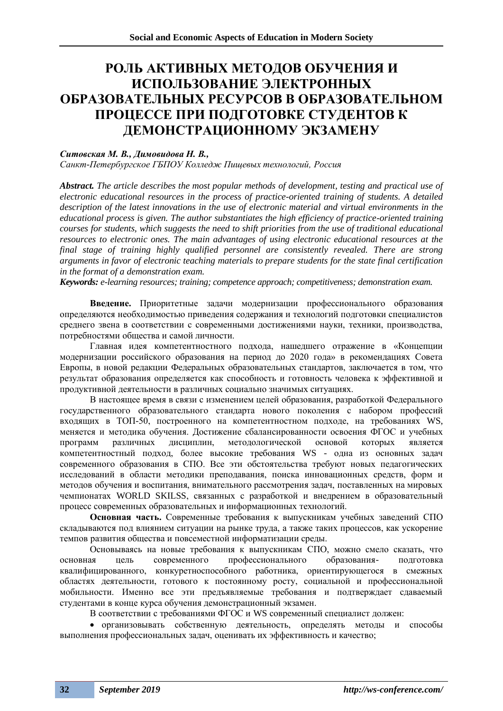### **РОЛЬ АКТИВНЫХ МЕТОДОВ ОБУЧЕНИЯ И ИСПОЛЬЗОВАНИЕ ЭЛЕКТРОННЫХ ОБРАЗОВАТЕЛЬНЫХ РЕСУРСОВ В ОБРАЗОВАТЕЛЬНОМ ПРОЦЕССЕ ПРИ ПОДГОТОВКЕ СТУДЕНТОВ К ДЕМОНСТРАЦИОННОМУ ЭКЗАМЕНУ**

### *Ситовская М. В., Димовидова Н. В.,*

*Санкт-Петербургское ГБПОУ Колледж Пищевых технологий, Россия*

*Abstract. The article describes the most popular methods of development, testing and practical use of electronic educational resources in the process of practice-oriented training of students. A detailed description of the latest innovations in the use of electronic material and virtual environments in the educational process is given. The author substantiates the high efficiency of practice-oriented training courses for students, which suggests the need to shift priorities from the use of traditional educational resources to electronic ones. The main advantages of using electronic educational resources at the final stage of training highly qualified personnel are consistently revealed. There are strong arguments in favor of electronic teaching materials to prepare students for the state final certification in the format of a demonstration exam.*

*Keywords: e-learning resources; training; competence approach; competitiveness; demonstration exam.*

**Введение.** Приоритетные задачи модернизации профессионального образования определяются необходимостью приведения содержания и технологий подготовки специалистов среднего звена в соответствии с современными достижениями науки, техники, производства, потребностями общества и самой личности.

Главная идея компетентностного подхода, нашедшего отражение в «Концепции модернизации российского образования на период до 2020 года» в рекомендациях Совета Европы, в новой редакции Федеральных образовательных стандартов, заключается в том, что результат образования определяется как способность и готовность человека к эффективной и продуктивной деятельности в различных социально значимых ситуациях.

В настоящее время в связи с изменением целей образования, разработкой Федерального государственного образовательного стандарта нового поколения с набором профессий входящих в ТОП-50, построенного на компетентностном подходе, на требованиях WS, меняется и методика обучения. Достижение сбалансированности освоения ФГОС и учебных программ различных дисциплин, методологической основой которых является компетентностный подход, более высокие требования WS - одна из основных задач современного образования в СПО. Все эти обстоятельства требуют новых педагогических исследований в области методики преподавания, поиска инновационных средств, форм и методов обучения и воспитания, внимательного рассмотрения задач, поставленных на мировых чемпионатах WORLD SKILSS, связанных с разработкой и внедрением в образовательный процесс современных образовательных и информационных технологий.

**Основная часть.** Современные требования к выпускникам учебных заведений СПО складываются под влиянием ситуации на рынке труда, а также таких процессов, как ускорение темпов развития общества и повсеместной информатизации среды.

Основываясь на новые требования к выпускникам СПО, можно смело сказать, что основная цель современного профессионального образования- подготовка квалифицированного, конкуретноспособного работника, ориентирующегося в смежных областях деятельности, готового к постоянному росту, социальной и профессиональной мобильности. Именно все эти предъявляемые требования и подтверждает сдаваемый студентами в конце курса обучения демонстрационный экзамен.

В соответствии с требованиями ФГОС и WS современный специалист должен:

• организовывать собственную деятельность, определять методы и способы выполнения профессиональных задач, оценивать их эффективность и качество;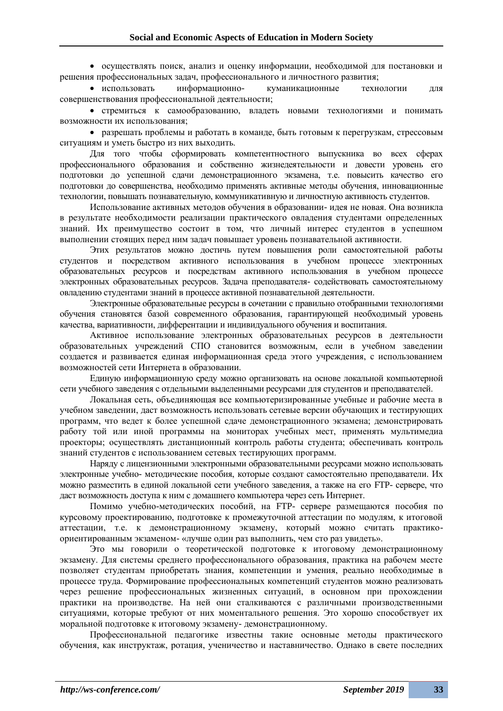• осуществлять поиск, анализ и оценку информации, необходимой для постановки и решения профессиональных задач, профессионального и личностного развития;

• использовать информационно- куманикационные технологии для совершенствования профессиональной деятельности;

• стремиться к самообразованию, владеть новыми технологиями и понимать возможности их использования;

• разрешать проблемы и работать в команде, быть готовым к перегрузкам, стрессовым ситуациям и уметь быстро из них выходить.

Для того чтобы сформировать компетентностного выпускника во всех сферах профессионального образования и собственно жизнедеятельности и довести уровень его подготовки до успешной сдачи демонстрационного экзамена, т.е. повысить качество его подготовки до совершенства, необходимо применять активные методы обучения, инновационные технологии, повышать познавательную, коммуникативную и личностную активность студентов.

Использование активных методов обучения в образовании- идея не новая. Она возникла в результате необходимости реализации практического овладения студентами определенных знаний. Их преимущество состоит в том, что личный интерес студентов в успешном выполнении стоящих перед ним задач повышает уровень познавательной активности.

Этих результатов можно достичь путем повышения роли самостоятельной работы студентов и посредством активного использования в учебном процессе электронных образовательных ресурсов и посредствам активного использования в учебном процессе электронных образовательных ресурсов. Задача преподавателя- содействовать самостоятельному овладению студентами знаний в процессе активной познавательной деятельности.

Электронные образовательные ресурсы в сочетании с правильно отобранными технологиями обучения становятся базой современного образования, гарантирующей необходимый уровень качества, вариативности, дифферентации и индивидуального обучения и воспитания.

Активное использование электронных образовательных ресурсов в деятельности образовательных учреждений СПО становится возможным, если в учебном заведении создается и развивается единая информационная среда этого учреждения, с использованием возможностей сети Интернета в образовании.

Единую информационную среду можно организовать на основе локальной компьютерной сети учебного заведения с отдельными выделенными ресурсами для студентов и преподавателей.

Локальная сеть, объединяющая все компьютеризированные учебные и рабочие места в учебном заведении, даст возможность использовать сетевые версии обучающих и тестирующих программ, что ведет к более успешной сдаче демонстрационного экзамена; демонстрировать работу той или иной программы на мониторах учебных мест, применять мультимедиа проекторы; осуществлять дистанционный контроль работы студента; обеспечивать контроль знаний студентов с использованием сетевых тестирующих программ.

Наряду с лицензионными электронными образовательными ресурсами можно использовать электронные учебно- методические пособия, которые создают самостоятельно преподаватели. Их можно разместить в единой локальной сети учебного заведения, а также на его FTP- сервере, что даст возможность доступа к ним с домашнего компьютера через сеть Интернет.

Помимо учебно-методических пособий, на FTP- сервере размещаются пособия по курсовому проектированию, подготовке к промежуточной аттестации по модулям, к итоговой аттестации, т.е. к демонстрационному экзамену, который можно считать практикоориентированным экзаменом- «лучше один раз выполнить, чем сто раз увидеть».

Это мы говорили о теоретической подготовке к итоговому демонстрационному экзамену. Для системы среднего профессионального образования, практика на рабочем месте позволяет студентам приобретать знания, компетенции и умения, реально необходимые в процессе труда. Формирование профессиональных компетенций студентов можно реализовать через решение профессиональных жизненных ситуаций, в основном при прохождении практики на производстве. На ней они сталкиваются с различными производственными ситуациями, которые требуют от них моментального решения. Это хорошо способствует их моральной подготовке к итоговому экзамену- демонстрационному.

Профессиональной педагогике известны такие основные методы практического обучения, как инструктаж, ротация, ученичество и наставничество. Однако в свете последних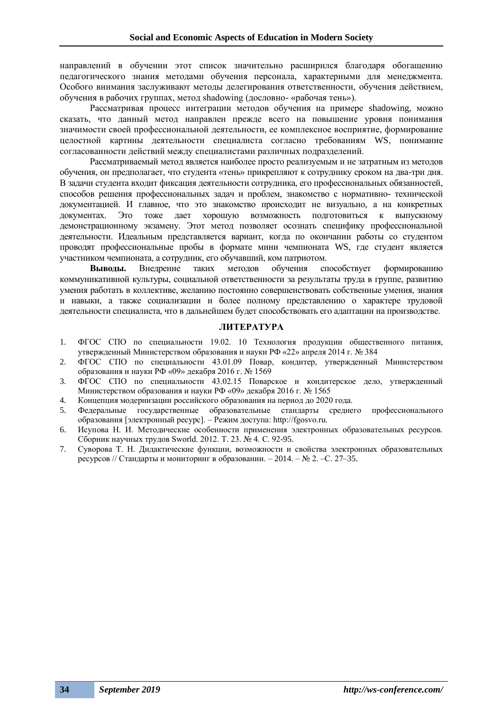направлений в обучении этот список значительно расширился благодаря обогащению педагогического знания методами обучения персонала, характерными для менеджмента. Особого внимания заслуживают методы делегирования ответственности, обучения действием, обучения в рабочих группах, метод shadowing (дословно- «рабочая тень»).

Рассматривая процесс интеграции методов обучения на примере shadowing, можно сказать, что данный метод направлен прежде всего на повышение уровня понимания значимости своей профессиональной деятельности, ее комплексное восприятие, формирование целостной картины деятельности специалиста согласно требованиям WS, понимание согласованности действий между специалистами различных подразделений.

Рассматриваемый метод является наиболее просто реализуемым и не затратным из методов обучения, он предполагает, что студента «тень» прикрепляют к сотруднику сроком на два-три дня. В задачи студента входит фиксация деятельности сотрудника, его профессиональных обязанностей, способов решения профессиональных задач и проблем, знакомство с нормативно- технической документацией. И главное, что это знакомство происходит не визуально, а на конкретных документах. Это тоже дает хорошую возможность подготовиться к выпускному демонстрационному экзамену. Этот метод позволяет осознать специфику профессиональной деятельности. Идеальным представляется вариант, когда по окончании работы со студентом проводят профессиональные пробы в формате мини чемпионата WS, где студент является участником чемпионата, а сотрудник, его обучавший, ком патриотом.

**Выводы.** Внедрение таких методов обучения способствует формированию коммуникативной культуры, социальной ответственности за результаты труда в группе, развитию умения работать в коллективе, желанию постоянно совершенствовать собственные умения, знания и навыки, а также социализации и более полному представлению о характере трудовой деятельности специалиста, что в дальнейшем будет способствовать его адаптации на производстве.

### **ЛИТЕРАТУРА**

- 1. ФГОС СПО по специальности 19.02. 10 Технология продукции общественного питания, утвержденный Министерством образования и науки РФ «22» апреля 2014 г. № 384
- 2. ФГОС СПО по специальности 43.01.09 Повар, кондитер, утвержденный Министерством образования и науки РФ «09» декабря 2016 г. № 1569
- 3. ФГОС СПО по специальности 43.02.15 Поварское и кондитерское дело, утвержденный Министерством образования и науки РФ «09» декабря 2016 г. № 1565
- 4. Концепция модернизации российского образования на период до 2020 года.
- 5. Федеральные государственные образовательные стандарты среднего профессионального образования [электронный ресурс]. – Режим доступа: http://fgosvo.ru.
- 6. Исупова Н. И. Методические особенности применения электронных образовательных ресурсов. Сборник научных трудов Sworld. 2012. Т. 23. № 4. С. 92-95.
- 7. Суворова Т. Н. Дидактические функции, возможности и свойства электронных образовательных ресурсов // Стандарты и мониторинг в образовании. – 2014. – № 2. –С. 27–35.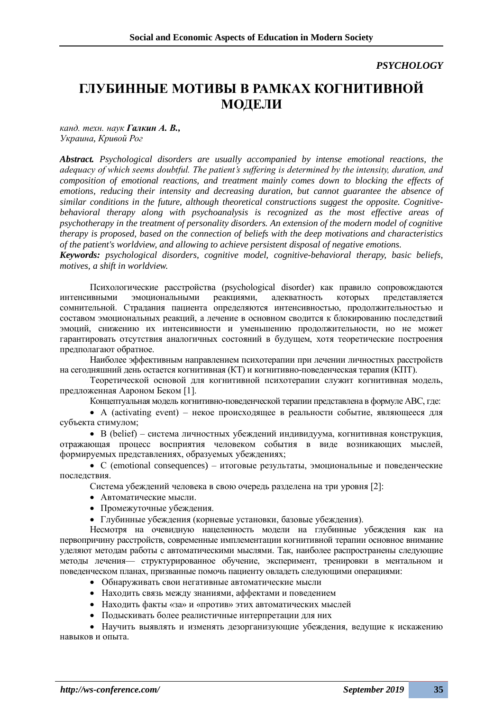### *PSYCHOLOGY*

## **ГЛУБИННЫЕ МОТИВЫ В РАМКАХ КОГНИТИВНОЙ МОДЕЛИ**

*канд. техн. наук Галкин А. В., Украина, Кривой Рог*

*Abstract. Psychological disorders are usually accompanied by intense emotional reactions, the adequacy of which seems doubtful. The patient's suffering is determined by the intensity, duration, and composition of emotional reactions, and treatment mainly comes down to blocking the effects of emotions, reducing their intensity and decreasing duration, but cannot guarantee the absence of similar conditions in the future, although theoretical constructions suggest the opposite. Cognitivebehavioral therapy along with psychoanalysis is recognized as the most effective areas of psychotherapy in the treatment of personality disorders. An extension of the modern model of cognitive therapy is proposed, based on the connection of beliefs with the deep motivations and characteristics of the patient's worldview, and allowing to achieve persistent disposal of negative emotions.*

*Keywords: psychological disorders, cognitive model, cognitive-behavioral therapy, basic beliefs, motives, a shift in worldview.*

Психологические расстройства (psychological disorder) как правило сопровождаются интенсивными эмоциональными реакциями, адекватность которых представляется сомнительной. Страдания пациента определяются интенсивностью, продолжительностью и составом эмоциональных реакций, а лечение в основном сводится к блокированию последствий эмоций, снижению их интенсивности и уменьшению продолжительности, но не может гарантировать отсутствия аналогичных состояний в будущем, хотя теоретические построения предполагают обратное.

Наиболее эффективным направлением психотерапии при лечении личностных расстройств на сегодняшний день остается когнитивная (КТ) и когнитивно-поведенческая терапия (КПТ).

Теоретической основой для когнитивной психотерапии служит когнитивная модель, предложенная Аароном Беком [1].

Концептуальная модель когнитивно-поведенческой терапии представлена в формуле АВС, где:

• A (activating event) – некое происходящее в реальности событие, являющееся для субъекта стимулом;

• В (belief) – система личностных убеждений индивидуума, когнитивная конструкция, отражающая процесс восприятия человеком события в виде возникающих мыслей, формируемых представлениях, образуемых убеждениях;

•  $C$  (emotional consequences) – итоговые результаты, эмоциональные и поведенческие последствия.

Система убеждений человека в свою очередь разделена на три уровня [2]:

- Автоматические мысли.
- Промежуточные убеждения.
- Глубинные убеждения (корневые установки, базовые убеждения).

Несмотря на очевидную нацеленность модели на глубинные убеждения как на первопричину расстройств, современные имплементации когнитивной терапии основное внимание уделяют методам работы с автоматическими мыслями. Так, наиболее распространены следующие методы лечения— структурированное обучение, эксперимент, тренировки в ментальном и поведенческом планах, призванные помочь пациенту овладеть следующими операциями:

- Обнаруживать свои негативные автоматические мысли
- Находить связь между знаниями, аффектами и поведением
- Находить факты «за» и «против» этих автоматических мыслей
- Подыскивать более реалистичные интерпретации для них

• Научить выявлять и изменять дезорганизующие убеждения, ведущие к искажению навыков и опыта.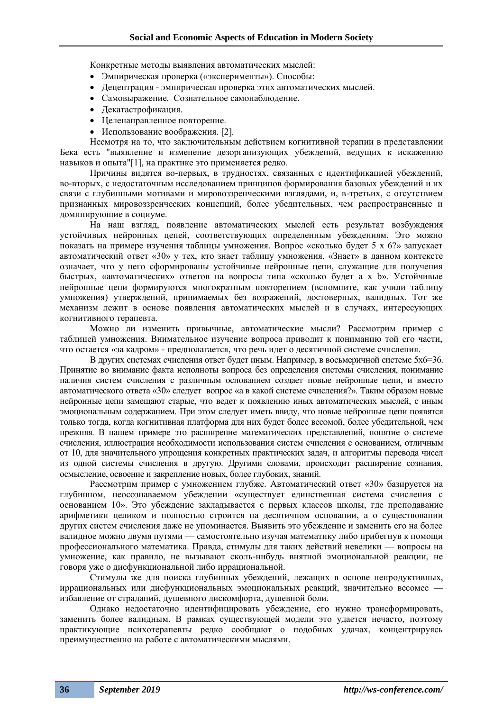Конкретные методы выявления автоматических мыслей:

- Эмпирическая проверка («эксперименты»). Способы:
- Децентрация эмпирическая проверка этих автоматических мыслей.
- Самовыражение. Сознательное самонаблюдение.
- Декатастрофикация.
- Целенаправленное повторение.
- Использование воображения. [2].

Несмотря на то, что заключительным действием когнитивной терапии в представлении Бека есть "выявление и изменение дезорганизующих убеждений, ведущих к искажению навыков и опыта"[1], на практике это применяется редко.

Причины видятся во-первых, в трудностях, связанных с идентификацией убеждений, во-вторых, с недостаточным исследованием принципов формирования базовых убеждений и их связи с глубинными мотивами и мировоззренческими взглядами, и, в-третьих, с отсутствием признанных мировоззренческих концепций, более убедительных, чем распространенные и доминирующие в социуме.

На наш взгляд, появление автоматических мыслей есть результат возбуждения устойчивых нейронных цепей, соответствующих определенным убеждениям. Это можно показать на примере изучения таблицы умножения. Вопрос «сколько будет 5 х 6?» запускает автоматический ответ «30» у тех, кто знает таблицу умножения. «Знает» в данном контексте означает, что у него сформированы устойчивые нейронные цепи, служащие для получения быстрых, «автоматических» ответов на вопросы типа «сколько будет a x b». Устойчивые нейронные цепи формируются многократным повторением (вспомните, как учили таблицу умножения) утверждений, принимаемых без возражений, достоверных, валидных. Тот же механизм лежит в основе появления автоматических мыслей и в случаях, интересующих когнитивного терапевта.

Можно ли изменить привычные, автоматические мысли? Рассмотрим пример с таблицей умножения. Внимательное изучение вопроса приводит к пониманию той его части, что остается «за кадром» - предполагается, что речь идет о десятичной системе счисления.

В других системах счисления ответ будет иным. Например, в восьмеричной системе 5х6=36. Принятие во внимание факта неполноты вопроса без определения системы счисления, понимание наличия систем счисления с различным основанием создает новые нейронные цепи, и вместо автоматического ответа «30» следует вопрос «а в какой системе счисления?». Таким образом новые нейронные цепи замещают старые, что ведет к появлению иных автоматических мыслей, с иным эмоциональным содержанием. При этом следует иметь ввиду, что новые нейронные цепи появятся только тогда, когда когнитивная платформа для них будет более весомой, более убедительной, чем прежняя. В нашем примере это расширение математических представлений, понятие о системе счисления, иллюстрация необходимости использования систем счисления с основанием, отличным от 10, для значительного упрощения конкретных практических задач, и алгоритмы перевода чисел из одной системы счисления в другую. Другими словами, происходит расширение сознания, осмысление, освоение и закрепление новых, более глубоких, знаний.

Рассмотрим пример с умножением глубже. Автоматический ответ «30» базируется на глубинном, неосознаваемом убеждении «существует единственная система счисления с основанием 10». Это убеждение закладывается с первых классов школы, где преподавание арифметики целиком и полностью строится на десятичном основании, а о существовании других систем счисления даже не упоминается. Выявить это убеждение и заменить его на более валидное можно двумя путями — самостоятельно изучая математику либо прибегнув к помощи профессионального математика. Правда, стимулы для таких действий невелики — вопросы на умножение, как правило, не вызывают сколь-нибудь внятной эмоциональной реакции, не говоря уже о дисфункциональной либо иррациональной.

Стимулы же для поиска глубинных убеждений, лежащих в основе непродуктивных, иррациональных или дисфункциональных эмоциональных реакций, значительно весомее избавление от страданий, душевного дискомфорта, душевной боли.

Однако недостаточно идентифицировать убеждение, его нужно трансформировать, заменить более валидным. В рамках существующей модели это удается нечасто, поэтому практикующие психотерапевты редко сообщают о подобных удачах, концентрируясь преимущественно на работе с автоматическими мыслями.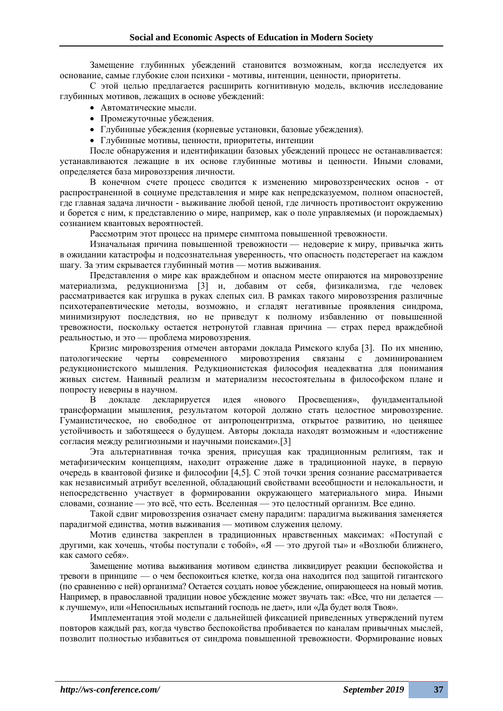Замещение глубинных убеждений становится возможным, когда исследуется их основание, самые глубокие слои психики - мотивы, интенции, ценности, приоритеты.

С этой целью предлагается расширить когнитивную модель, включив исследование глубинных мотивов, лежащих в основе убеждений:

- Автоматические мысли.
- Промежуточные убеждения.
- Глубинные убеждения (корневые установки, базовые убеждения).
- Глубинные мотивы, ценности, приоритеты, интенции

После обнаружения и идентификации базовых убеждений процесс не останавливается: устанавливаются лежащие в их основе глубинные мотивы и ценности. Иными словами, определяется база мировоззрения личности.

В конечном счете процесс сводится к изменению мировоззренческих основ - от распространенной в социуме представления и мире как непредсказуемом, полном опасностей, где главная задача личности - выживание любой ценой, где личность противостоит окружению и борется с ним, к представлению о мире, например, как о поле управляемых (и порождаемых) сознанием квантовых вероятностей.

Рассмотрим этот процесс на примере симптома повышенной тревожности.

Изначальная причина повышенной тревожности — недоверие к миру, привычка жить в ожидании катастрофы и подсознательная уверенность, что опасность подстерегает на каждом шагу. За этим скрывается глубинный мотив — мотив выживания.

Представления о мире как враждебном и опасном месте опираются на мировоззрение материализма, редукционизма [3] и, добавим от себя, физикализма, где человек рассматривается как игрушка в руках слепых сил. В рамках такого мировоззрения различные психотерапевтические методы, возможно, и сгладят негативные проявления синдрома, минимизируют последствия, но не приведут к полному избавлению от повышенной тревожности, поскольку остается нетронутой главная причина — страх перед враждебной реальностью, и это — проблема мировоззрения.

Кризис мировоззрения отмечен авторами доклада Римского клуба [3]. По их мнению, патологические черты современного мировоззрения связаны с доминированием редукционистского мышления. Редукционистская философия неадекватна для понимания живых систем. Наивный реализм и материализм несостоятельны в философском плане и попросту неверны в научном.

В докладе декларируется идея «нового Просвещения», фундаментальной трансформации мышления, результатом которой должно стать целостное мировоззрение. Гуманистическое, но свободное от антропоцентризма, открытое развитию, но ценящее устойчивость и заботящееся о будущем. Авторы доклада находят возможным и «достижение согласия между религиозными и научными поисками».[3]

Эта альтернативная точка зрения, присущая как традиционным религиям, так и метафизическим концепциям, находит отражение даже в традиционной науке, в первую очередь в квантовой физике и философии [4,5]. С этой точки зрения сознание рассматривается как независимый атрибут вселенной, обладающий свойствами всеобщности и нелокальности, и непосредственно участвует в формировании окружающего материального мира. Иными словами, сознание — это всё, что есть. Вселенная — это целостный организм. Все едино.

Такой сдвиг мировоззрения означает смену парадигм: парадигма выживания заменяется парадигмой единства, мотив выживания — мотивом служения целому.

Мотив единства закреплен в традиционных нравственных максимах: «Поступай с другими, как хочешь, чтобы поступали с тобой», «Я — это другой ты» и «Возлюби ближнего, как самого себя».

Замещение мотива выживания мотивом единства ликвидирует реакции беспокойства и тревоги в принципе — о чем беспокоиться клетке, когда она находится под защитой гигантского (по сравнению с ней) организма? Остается создать новое убеждение, опирающееся на новый мотив. Например, в православной традиции новое убеждение может звучать так: «Все, что ни делается к лучшему», или «Непосильных испытаний господь не дает», или «Да будет воля Твоя».

Имплементация этой модели с дальнейшей фиксацией приведенных утверждений путем повторов каждый раз, когда чувство беспокойства пробивается по каналам привычных мыслей, позволит полностью избавиться от синдрома повышенной тревожности. Формирование новых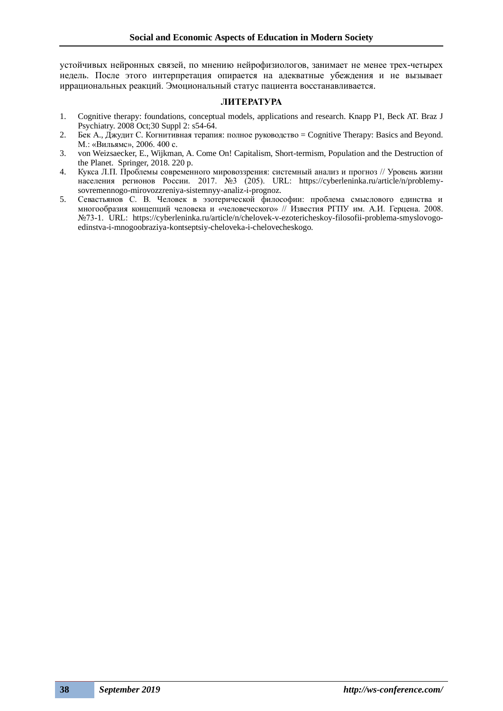устойчивых нейронных связей, по мнению нейрофизиологов, занимает не менее трех-четырех недель. После этого интерпретация опирается на адекватные убеждения и не вызывает иррациональных реакций. Эмоциональный статус пациента восстанавливается.

### **ЛИТЕРАТУРА**

- 1. Cognitive therapy: foundations, conceptual models, applications and research. Knapp P1, Beck AT. Braz J Psychiatry. 2008 Oct;30 Suppl 2: s54-64.
- 2. Бек А., Джудит С. Когнитивная терапия: полное руководство = Cognitive Therapy: Basics and Beyond. М.: «Вильямс», 2006. 400 с.
- 3. von Weizsaecker, E., Wijkman, A. Come On! Capitalism, Short-termism, Population and the Destruction of the Planet. Springer, 2018. 220 p.
- 4. Кукса Л.П. Проблемы современного мировоззрения: системный анализ и прогноз // Уровень жизни населения регионов России. 2017. №3 (205). URL: https://cyberleninka.ru/article/n/problemysovremennogo-mirovozzreniya-sistemnyy-analiz-i-prognoz.
- 5. Севастьянов С. В. Человек в эзотерической философии: проблема смыслового единства и многообразия концепций человека и «человеческого» // Известия РГПУ им. А.И. Герцена. 2008. №73-1. URL: https://cyberleninka.ru/article/n/chelovek-v-ezotericheskoy-filosofii-problema-smyslovogoedinstva-i-mnogoobraziya-kontseptsiy-cheloveka-i-chelovecheskogo.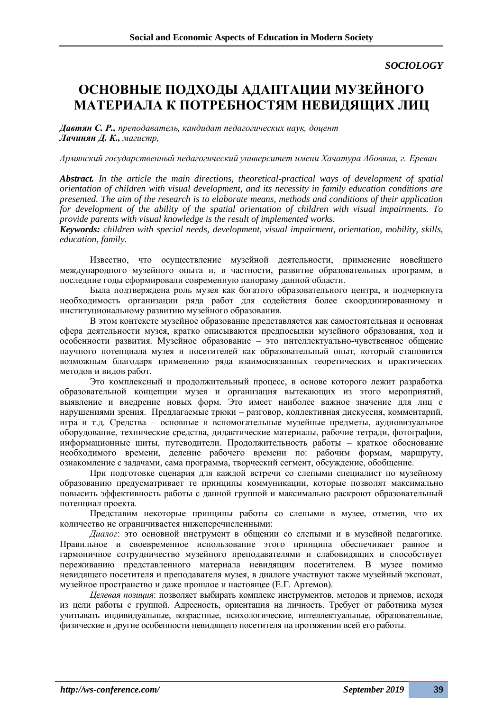*SOCIOLOGY*

## **ОСНОВНЫЕ ПОДХОДЫ АДАПТАЦИИ МУЗЕЙНОГО МАТЕРИАЛА К ПОТРЕБНОСТЯМ НЕВИДЯЩИХ ЛИЦ**

*Давтян С. Р., преподаватель, кандидат педагогических наук, доцент Лачинян Д. К., магистр,* 

*Армянский государственный педагогический университет имени Хачатура Абовяна, г. Ереван*

*Abstract. In the article the main directions, theoretical-practical ways of development of spatial orientation of children with visual development, and its necessity in family education conditions are presented. The aim of the research is to elaborate means, methods and conditions of their application for development of the ability of the spatial orientation of children with visual impairments. To provide parents with visual knowledge is the result of implemented works.*

*Keywords: children with special needs, development, visual impairment, orientation, mobility, skills, education, family.*

Известно, что осуществление музейной деятельности, применение новейшего международного музейного опыта и, в частности, развитие образовательных программ, в последние годы сформировали современную панораму данной области.

Была подтверждена роль музея как богатого образовательного центра, и подчеркнута необходимость организации ряда работ для содействия более скоординированному и институциональному развитию музейного образования.

В этом контексте музейное образование представляется как самостоятельная и основная сфера деятельности музея, кратко описываются предпосылки музейного образования, ход и особенности развития. Музейное образование – это интеллектуально-чувственное общение научного потенциала музея и посетителей как образовательный опыт, который становится возможным благодаря применению ряда взаимосвязанных теоретических и практических методов и видов работ.

Это комплексный и продолжительный процесс, в основе которого лежит разработка образовательной концепции музея и организация вытекающих из этого мероприятий, выявление и внедрение новых форм. Это имеет наиболее важное значение для лиц с нарушениями зрения. Предлагаемые трюки – разговор, коллективная дискуссия, комментарий, игра и т.д. Средства – основные и вспомогательные музейные предметы, аудиовизуальное оборудование, технические средства, дидактические материалы, рабочие тетради, фотографии, информационные щиты, путеводители. Продолжительность работы – краткое обоснование необходимого времени, деление рабочего времени по: рабочим формам, маршруту, ознакомление с задачами, сама программа, творческий сегмент, обсуждение, обобщение.

При подготовке сценария для каждой встречи со слепыми специалист по музейному образованию предусматривает те принципы коммуникации, которые позволят максимально повысить эффективность работы с данной группой и максимально раскроют образовательный потенциал проекта.

Представим некоторые принципы работы со слепыми в музее, отметив, что их количество не ограничивается нижеперечисленными:

*Диалог*: это основной инструмент в общении со слепыми и в музейной педагогике. Правильное и своевременное использование этого принципа обеспечивает равное и гармоничное сотрудничество музейного преподавателями и слабовидящих и способствует переживанию представленного материала невидящим посетителем. В музее помимо невидящего посетителя и преподавателя музея, в диалоге участвуют также музейный экспонат, музейное пространство и даже прошлое и настоящее (Е.Г. Артемов).

*Целевая позиция*: позволяет выбирать комплекс инструментов, методов и приемов, исходя из цели работы с группой. Адресность, ориентация на личность. Требует от работника музея учитывать индивидуальные, возрастные, психологические, интеллектуальные, образовательные, физические и другие особенности невидящего посетителя на протяжении всей его работы.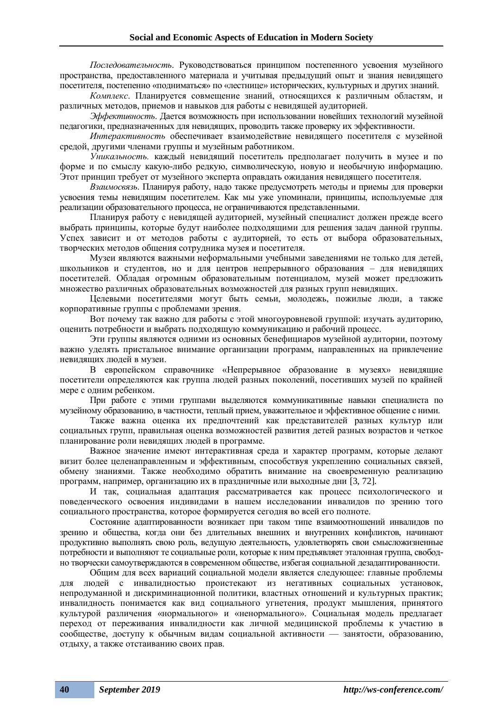*Последовательность*. Руководствоваться принципом постепенного усвоения музейного пространства, предоставленного материала и учитывая предыдущий опыт и знания невидящего посетителя, постепенно «подниматься» по «лестнице» исторических, культурных и других знаний.

*Комплекс*. Планируется совмещение знаний, относящихся к различным областям, и различных методов, приемов и навыков для работы с невидящей аудиторией.

*Эффективность*. Дается возможность при использовании новейших технологий музейной педагогики, предназначенных для невидящих, проводить также проверку их эффективности.

*Интерактивность* обеспечивает взаимодействие невидящего посетителя с музейной средой, другими членами группы и музейным работником.

*Уникальность.* каждый невидящий посетитель предполагает получить в музее и по форме и по смыслу какую-либо редкую, символическую, новую и необычную информацию. Этот принцип требует от музейного эксперта оправдать ожидания невидящего посетителя.

*Взаимосвязь*. Планируя работу, надо также предусмотреть методы и приемы для проверки усвоения темы невидящим посетителем. Как мы уже упоминали, принципы, используемые для реализации образовательного процесса, не ограничиваются представленными.

Планируя работу с невидящей аудиторией, музейный специалист должен прежде всего выбрать принципы, которые будут наиболее подходящими для решения задач данной группы. Успех зависит и от методов работы с аудиторией, то есть от выбора образовательных, творческих методов общения сотрудника музея и посетителя.

Музеи являются важными неформальными учебными заведениями не только для детей, школьников и студентов, но и для центров непрерывного образования – для невидящих посетителей. Обладая огромным образовательным потенциалом, музей может предложить множество различных образовательных возможностей для разных групп невидящих.

Целевыми посетителями могут быть семьи, молодежь, пожилые люди, а также корпоративные группы с проблемами зрения.

Вот почему так важно для работы с этой многоуровневой группой: изучать аудиторию, оценить потребности и выбрать подходящую коммуникацию и рабочий процесс.

Эти группы являются одними из основных бенефициаров музейной аудитории, поэтому важно уделять пристальное внимание организации программ, направленных на привлечение невидящих людей в музеи.

В европейском справочнике «Непрерывное образование в музеях» невидящие посетители определяются как группа людей разных поколений, посетивших музей по крайней мере с одним ребенком.

При работе с этими группами выделяются коммуникативные навыки специалиста по музейному образованию, в частности, теплый прием, уважительное и эффективное общение с ними.

Также важна оценка их предпочтений как представителей разных культур или социальных групп, правильная оценка возможностей развития детей разных возрастов и четкое планирование роли невидящих людей в программе.

Важное значение имеют интерактивная среда и характер программ, которые делают визит более целенаправленным и эффективным, способствуя укреплению социальных связей, обмену знаниями. Также необходимо обратить внимание на своевременную реализацию программ, например, организацию их в праздничные или выходные дни [3, 72].

И так, социальная адаптация рассматривается как процесс психологического и поведенческого освоения индивидами в нашем исследовании инвалидов по зрению того социального пространства, которое формируется сегодня во всей его полноте.

Состояние адаптированности возникает при таком типе взаимоотношений инвалидов по зрению и общества, когда они без длительных внешних и внутренних конфликтов, начинают продуктивно выполнять свою роль, ведущую деятельность, удовлетворять свои смысложизненные потребности и выполняют те социальные роли, которые к ним предъявляет эталонная группа, свободно творчески самоутверждаются в современном обществе, избегая социальной дезадаптированности.

Общим для всех вариаций социальной модели является следующее: главные проблемы для людей с инвалидностью проистекают из негативных социальных установок, непродуманной и дискриминационной политики, властных отношений и культурных практик; инвалидность понимается как вид социального угнетения, продукт мышления, принятого культурой различения «нормального» и «ненормального». Социальная модель предлагает переход от переживания инвалидности как личной медицинской проблемы к участию в сообществе, доступу к обычным видам социальной активности — занятости, образованию, отдыху, а также отстаиванию своих прав.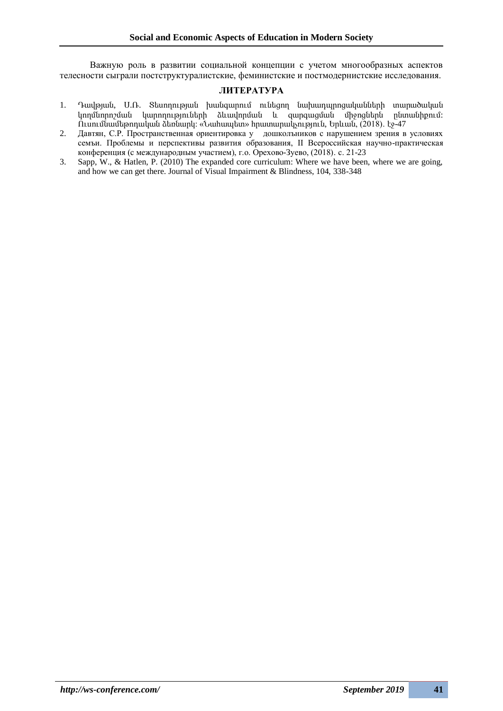Важную роль в развитии социальной концепции с учетом многообразных аспектов телесности сыграли постструктуралистские, феминистские и постмодернистские исследования.

### **ЛИТЕРАТУРА**

- 1. Դավթյան, Ս.Ռ. Տեսողության խանգարում ունեցող նախադպրոցականների տարածական կողմնորոշման կարողություների ձևավորման և զարգացման միջոցներն ընտանիքում: Ուսումնամեթոդական ձեռնարկ: «Նահապետ» հրատարակչություն, Երևան, (2018)․ էջ-47
- 2. Давтян, С.Р. Пространственная ориентировка у дошколъников с нарушением зрения в условиях семъи. Проблемы и перспективы развития образования, II Всероссийская научно-практическая конференция (с международным участием), г.о. Орехово-Зуево, (2018)․ с. 21-23
- 3. Sapp, W., & Hatlen, P. (2010) The expanded core curriculum: Where we have been, where we are going, and how we can get there. Journal of Visual Impairment & Blindness, 104, 338-348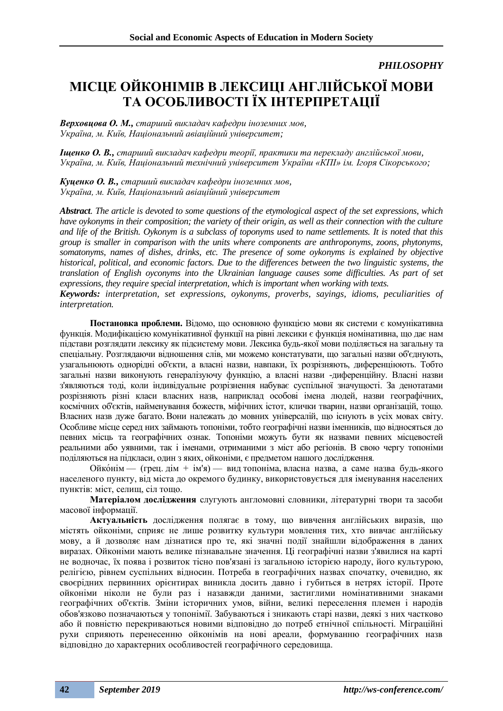*PHILOSOPHY*

## **МІСЦЕ ОЙКОНІМІВ В ЛЕКСИЦІ АНГЛІЙСЬКОЇ МОВИ ТА ОСОБЛИВОСТІ ЇХ ІНТЕРПРЕТАЦІЇ**

*Верховцова О. М., старший викладач кафедри іноземних мов, Україна, м. Київ, Національний авіаційний університет;*

*Іщенко О. В., старший викладач кафедри теорії, практики та перекладу англійської мови, Україна, м. Київ, Національний технічний університет України «КПІ» ім. Ігоря Сікорського;*

*Куценко О. В., старший викладач кафедри іноземних мов, Україна, м. Київ, Національний авіаційний університет*

*Abstract. The article is devoted to some questions of the etymological aspect of the set expressions, which have oykonyms in their composition; the variety of their origin, as well as their connection with the culture and life of the British. Oykonym is a subclass of toponyms used to name settlements. It is noted that this group is smaller in comparison with the units where components are anthroponyms, zoons, phytonyms, somatonyms, names of dishes, drinks, etc. The presence of some oykonyms is explained by objective historical, political, and economic factors. Due to the differences between the two linguistic systems, the translation of English oyconyms into the Ukrainian language causes some difficulties. As part of set expressions, they require special interpretation, which is important when working with texts.*

*Keywords: interpretation, set expressions, oykonyms, proverbs, sayings, idioms, peculiarities of interpretation.*

**Постановка проблеми.** Відомо, що основною функцією мови як системи є комунікативна функція. Модифікацією комунікативної функції на рівні лексики є функція номінативна, що дає нам підстави розглядати лексику як підсистему мови. Лексика будь-якої мови поділяється на загальну та спеціальну. Розглядаючи відношення слів, ми можемо констатувати, що загальні назви об'єднують, узагальнюють однорідні об'єкти, а власні назви, навпаки, їх розрізняють, диференціюють. Тобто загальні назви виконують генералізуючу функцію, а власні назви -диференційну. Власні назви з'являються тоді, коли індивідуальне розрізнення набуває суспільної значущості. За денотатами розрізняють різні класи власних назв, наприклад особові імена людей, назви географічних, космічних об'єктів, найменування божеств, міфічних істот, клички тварин, назви організацій, тощо. Власних назв дуже багато. Вони належать до мовних універсалій, що існують в усіх мовах світу. Особливе місце серед них займають топоніми, тобто географічні назви іменників, що відносяться до певних місць та географічних ознак. Топоніми можуть бути як назвами певних місцевостей реальними або уявними, так і іменами, отриманими з міст або регіонів. В свою чергу топоніми поділяються на підкласи, один з яких, ойконіми, є предметом нашого дослідження.

Ойко́нім — (грец. дім + ім'я) — вид топоніма, власна назва, а саме назва будь-якого населеного пункту, від міста до окремого будинку, використовується для іменування населених пунктів: міст, селищ, сіл тощо.

**Матеріалом дослідження** слугують англомовні словники, літературні твори та засоби масової інформації.

**Актуальність** дослідження полягає в тому, що вивчення англійських виразів, що містять ойконіми, сприяє не лише розвитку культури мовлення тих, хто вивчає англійську мову, а й дозволяє нам дізнатися про те, які значні події знайшли відображення в даних виразах. Ойконіми мають велике пізнавальне значення. Ці географічні назви з'явилися на карті не водночас, їх поява і розвиток тісно пов'язані із загальною історією народу, його культурою, релігією, рівнем суспільних відносин. Потреба в географічних назвах спочатку, очевидно, як своєрідних первинних орієнтирах виникла досить давно і губиться в нетрях історії. Проте ойконіми ніколи не були раз і назавжди даними, застиглими номінативними знаками географічних об'єктів. Зміни історичних умов, війни, великі переселення племен і народів обов'язково позначаються у топонімії. Забуваються і зникають старі назви, деякі з них частково або й повністю перекриваються новими відповідно до потреб етнічної спільності. Міграційні рухи сприяють перенесенню ойконімів на нові ареали, формуванню географічних назв відповідно до характерних особливостей географічного середовища.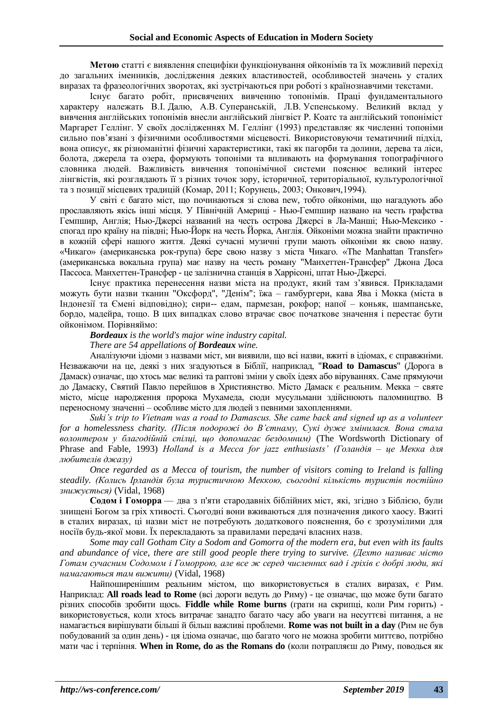**Метою** статті є виявлення специфіки функціонування ойконімів та їх можливий перехід до загальних іменників, дослідження деяких властивостей, особливостей значень у сталих виразах та фразеологічних зворотах, які зустрічаються при роботі з країнознавчими текстами.

Існує багато робіт, присвячених вивченню топонімів. Праці фундаментального характеру належать В.І. Далю, А.В. Суперанській, Л.В. Успенському. Великий вклад у вивчення англійських топонімів внесли англійський лінгвіст Р. Коатс та англійський топоніміст Маргарет Геллінг. У своїх дослідженнях М. Геллінг (1993) представляє як численні топоніми сильно пов'язані з фізичними особливостями місцевості. Використовуючи тематичний підхід, вона описує, як різноманітні фізичні характеристики, такі як пагорби та долини, дерева та ліси, болота, джерела та озера, формують топоніми та впливають на формування топографічного словника людей. Важливість вивчення топонімічної системи пояснює великий інтерес лінгвістів, які розглядають її з різних точок зору, історичної, територіальної, культурологічної та з позиції місцевих традицій (Комар, 2011; Корунець, 2003; Онкович,1994).

У світі є багато міст, що починаються зі слова new, тобто ойконіми, що нагадують або прославляють якісь інші місця. У Північній Америці - Нью-Гемпшир названо на честь графства Гемпшир, Англія; Нью-Джерсі названий на честь острова Джерсі в Ла-Манші; Нью-Мексико спогад про країну на півдні; Нью-Йорк на честь Йорка, Англія. Ойконіми можна знайти практично в кожній сфері нашого життя. Деякі сучасні музичні групи мають ойконіми як свою назву. «Чикаго» (американська рок-група) бере свою назву з міста Чикаго. «The Manhattan Transfer» (американська вокальна група) має назву на честь роману "Манхеттен-Трансфер" Джона Доса Пассоса. Манхеттен-Трансфер - це залізнична станція в Харрісоні, штат Нью-Джерсі.

Існує практика перенесення назви міста на продукт, який там з'явився. Прикладами можуть бути назви тканин "Оксфорд", "Денім"; їжа – гамбургери, кава Ява і Мокка (міста в Індонезії та Ємені відповідно); сири-- едам, пармезан, рокфор; напої – коньяк, шампанське, бордо, мадейра, тощо. В цих випадках слово втрачає своє початкове значення і перестає бути ойконімом. Порівняймо:

*Bordeaux is the world's major wine industry capital.*

*There are 54 appellations of Bordeaux wine.*

Аналізуючи ідіоми з назвами міст, ми виявили, що всі назви, вжиті в ідіомах, є справжніми. Незважаючи на це, деякі з них згадуються в Біблії, наприклад, "**Road to Damascus**" (Дорога в Дамаск) означає, що хтось має великі та раптові зміни у своїх ідеях або віруваннях. Саме прямуючи до Дамаску, Святий Павло перейшов в Християнство. Місто Дамаск є реальним. Мекка − святе місто, місце народження пророка Мухамеда, сюди мусульмани здійснюють паломництво. В переносному значенні – особливе місто для людей з певними захопленнями.

*Suki's trip to Vietnam was a road to Damascus. She came back and signed up as a volunteer for a homelessness charity. (Після подорожі до В'єтнаму, Сукі дуже змінилася. Вона стала волонтером у благодійній спілці, що допомагає бездомним)* (The Wordsworth Dictionary of Phrase and Fable, 1993) *Holland is a Mecca for jazz enthusiasts' (Голандія – це Мекка для любителів джазу)*

*Once regarded as a Mecca of tourism, the number of visitors coming to Ireland is falling steadily. (Колись Ірландія була туристичною Меккою, сьогодні кількість туристів постійно знижується)* (Vidal, 1968)

**Содом і Гоморра** — два з п'яти стародавніх біблійних міст, які, згідно з Біблією, були знищені Богом за гріх хтивості. Сьогодні вони вживаються для позначення дикого хаосу. Вжиті в сталих виразах, ці назви міст не потребують додаткового пояснення, бо є зрозумілими для носіїв будь-якої мови. Їх перекладають за правилами передачі власних назв.

*Some may call Gotham City a Sodom and Gomorra of the modern era, but even with its faults and abundance of vice, there are still good people there trying to survive. (Дехто називає місто Готам сучасним Содомом і Гоморрою, але все ж серед численних вад і гріхів є добрі люди, які намагаються там вижити)* (Vidal, 1968)

Найпоширенішим реальним містом, що використовується в сталих виразах, є Рим. Наприклад: **All roads lead to Rome** (всі дороги ведуть до Риму) - це означає, що може бути багато різних способів зробити щось. **Fiddle while Rome burns** (грати на скрипці, коли Рим горить) використовується, коли хтось витрачає занадто багато часу або уваги на несуттєві питання, а не намагається вирішувати більші й більш важливі проблеми. **Rome was not built in a day** (Рим не був побудований за один день) - ця ідіома означає, що багато чого не можна зробити миттєво, потрібно мати час і терпіння. **When in Rome, do as the Romans do** (коли потрапляєш до Риму, поводься як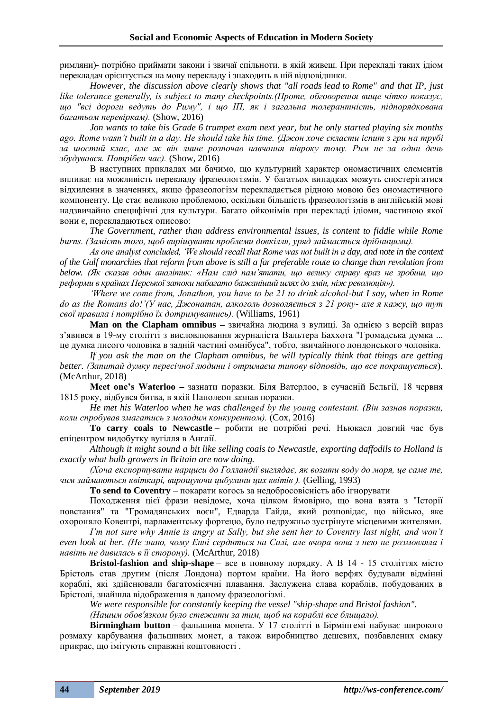римляни)- потрібно приймати закони і звичаї спільноти, в якій живеш. При перекладі таких ідіом перекладач орієнтується на мову перекладу і знаходить в ній відповідники.

*However, the discussion above clearly shows that "all roads lead to Rome" and that IP, just like tolerance generally, is subject to many checkpoints.(Проте, обговорення вище чітко показує, що "всі дороги ведуть до Риму", і що ІП, як і загальна толерантність, підпорядкована багатьом перевіркам).* (Show, 2016)

*Jon wants to take his Grade 6 trumpet exam next year, but he only started playing six months ago. Rome wasn't built in a day. He should take his time. (Джон хоче скласти іспит з гри на трубі за шостий клас, але ж він лише розпочав навчання півроку тому. Рим не за один день збудувався. Потрібен час).* (Show, 2016)

В наступних прикладах ми бачимо, що культурний характер ономастичних елементів впливає на можливість перекладу фразеологізмів. У багатьох випадках можуть спостерігатися відхилення в значеннях, якщо фразеологізм перекладається рідною мовою без ономастичного компоненту. Це стає великою проблемою, оскільки більшість фразеологізмів в англійській мові надзвичайно специфічні для культури. Багато ойконімів при перекладі ідіоми, частиною якої вони є, перекладаються описово:

*The Government, rather than address environmental issues, is content to fiddle while Rome burns. (Замість того, щоб вирішувати проблеми довкілля, уряд займається дрібницями).*

*As one analyst concluded, 'We should recall that Rome was not built in a day, and note in the context of the Gulf monarchies that reform from above is still a far preferable route to change than revolution from below. (Як сказав один аналітик: «Нам слід пам'ятати, що велику справу враз не зробиш, що реформи в країнах Перської затоки набагато бажаніший шлях до змін, ніж революція»).*

*'Where we come from, Jonathon, you have to be 21 to drink alcohol-but I say, when in Rome do as the Romans do!'(У нас, Джонатан, алкоголь дозволяється з 21 року- але я кажу, що тут свої правила і потрібно їх дотримуватись).* (Williams, 1961)

**Man on the Clapham omnibus –** звичайна людина з вулиці. За однією з версій вираз з'явився в 19-му столітті з висловлювання журналіста Вальтера Баххота "Громадська думка ... це думка лисого чоловіка в задній частині омнібуса", тобто, звичайного лондонського чоловіка.

*If you ask the man on the Clapham omnibus, he will typically think that things are getting better. (Запитай думку пересічної людини і отримаєш типову відповідь, що все покращується*). (McArthur, 2018)

**Meet one's Waterloo –** зазнати поразки. Біля Ватерлоо, в сучасній Бельгії, 18 червня 1815 року, відбувся битва, в якій Наполеон зазнав поразки.

*He met his Waterloo when he was challenged by the young contestant. (Він зазнав поразки, коли спробував змагатись з молодим конкурентом).* (Cox, 2016)

**To carry coals to Newcastle –** робити не потрібні речі. Ньюкасл довгий час був епіцентром видобутку вугілля в Англії.

*Although it might sound a bit like selling coals to Newcastle, exporting daffodils to Holland is exactly what bulb growers in Britain are now doing.*

*(Хоча експортувати нарциси до Голландії виглядає, як возити воду до моря, це саме те, чим займаються квіткарі, вирощуючи цибулини цих квітів ).* (Gelling, 1993)

**To send to Coventry** – покарати когось за недобросовісність або ігнорувати

Походження цієї фрази невідоме, хоча цілком ймовірно, що вона взята з "Історії повстання" та "Громадянських воєн", Едварда Гайда, який розповідає, що військо, яке охороняло Ковентрі, парламентську фортецю, було недружньо зустрінуте місцевими жителями.

*I'm not sure why Annie is angry at Sally, but she sent her to Coventry last night, and won't even look at her. (Не знаю, чому Енні сердиться на Салі, але вчора вона з нею не розмовляла і навіть не дивилась в її сторону).* (McArthur, 2018)

**Bristol-fashion and ship-shape** – все в повному порядку. A В 14 - 15 століттях місто Брістоль став другим (після Лондона) портом країни. На його верфях будували відмінні кораблі, які здійснювали багатомісячні плавання. Заслужена слава кораблів, побудованих в Брістолі, знайшла відображення в даному фразеологізмі.

*We were responsible for constantly keeping the vessel "ship-shape and Bristol fashion".* 

*(Нашим обов'язком було стежити за тим, щоб на кораблі все блищало).*

**Birmingham button** – фальшива монета. У 17 столітті в Бірмінгемі набуває широкого розмаху карбування фальшивих монет, а також виробництво дешевих, позбавлених смаку прикрас, що імітують справжні коштовності .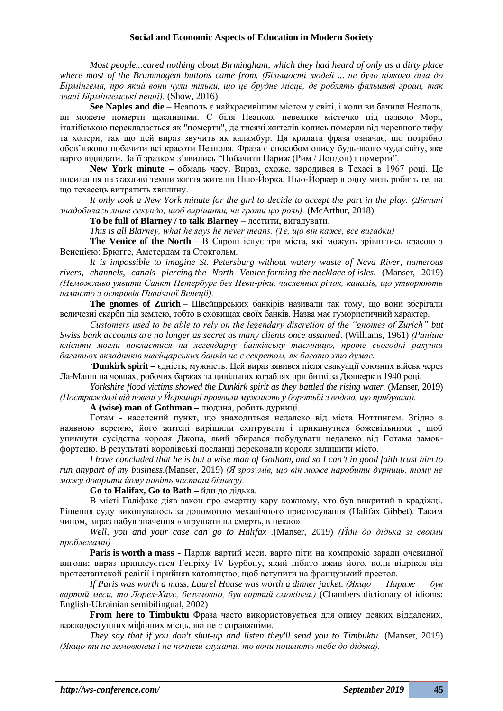*Most people...cared nothing about Birmingham, which they had heard of only as a dirty place where most of the Brummagem buttons came from. (Більшості людей ... не було ніякого діла до Бірмінгема, про який вони чули тільки, що це брудне місце, де роблять фальшиві гроші, так звані Бірмінгемські пенні).* (Show, 2016)

**See Naples and die** – Неаполь є найкрасивішим містом у світі, і коли ви бачили Неаполь, ви можете померти щасливими. Є біля Неаполя невелике містечко під назвою Морі, італійською перекладається як "померти", де тисячі жителів колись померли від черевного тифу та холери, так що цей вираз звучить як каламбур. Ця крилата фраза означає, що потрібно обов'язково побачити всі красоти Неаполя. Фраза є способом опису будь-якого чуда світу, яке варто відвідати. За її зразком з'явились "Побачити Париж (Рим / Лондон) і померти".

**New York minute –** обмаль часу**.** Вираз, схоже, зародився в Техасі в 1967 році. Це посилання на жахливі темпи життя жителів Нью-Йорка. Нью-Йоркер в одну мить робить те, на що техасець витратить хвилину.

*It only took a New York minute for the girl to decide to accept the part in the play. (Дівчині знадобилась лише секунда, щоб вирішити, чи грати цю роль).* (McArthur, 2018)

**To be full of Blarney / to talk Blarney** – лестити, вигадувати.

*This is all Blarney, what he says he never means. (Те, що він каже, все вигадки)*

**The Venice of the North** – В Європі існує три міста, які можуть зрівнятись красою з Венецією: Брюгге, Амстердам та Стокгольм.

*It is impossible to imagine St. Petersburg without watery waste of Neva River, numerous rivers, channels, canals piercing the North Venice forming the necklace of isles.* (Manser, 2019) *(Неможливо уявити Санкт Петербург без Неви-ріки, численних річок, каналів, що утворюють намисто з островів Північної Венеції).*

**The gnomes of Zurich** – Швейцарських банкірів називали так тому, що вони зберігали величезні скарби під землею, тобто в сховищах своїх банків. Назва має гумористичний характер.

*Customers used to be able to rely on the legendary discretion of the "gnomes of Zurich" but Swiss bank accounts are no longer as secret as many clients once assumed*. (Williams, 1961) *(Раніше клієнти могли покластися на легендарну банківську таємницю, проте сьогодні рахунки багатьох вкладників швейцарських банків не є секретом, як багато хто думає.*

'**Dunkirk spirit –** єдність, мужність. Цей вираз зявився після евакуації союзних військ через Ла-Манш на човнах, робочих баржах та цивільних кораблях при битві за Дюнкерк в 1940 році.

*Yorkshire flood victims showed the Dunkirk spirit as they battled the rising water.* (Manser, 2019) *(Постраждалі від повені у Йоркширі проявили мужність у боротьбі з водою, що прибувала).*

**A (wise) man of Gothman –** людина, робить дурниці.

Готам - населений пункт, що знаходиться недалеко від міста Ноттингем. Згідно з наявною версією, його жителі вирішили схитрувати і прикинутися божевільними , щоб уникнути сусідства короля Джона, який збирався побудувати недалеко від Готама замокфортецю. В результаті королівські посланці переконали короля залишити місто.

I have concluded that he is but a wise man of Gotham, and so I can't in good faith trust him to *run anypart of my business.*(Manser, 2019) *(Я зрозумів, що він може наробити дурниць, тому не можу довірити йому навіть частини бізнесу).*

**Go to Halifax, Go to Bath –** йди до дідька.

В місті Галіфакс діяв закон про смертну кару кожному, хто був викритий в крадіжці. Рішення суду виконувалось за допомогою механічного пристосування (Halifax Gibbet). Таким чином, вираз набув значення «вирушати на смерть, в пекло»

*Well, you and your case can go to Halifax .*(Manser, 2019) *(Йди до дідька зі своїми проблемами)*

**Paris is worth a mass** - Париж вартий меси, варто піти на компроміс заради очевидної вигоди; вираз приписується Генріху IV Бурбону, який нібито вжив його, коли відрікся від протестантской релігії і прийняв католицтво, щоб вступити на французький престол.

*If Paris was worth a mass, Laurel House was worth a dinner jacket. (Якщо Париж був вартий меси, то Лорел-Хаус, безумовно, був вартий смокінга.)* (Chambers dictionary of idioms: English-Ukrainian semibilingual, 2002)

**From here to Timbuktu** Фраза часто використовується для опису деяких віддалених, важкодоступних міфічних місць, які не є справжніми.

*They say that if you don't shut-up and listen they'll send you to Timbuktu.* (Manser, 2019) *(Якщо ти не замовкнеш і не почнеш слухати, то вони пошлють тебе до дідька).*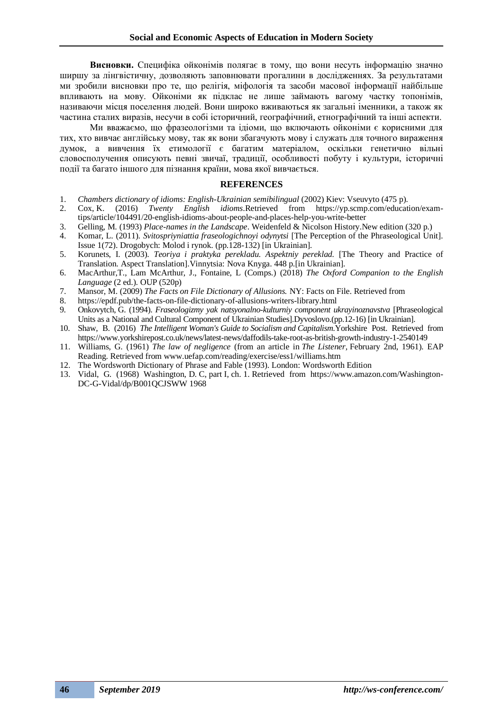**Висновки.** Специфіка ойконімів полягає в тому, що вони несуть інформацію значно ширшу за лінгвістичну, дозволяють заповнювати прогалини в дослідженнях. За результатами ми зробили висновки про те, що релігія, міфологія та засоби масової інформації найбільше впливають на мову. Ойконіми як підклас не лише займають вагому частку топонімів, називаючи місця поселення людей. Вони широко вживаються як загальні іменники, а також як частина сталих виразів, несучи в собі історичний, географічний, етнографічний та інші аспекти.

Ми вважаємо, що фразеологізми та ідіоми, що включають ойконіми є корисними для тих, хто вивчає англійську мову, так як вони збагачують мову і служать для точного вираження думок, а вивчення їх етимології є багатим матеріалом, оскільки генетично вільні словосполучення описують певні звичаї, традиції, особливості побуту і культури, історичні події та багато іншого для пізнання країни, мова якої вивчається.

#### **REFERENCES**

- 1. *Chambers dictionary of idioms: English-Ukrainian semibilingual* (2002) Kiev: Vseuvyto (475 p).
- 2. Cox, K. (2016) *Twenty English idioms*.Retrieved from https://yp.scmp.com/education/examtips/article/104491/20-english-idioms-about-people-and-places-help-you-write-better
- 3. Gelling, M. (1993) *Place-names in the Landscape*. Weidenfeld & Nicolson History.New edition (320 p.)
- 4. Komar, L. (2011). *Svitospriyniattia fraseologichnoyi odynytsi* [The Perception of the Phraseological Unit]. Issue 1(72). Drogobych: Molod i rynok. (pp.128-132) [in Ukrainian].
- 5. Korunets, I. (2003). *Teoriya i praktyka perekladu. Aspektniy pereklad.* [The Theory and Practice of Translation. Aspect Translation].Vinnytsia: Nova Knyga. 448 p.[in Ukrainian].
- 6. MacArthur,T., Lam McArthur, J., Fontaine, L (Comps.) (2018) *The Oxford Companion to the English Language* (2 ed.). OUP (520p)
- 7. Mansor, M. (2009) *The Facts on File Dictionary of Allusions.* NY: Facts on File. Retrieved from
- 8. https://epdf.pub/the-facts-on-file-dictionary-of-allusions-writers-library.html
- 9. Onkovytch, G. (1994). *Fraseologizmy yak natsyonalno-kulturniy component ukrayinoznavstva* [Phraseological Units as a National and Cultural Component of Ukrainian Studies].Dyvoslovo.(pp.12-16) [in Ukrainian].
- 10. Shaw, B. (2016) *The Intelligent Woman's Guide to Socialism and Capitalism*.Yorkshire Post. Retrieved from https://www.yorkshirepost.co.uk/news/latest-news/daffodils-take-root-as-british-growth-industry-1-2540149
- 11. Williams, G. (1961) *The law of negligence* (from an article in *The Listener,* February 2nd, 1961). EAP Reading. Retrieved from www.uefap.com/reading/exercise/ess1/williams.htm
- 12. The Wordsworth Dictionary of Phrase and Fable (1993). London: Wordsworth Edition
- 13. Vidal, G. (1968) Washington, D. C, part I, ch. 1. Retrieved from https://www.amazon.com/Washington-DC-G-Vidal/dp/B001QCJSWW 1968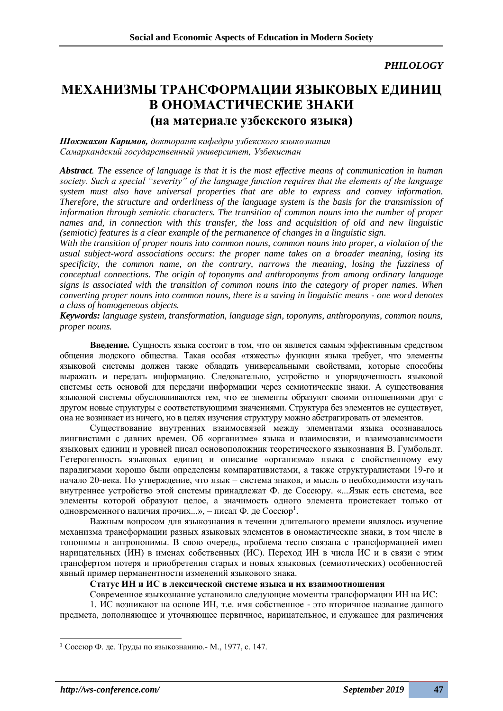### *PHILOLOGY*

### **МЕХАНИЗМЫ ТРАНСФОРМАЦИИ ЯЗЫКОВЫХ ЕДИНИЦ В ОНОМАСТИЧЕСКИЕ ЗНАКИ (на материале узбекского языка)**

*Шохжахон Каримов, докторант кафедры узбекского языкознания Самаркандский государственный университет, Узбекистан*

*Abstract. The essence of language is that it is the most effective means of communication in human society. Such a special "severity" of the language function requires that the elements of the language system must also have universal properties that are able to express and convey information. Therefore, the structure and orderliness of the language system is the basis for the transmission of information through semiotic characters. The transition of common nouns into the number of proper names and, in connection with this transfer, the loss and acquisition of old and new linguistic (semiotic) features is a clear example of the permanence of changes in a linguistic sign.*

*With the transition of proper nouns into common nouns, common nouns into proper, a violation of the usual subject-word associations occurs: the proper name takes on a broader meaning, losing its specificity, the common name, on the contrary, narrows the meaning, losing the fuzziness of conceptual connections. The origin of toponyms and anthroponyms from among ordinary language signs is associated with the transition of common nouns into the category of proper names. When converting proper nouns into common nouns, there is a saving in linguistic means - one word denotes a class of homogeneous objects.*

*Keywords: language system, transformation, language sign, toponyms, anthroponyms, common nouns, proper nouns.*

**Введение.** Сущность языка состоит в том, что он является самым эффективным средством общения людского общества. Такая особая «тяжесть» функции языка требует, что элементы языковой системы должен также обладать универсальными свойствами, которые способны выражать и передать информацию. Следовательно, устройство и упорядоченность языковой системы есть основой для передачи информации через семиотические знаки. А существования языковой системы обусловливаются тем, что ее элементы образуют своими отношениями друг с другом новые структуры с соответствующими значениями. Структура без элементов не существует, она не возникает из ничего, но в целях изучения структуру можно абстрагировать от элементов.

Существование внутренних взаимосвязей между элементами языка осознавалось лингвистами с давних времен. Об «организме» языка и взаимосвязи, и взаимозависимости языковых единиц и уровней писал основоположник теоретического языкознания В. Гумбольдт. Гетерогенность языковых единиц и описание «организма» языка с свойственному ему парадигмами хорошо были определены компаративистами, а также структуралистами 19-го и начало 20-века. Но утверждение, что язык – система знаков, и мысль о необходимости изучать внутреннее устройство этой системы принадлежат Ф. де Соссюру. «...Язык есть система, все элементы которой образуют целое, а значимость одного элемента проистекает только от одновременного наличия прочих...», - писал Ф. де Соссюр<sup>1</sup>.

Важным вопросом для языкознания в течении длительного времени являлось изучение механизма трансформации разных языковых элементов в ономастические знаки, в том числе в топонимы и антропонимы. В свою очередь, проблема тесно связана с трансформацией имен нарицательных (ИН) в именах собственных (ИС). Переход ИН в числа ИС и в связи с этим трансфертом потеря и приобретения старых и новых языковых (семиотических) особенностей явный пример перманентности изменений языкового знака.

### **Статус ИН и ИС в лексической системе языка и их взаимоотношения**

Современное языкознание установило следующие моменты трансформации ИН на ИС:

1. ИС возникают на основе ИН, т.е. имя собственное - это вторичное название данного предмета, дополняющее и уточняющее первичное, нарицательное, и служащее для различения

<sup>1</sup> Соссюр Ф. де. Труды по языкознанию.- М., 1977, с. 147.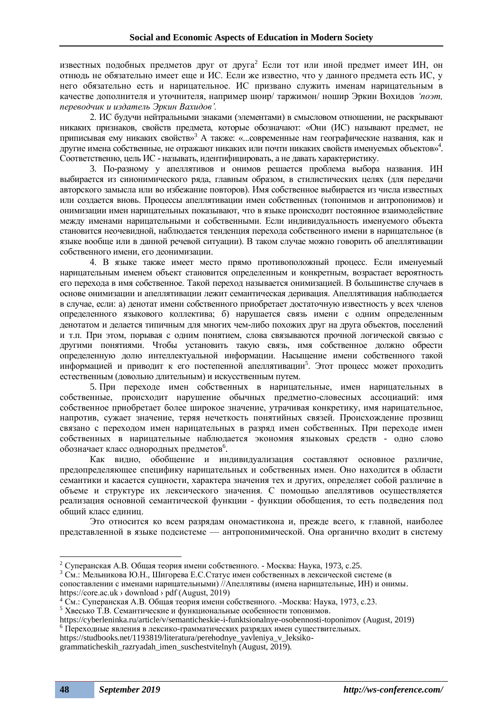известных подобных предметов друг от друга<sup>2</sup> Если тот или иной предмет имеет ИН, он отнюдь не обязательно имеет еще и ИС. Если же известно, что у данного предмета есть ИС, у него обязательно есть и нарицательное. ИС призвано служить именам нарицательным в качестве дополнителя и уточнителя, например шоир/ таржимон/ ношир Эркин Вохидов *'поэт, переводчик и издатель Эркин Вахидов'.*

2. ИС будучи нейтральными знаками (элементами) в смысловом отношении, не раскрывают никаких признаков, свойств предмета, которые обозначают: «Они (ИС) называют предмет, не приписывая ему никаких свойств»<sup>3</sup> A также: «...современные нам географические названия, как и другие имена собственные, не отражают никаких или почти никаких свойств именуемых объектов»<sup>4</sup> . Соответственно, цель ИС - называть, идентифицировать, а не давать характеристику.

3. По-разному у апеллятивов и онимов решается проблема выбора названия. ИН выбирается из синонимического ряда, главным образом, в стилистических целях (для передачи авторского замысла или во избежание повторов). Имя собственное выбирается из числа известных или создается вновь. Процессы апеллятивации имен собственных (топонимов и антропонимов) и онимизации имен нарицательных показывают, что в языке происходит постоянное взаимодействие между именами нарицательными и собственными. Если индивидуальность именуемого объекта становится неочевидной, наблюдается тенденция перехода собственного имени в нарицательное (в языке вообще или в данной речевой ситуации). В таком случае можно говорить об апеллятивации собственного имени, его деонимизации.

4. В языке также имеет место прямо противоположный процесс. Если именуемый нарицательным именем объект становится определенным и конкретным, возрастает вероятность его перехода в имя собственное. Такой переход называется онимизацией. В большинстве случаев в основе онимизации и апеллятивации лежит семантическая деривация. Апеллятивация наблюдается в случае, если: а) денотат имени собственного приобретает достаточную известность у всех членов определенного языкового коллектива; б) нарушается связь имени с одним определенным денотатом и делается типичным для многих чем-либо похожих друг на друга объектов, поселений и т.п. При этом, порывая с одним понятием, слова связываются прочной логической связью с другими понятиями. Чтобы установить такую связь, имя собственное должно обрести определенную долю интеллектуальной информации. Насыщение имени собственного такой информацией и приводит к его постепенной апеллятивации<sup>5</sup>. Этот процесс может проходить естественным (довольно длительным) и искусственным путем.

5. При переходе имен собственных в нарицательные, имен нарицательных в собственные, происходит нарушение обычных предметно-словесных ассоциаций: имя собственное приобретает более широкое значение, утрачивая конкретику, имя нарицательное, напротив, сужает значение, теряя нечеткость понятийных связей. Происхождение прозвищ связано с переходом имен нарицательных в разряд имен собственных. При переходе имен собственных в нарицательные наблюдается экономия языковых средств - одно слово обозначает класс однородных предметов<sup>6</sup>.

Как видно, обобщение и индивидуализация составляют основное различие, предопределяющее специфику нарицательных и собственных имен. Оно находится в области семантики и касается сущности, характера значения тех и других, определяет собой различие в объеме и структуре их лексического значения. С помощью апеллятивов осуществляется реализация основной семантической функции - функции обобщения, то есть подведения под общий класс единиц.

Это относится ко всем разрядам ономастикона и, прежде всего, к главной, наиболее представленной в языке подсистеме — антропонимической. Она органично входит в систему

https://core.ac.uk › download › pdf (August, 2019)

<sup>&</sup>lt;sup>2</sup> Суперанская А.В. Общая теория имени собственного. - Москва: Наука, 1973, с.25.

<sup>3</sup> См.: Мельникова Ю.Н., Шигорева Е.С.Статус имен собственных в лексической системе (в сопоставлении с именами нарицательными) //Апеллятивы (имена нарицательные, ИН) и онимы.

<sup>&</sup>lt;sup>4</sup> См.: Суперанская А.В. Общая теория имени собственного. -Москва: Наука, 1973, с.23.

 $5$  Хвесько Т.В. Семантические и функциональные особенности топонимов.

https://cyberleninka.ru/article/v/semanticheskie-i-funktsionalnye-osobennosti-toponimov (August, 2019) <sup>6</sup> Переходные явления в лексико-грамматических разрядах имен существительных.

https://studbooks.net/1193819/literatura/perehodnye\_yavleniya\_v\_leksiko-

grammaticheskih\_razryadah\_imen\_suschestvitelnyh (August, 2019).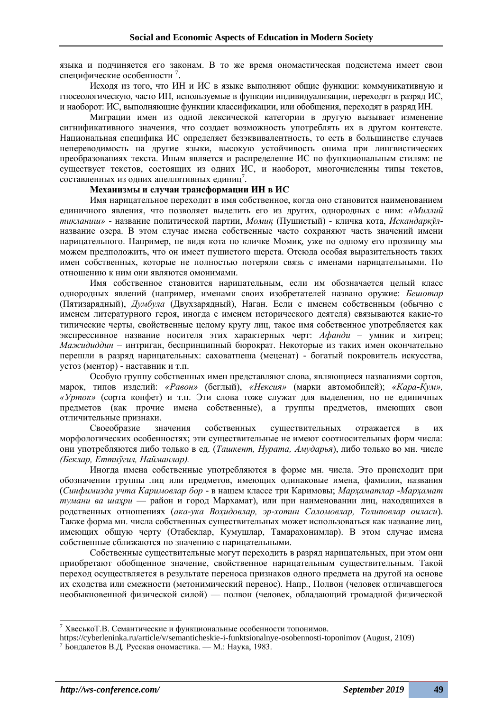языка и подчиняется его законам. В то же время ономастическая подсистема имеет свои специфические особенности<sup>7</sup>.

Исходя из того, что ИН и ИС в языке выполняют общие функции: коммуникативную и гносеологическую, часто ИН, используемые в функции индивидуализации, переходят в разряд ИС, и наоборот: ИС, выполняющие функции классификации, или обобщения, переходят в разряд ИН.

Миграции имен из одной лексической категории в другую вызывает изменение сигнификативного значения, что создает возможность употреблять их в другом контексте. Национальная специфика ИС определяет безэквивалентность, то есть в большинстве случаев непереводимость на другие языки, высокую устойчивость онима при лингвистических преобразованиях текста. Иным является и распределение ИС по функциональным стилям: не существует текстов, состоящих из одних ИС, и наоборот, многочисленны типы текстов, составленных из одних апеллятивных единиц<sup>7</sup>.

### **Механизмы и случаи трансформации ИН в ИС**

Имя нарицательное переходит в имя собственное, когда оно становится наименованием единичного явления, что позволяет выделить его из других, однородных с ним: *«Миллий тикланиш»* - название политической партии, *Момиқ* (Пушистый) - кличка кота, *Искандаркўл*название озера. В этом случае имена собственные часто сохраняют часть значений имени нарицательного. Например, не видя кота по кличке Момиқ, уже по одному его прозвищу мы можем предположить, что он имеет пушистого шерста. Отсюда особая выразительность таких имен собственных, которые не полностью потеряли связь с именами нарицательными. По отношению к ним они являются омонимами.

Имя собственное становится нарицательным, если им обозначается целый класс однородных явлений (например, именами своих изобретателей названо оружие: *Бешотар* (Пятизарядный), *Думбула* (Двухзарядный), Наган. Если с именем собственным (обычно с именем литературного героя, иногда с именем исторического деятеля) связываются какие-то типические черты, свойственные целому кругу лиц, такое имя собственное употребляется как экспрессивное название носителя этих характерных черт: *Афанди* – умник и хитрец; *Мажидиддин* – интриган, беспринципный бюрократ. Некоторые из таких имен окончательно перешли в разряд нарицательных: саховатпеша (меценат) - богатый покровитель искусства, устоз (ментор) - наставник и т.п.

Особую группу собственных имен представляют слова, являющиеся названиями сортов, марок, типов изделий: *«Равон»* (беглый), *«Нексия»* (марки автомобилей); *«Кара-Кум», «Урток»* (сорта конфет) и т.п. Эти слова тоже служат для выделения, но не единичных предметов (как прочие имена собственные), а группы предметов, имеющих свои отличительные признаки.

Своеобразие значения собственных существительных отражается в их морфологических особенностях; эти существительные не имеют соотносительных форм числа: они употребляются либо только в ед. (*Ташкент, Нурата, Амударья*), либо только во мн. числе *(Беклар, Еттиўгил, Найманлар).*

Иногда имена собственные употребляются в форме мн. числа. Это происходит при обозначении группы лиц или предметов, имеющих одинаковые имена, фамилии, названия (*Синфимизда учта Каримовлар бор* - в нашем классе три Каримовы; *Марҳаматлар -Марҳамат тумани ва шаҳри* — район и город Мархамат), или при наименовании лиц, находящихся в родственных отношениях (*ака-ука Воҳидовлар, эр-хотин Саломовлар, Толиповлар оиласи*). Также форма мн. числа собственных существительных может использоваться как название лиц, имеющих общую черту (Отабеклар, Кумушлар, Тамарахонимлар). В этом случае имена собственные сближаются по значению с нарицательными.

Собственные существительные могут переходить в разряд нарицательных, при этом они приобретают обобщенное значение, свойственное нарицательным существительным. Такой переход осуществляется в результате переноса признаков одного предмета на другой на основе их сходства или смежности (метонимический перенос). Напр., Полвон (человек отличавшегося необыкновенной физической силой) — полвон (человек, обладающий громадной физической

<sup>&</sup>lt;sup>7</sup> Хвесько Т.В. Семантические и функциональные особенности топонимов.

https://cyberleninka.ru/article/v/semanticheskie-i-funktsionalnye-osobennosti-toponimov (August, 2109)  $7$  Бондалетов В.Д. Русская ономастика. — М.: Наука, 1983.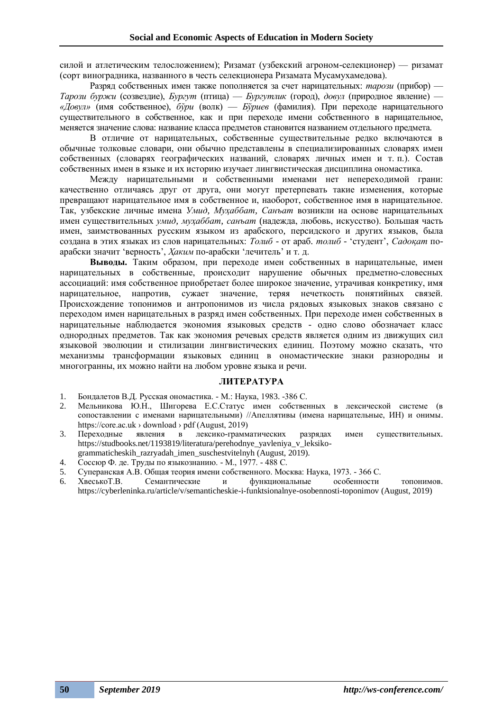силой и атлетическим телосложением); Ризамат (узбекский агроном-селекционер) — ризамат (сорт виноградника, названного в честь селекционера Ризамата Мусамухамедова).

Разряд собственных имен также пополняется за счет нарицательных: *тарози* (прибор) — *Тарози буржи* (созвездие), *Бургут* (птица) — *Бургутлик* (город), *довул* (природное явление) — *«Довул»* (имя собственное), *бўри* (волк) — *Бўриев* (фамилия). При переходе нарицательного существительного в собственное, как и при переходе имени собственного в нарицательное, меняется значение слова: название класса предметов становится названием отдельного предмета.

В отличие от нарицательных, собственные существительные редко включаются в обычные толковые словари, они обычно представлены в специализированных словарях имен собственных (словарях географических названий, словарях личных имен и т. п.). Состав собственных имен в языке и их историю изучает лингвистическая дисциплина ономастика.

Между нарицательными и собственными именами нет непереходимой грани: качественно отличаясь друг от друга, они могут претерпевать такие изменения, которые превращают нарицательное имя в собственное и, наоборот, собственное имя в нарицательное. Так, узбекские личные имена *Умид, Муҳаббат, Санъат* возникли на основе нарицательных имен существительных *умид, муҳаббат, санъат* (надежда, любовь, искусство). Большая часть имен, заимствованных русским языком из арабского, персидского и других языков, была создана в этих языках из слов нарицательных: *Толиб -* от араб. *толиб* - 'студент', *Садоқат* поарабски значит 'верность', *Ҳаким* по-арабски 'лечитель' и т. д.

**Выводы.** Таким образом, при переходе имен собственных в нарицательные, имен нарицательных в собственные, происходит нарушение обычных предметно-словесных ассоциаций: имя собственное приобретает более широкое значение, утрачивая конкретику, имя нарицательное, напротив, сужает значение, теряя нечеткость понятийных связей. Происхождение топонимов и антропонимов из числа рядовых языковых знаков связано с переходом имен нарицательных в разряд имен собственных. При переходе имен собственных в нарицательные наблюдается экономия языковых средств - одно слово обозначает класс однородных предметов. Так как экономия речевых средств является одним из движущих сил языковой эволюции и стилизации лингвистических единиц. Поэтому можно сказать, что механизмы трансформации языковых единиц в ономастические знаки разнородны и многогранны, их можно найти на любом уровне языка и речи.

#### **ЛИТЕРАТУРА**

- 1. Бондалетов В.Д. Русская ономастика. М.: Наука, 1983. -386 С.
- 2. Мельникова Ю.Н., Шигорева Е.С.Статус имен собственных в лексической системе (в сопоставлении с именами нарицательными) //Апеллятивы (имена нарицательные, ИН) и онимы. https://core.ac.uk > download > pdf (August, 2019)
- 3. Переходные явления в лексико-грамматических разрядах имен существительных. https://studbooks.net/1193819/literatura/perehodnye\_yavleniya\_v\_leksiko-
- grammaticheskih\_razryadah\_imen\_suschestvitelnyh (August, 2019). 4. Соссюр Ф. де. Труды по языкознанию. - М., 1977. - 488 С.
- 5. Суперанская А.В. Общая теория имени собственного. Москва: Наука, 1973. 366 С.
- 6. ХвеськоТ.В. Семантические и функциональные особенности топонимов. https://cyberleninka.ru/article/v/semanticheskie-i-funktsionalnye-osobennosti-toponimov (August, 2019)